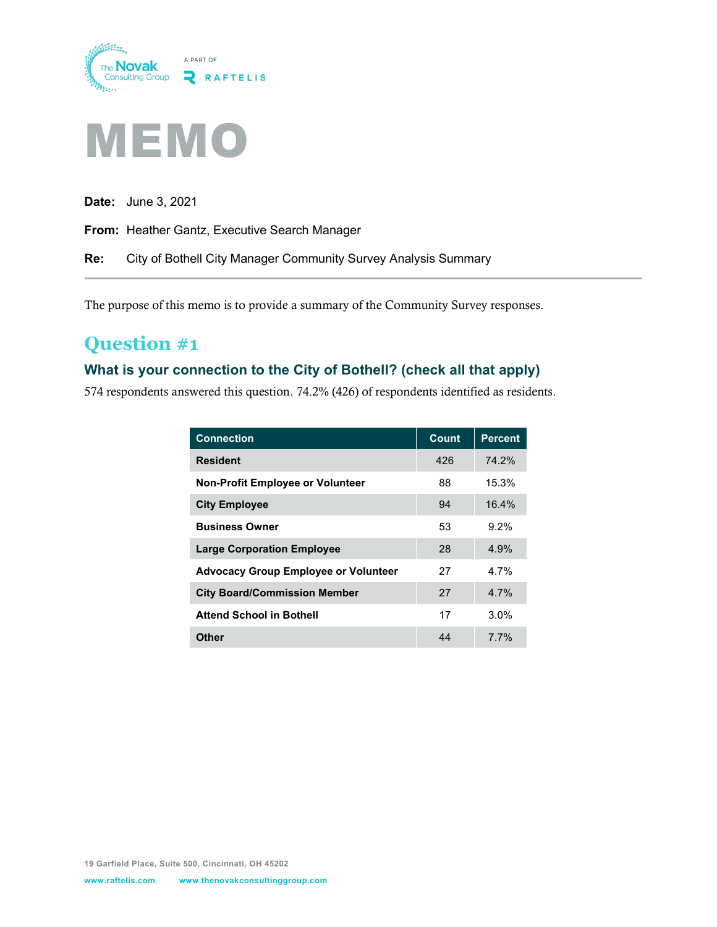



**Date:** June 3, 2021

**From:** Heather Gantz, Executive Search Manager

**Re:** City of Bothell City Manager Community Survey Analysis Summary

The purpose of this memo is to provide a summary of the Community Survey responses.

## **Question #1**

### **What is your connection to the City of Bothell? (check all that apply)**

574 respondents answered this question. 74.2% (426) of respondents identified as residents.

| <b>Connection</b>                           | Count | <b>Percent</b> |
|---------------------------------------------|-------|----------------|
| <b>Resident</b>                             | 426   | 74.2%          |
| <b>Non-Profit Employee or Volunteer</b>     | 88    | 15.3%          |
| <b>City Employee</b>                        | 94    | 16.4%          |
| <b>Business Owner</b>                       | 53    | $9.2\%$        |
| <b>Large Corporation Employee</b>           | 28    | 4.9%           |
| <b>Advocacy Group Employee or Volunteer</b> | 27    | 4 7%           |
| <b>City Board/Commission Member</b>         | 27    | 4 7%           |
| <b>Attend School in Bothell</b>             | 17    | $3.0\%$        |
| Other                                       | 44    | <b>77%</b>     |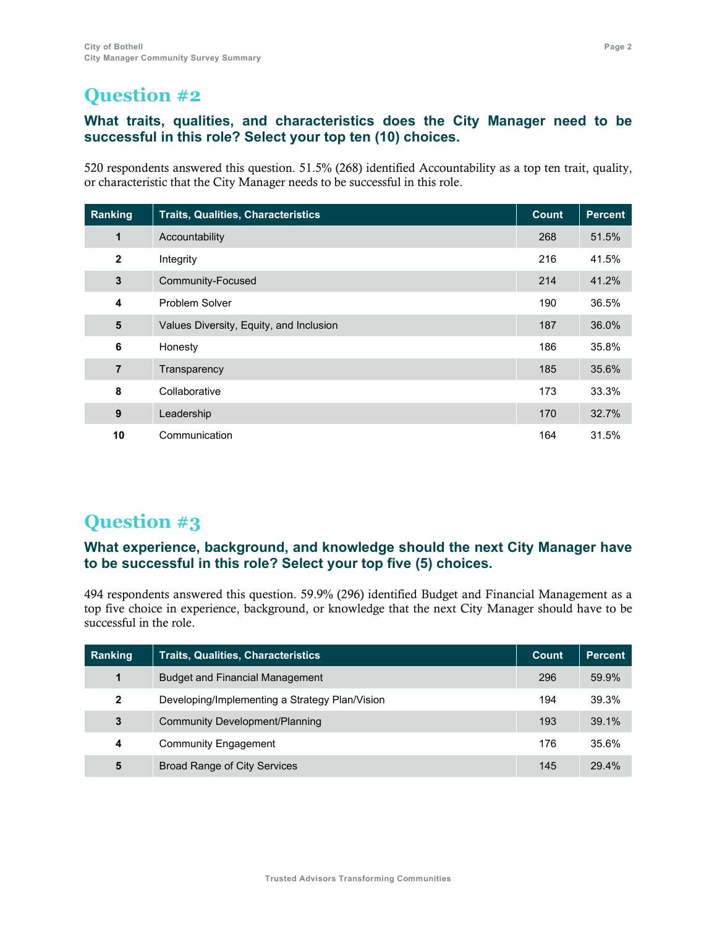### **What traits, qualities, and characteristics does the City Manager need to be successful in this role? Select your top ten (10) choices.**

520 respondents answered this question. 51.5% (268) identified Accountability as a top ten trait, quality, or characteristic that the City Manager needs to be successful in this role.

| Ranking                 | <b>Traits, Qualities, Characteristics</b> | <b>Count</b> | <b>Percent</b> |
|-------------------------|-------------------------------------------|--------------|----------------|
| 1                       | Accountability                            | 268          | 51.5%          |
| $\mathbf{2}$            | Integrity                                 | 216          | 41.5%          |
| $\mathbf{3}$            | Community-Focused                         | 214          | 41.2%          |
| $\overline{\mathbf{4}}$ | <b>Problem Solver</b>                     | 190          | 36.5%          |
| 5                       | Values Diversity, Equity, and Inclusion   | 187          | 36.0%          |
| 6                       | Honesty                                   | 186          | 35.8%          |
| $\overline{7}$          | Transparency                              | 185          | 35.6%          |
| 8                       | Collaborative                             | 173          | 33.3%          |
| 9                       | Leadership                                | 170          | 32.7%          |
| 10                      | Communication                             | 164          | 31.5%          |

# **Question #3**

### **What experience, background, and knowledge should the next City Manager have to be successful in this role? Select your top five (5) choices.**

494 respondents answered this question. 59.9% (296) identified Budget and Financial Management as a top five choice in experience, background, or knowledge that the next City Manager should have to be successful in the role.

| Ranking      | <b>Traits, Qualities, Characteristics</b>      | <u> Count </u> | <b>Percent</b> |
|--------------|------------------------------------------------|----------------|----------------|
| 1            | <b>Budget and Financial Management</b>         | 296            | 59.9%          |
| $\mathbf{2}$ | Developing/Implementing a Strategy Plan/Vision | 194            | 39.3%          |
| 3            | Community Development/Planning                 | 193            | 39.1%          |
| 4            | <b>Community Engagement</b>                    | 176            | 35.6%          |
| 5            | <b>Broad Range of City Services</b>            | 145            | 29.4%          |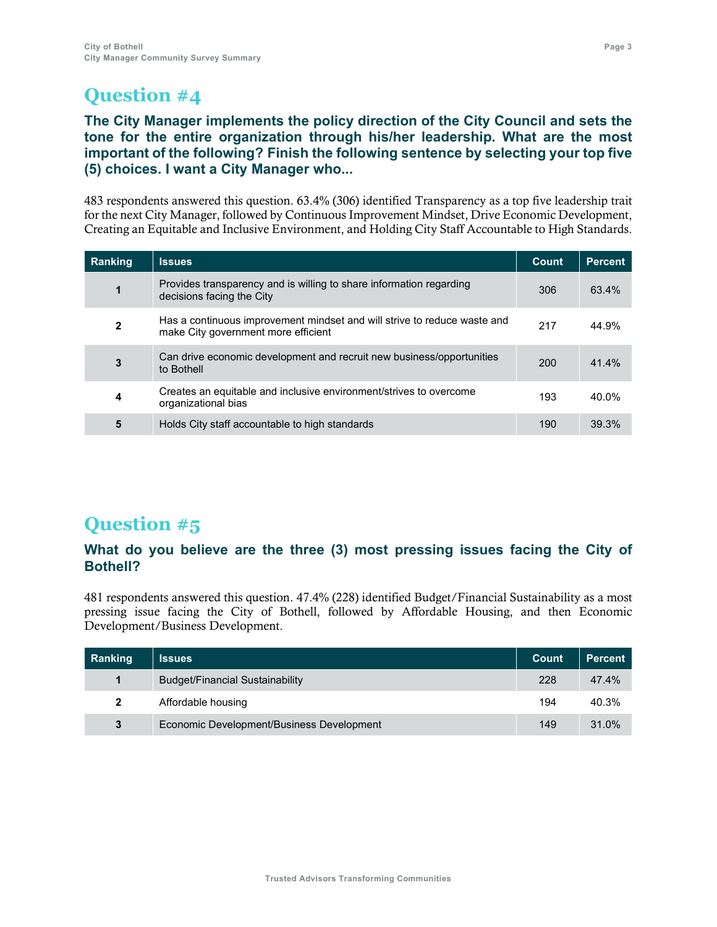### **The City Manager implements the policy direction of the City Council and sets the tone for the entire organization through his/her leadership. What are the most important of the following? Finish the following sentence by selecting your top five (5) choices. I want a City Manager who...**

483 respondents answered this question. 63.4% (306) identified Transparency as a top five leadership trait for the next City Manager, followed by Continuous Improvement Mindset, Drive Economic Development, Creating an Equitable and Inclusive Environment, and Holding City Staff Accountable to High Standards.

| Ranking      | <b>Issues</b>                                                                                                   | <b>Count</b> | <b>Percent</b> |
|--------------|-----------------------------------------------------------------------------------------------------------------|--------------|----------------|
| 1            | Provides transparency and is willing to share information regarding<br>decisions facing the City                | 306          | 63.4%          |
| $\mathbf{2}$ | Has a continuous improvement mindset and will strive to reduce waste and<br>make City government more efficient | 217          | 44.9%          |
| 3            | Can drive economic development and recruit new business/opportunities<br>to Bothell                             | <b>200</b>   | 41.4%          |
| 4            | Creates an equitable and inclusive environment/strives to overcome<br>organizational bias                       | 193          | 40.0%          |
| 5            | Holds City staff accountable to high standards                                                                  | 190          | 39.3%          |

# **Question #5**

### **What do you believe are the three (3) most pressing issues facing the City of Bothell?**

481 respondents answered this question. 47.4% (228) identified Budget/Financial Sustainability as a most pressing issue facing the City of Bothell, followed by Affordable Housing, and then Economic Development/Business Development.

| Ranking      | <b>Issues</b>                             | <b>Count</b> | <b>Percent</b> |
|--------------|-------------------------------------------|--------------|----------------|
| 1            | <b>Budget/Financial Sustainability</b>    | 228          | 47.4%          |
| $\mathbf{2}$ | Affordable housing                        | 194          | 40.3%          |
| 3            | Economic Development/Business Development | 149          | 31.0%          |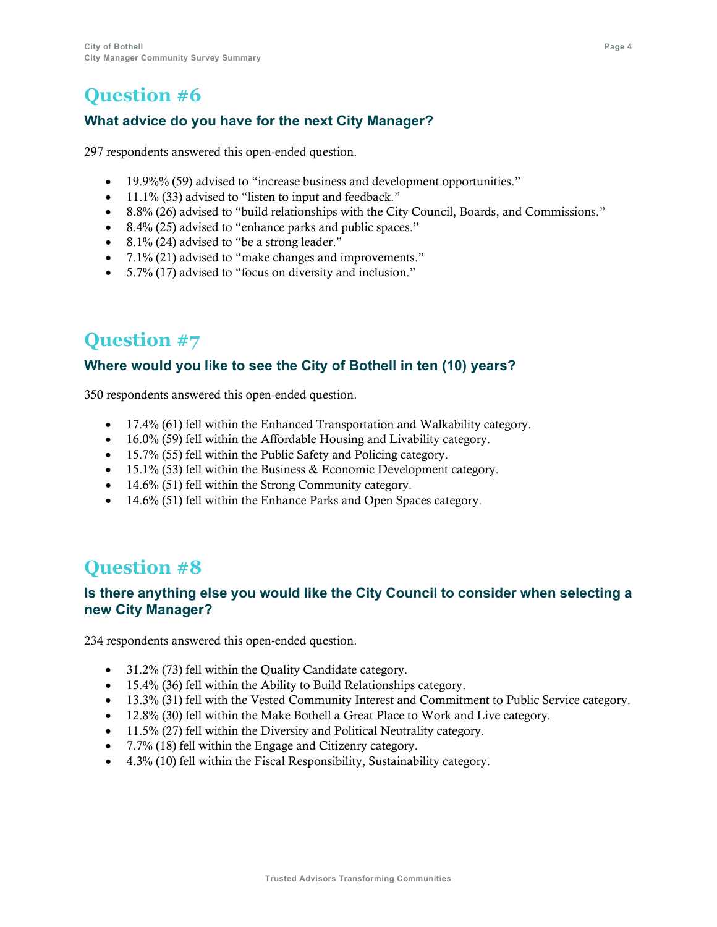### **What advice do you have for the next City Manager?**

297 respondents answered this open-ended question.

- 19.9%% (59) advised to "increase business and development opportunities."
- 11.1% (33) advised to "listen to input and feedback."
- 8.8% (26) advised to "build relationships with the City Council, Boards, and Commissions."
- 8.4% (25) advised to "enhance parks and public spaces."
- 8.1% (24) advised to "be a strong leader."
- 7.1% (21) advised to "make changes and improvements."
- 5.7% (17) advised to "focus on diversity and inclusion."

# **Question #7**

### **Where would you like to see the City of Bothell in ten (10) years?**

350 respondents answered this open-ended question.

- 17.4% (61) fell within the Enhanced Transportation and Walkability category.
- 16.0% (59) fell within the Affordable Housing and Livability category.
- 15.7% (55) fell within the Public Safety and Policing category.
- 15.1% (53) fell within the Business  $&$  Economic Development category.
- 14.6% (51) fell within the Strong Community category.
- 14.6% (51) fell within the Enhance Parks and Open Spaces category.

# **Question #8**

### **Is there anything else you would like the City Council to consider when selecting a new City Manager?**

234 respondents answered this open-ended question.

- 31.2% (73) fell within the Quality Candidate category.
- 15.4% (36) fell within the Ability to Build Relationships category.
- 13.3% (31) fell with the Vested Community Interest and Commitment to Public Service category.
- 12.8% (30) fell within the Make Bothell a Great Place to Work and Live category.
- 11.5% (27) fell within the Diversity and Political Neutrality category.
- 7.7% (18) fell within the Engage and Citizenry category.
- 4.3% (10) fell within the Fiscal Responsibility, Sustainability category.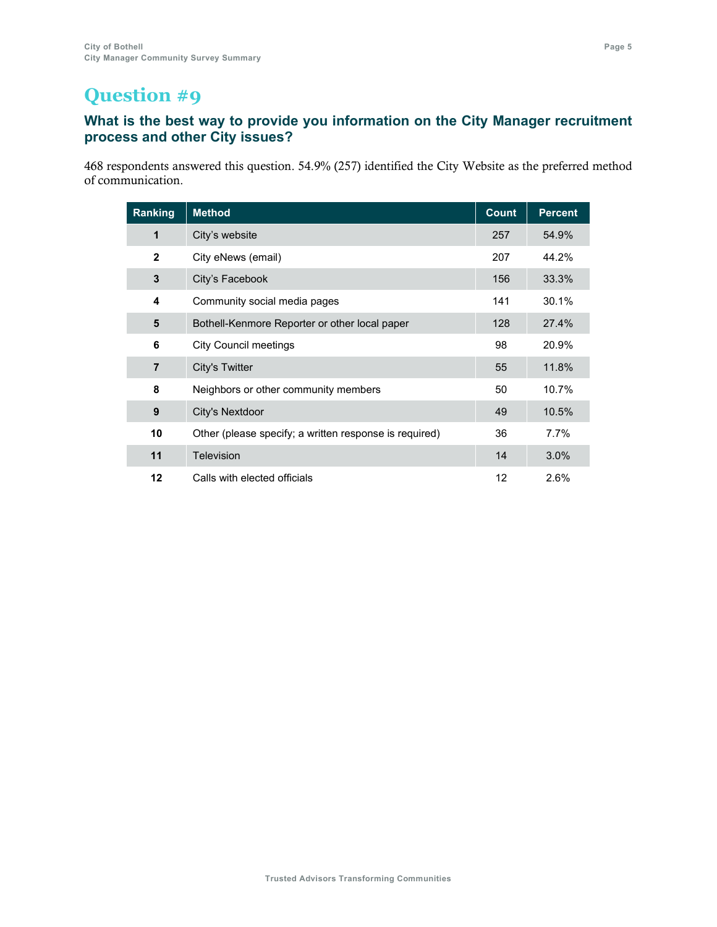### **What is the best way to provide you information on the City Manager recruitment process and other City issues?**

 respondents answered this question. 54.9% (257) identified the City Website as the preferred method of communication.

| Ranking        | <b>Method</b>                                          | <b>Count</b> | <b>Percent</b> |
|----------------|--------------------------------------------------------|--------------|----------------|
| 1              | City's website                                         | 257          | 54.9%          |
| $\mathbf{2}$   | City eNews (email)                                     | 207          | 44.2%          |
| 3              | City's Facebook                                        | 156          | 33.3%          |
| 4              | Community social media pages                           | 141          | 30.1%          |
| 5              | Bothell-Kenmore Reporter or other local paper          | 128          | 27.4%          |
| 6              | <b>City Council meetings</b>                           | 98           | 20.9%          |
| $\overline{7}$ | City's Twitter                                         | 55           | 11.8%          |
| 8              | Neighbors or other community members                   | 50           | 10.7%          |
| 9              | City's Nextdoor                                        | 49           | 10.5%          |
| 10             | Other (please specify; a written response is required) | 36           | 7.7%           |
| 11             | Television                                             | 14           | 3.0%           |
| 12             | Calls with elected officials                           | 12           | 2.6%           |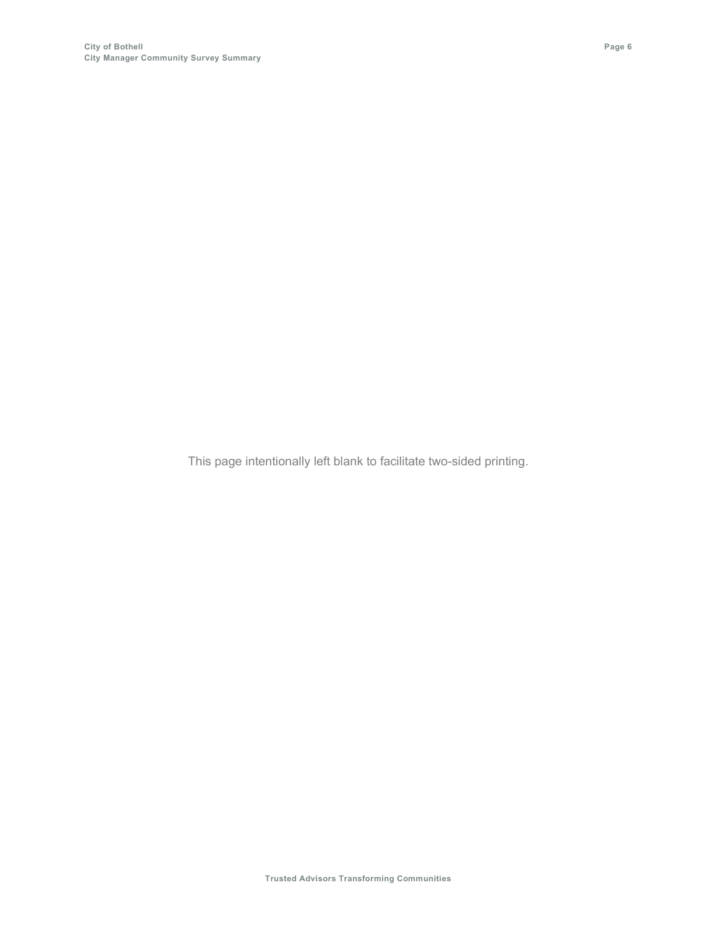This page intentionally left blank to facilitate two-sided printing.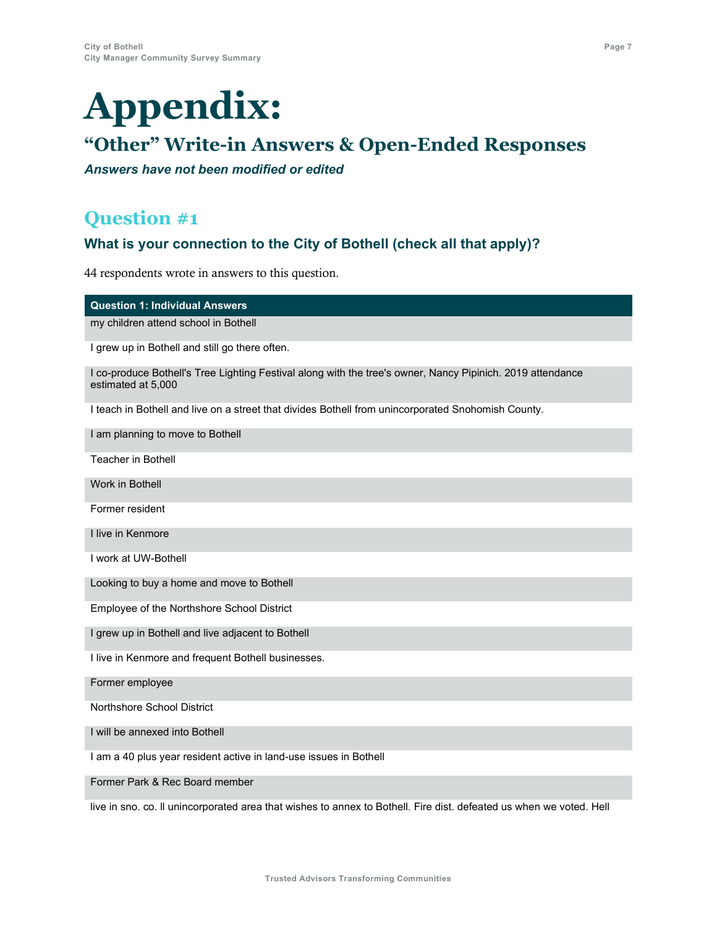# **Appendix:**

# **"Other" Write-in Answers & Open-Ended Responses**

*Answers have not been modified or edited*

### **Question #1**

### **What is your connection to the City of Bothell (check all that apply)?**

44 respondents wrote in answers to this question.

### **Question 1: Individual Answers**

my children attend school in Bothell

I grew up in Bothell and still go there often.

I co-produce Bothell's Tree Lighting Festival along with the tree's owner, Nancy Pipinich. 2019 attendance estimated at 5,000

I teach in Bothell and live on a street that divides Bothell from unincorporated Snohomish County.

I am planning to move to Bothell

Teacher in Bothell

Work in Bothell

Former resident

I live in Kenmore

I work at UW-Bothell

Looking to buy a home and move to Bothell

Employee of the Northshore School District

I grew up in Bothell and live adjacent to Bothell

I live in Kenmore and frequent Bothell businesses.

Former employee

Northshore School District

I will be annexed into Bothell

I am a 40 plus year resident active in land-use issues in Bothell

Former Park & Rec Board member

live in sno. co. ll unincorporated area that wishes to annex to Bothell. Fire dist. defeated us when we voted. Hell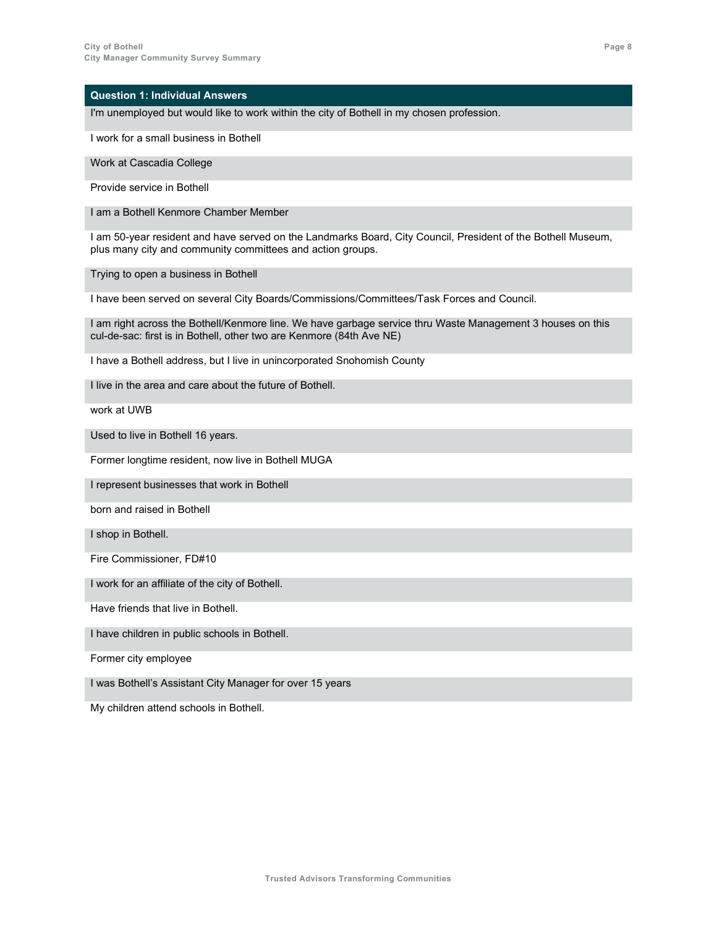I'm unemployed but would like to work within the city of Bothell in my chosen profession.

I work for a small business in Bothell

Work at Cascadia College

Provide service in Bothell

I am a Bothell Kenmore Chamber Member

I am 50-year resident and have served on the Landmarks Board, City Council, President of the Bothell Museum, plus many city and community committees and action groups.

Trying to open a business in Bothell

I have been served on several City Boards/Commissions/Committees/Task Forces and Council.

I am right across the Bothell/Kenmore line. We have garbage service thru Waste Management 3 houses on this cul-de-sac: first is in Bothell, other two are Kenmore (84th Ave NE)

I have a Bothell address, but I live in unincorporated Snohomish County

I live in the area and care about the future of Bothell.

work at UWB

Used to live in Bothell 16 years.

Former longtime resident, now live in Bothell MUGA

I represent businesses that work in Bothell

born and raised in Bothell

I shop in Bothell.

Fire Commissioner, FD#10

I work for an affiliate of the city of Bothell.

Have friends that live in Bothell.

I have children in public schools in Bothell.

Former city employee

I was Bothell's Assistant City Manager for over 15 years

My children attend schools in Bothell.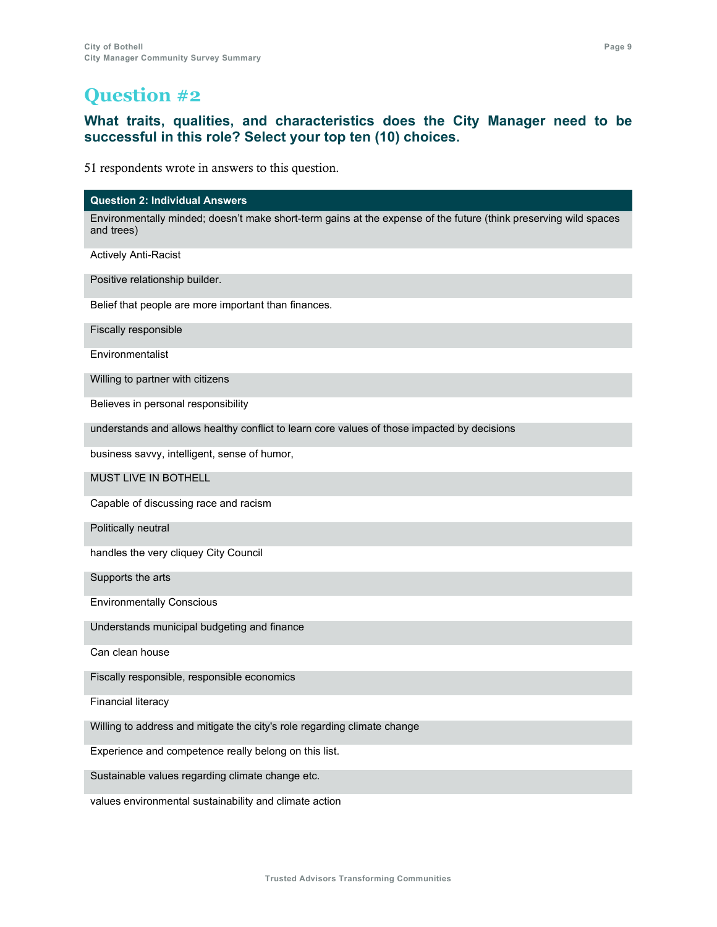### **What traits, qualities, and characteristics does the City Manager need to be successful in this role? Select your top ten (10) choices.**

51 respondents wrote in answers to this question.

### **Question 2: Individual Answers**

Environmentally minded; doesn't make short-term gains at the expense of the future (think preserving wild spaces and trees)

Actively Anti-Racist

Positive relationship builder.

Belief that people are more important than finances.

Fiscally responsible

Environmentalist

Willing to partner with citizens

Believes in personal responsibility

understands and allows healthy conflict to learn core values of those impacted by decisions

business savvy, intelligent, sense of humor,

MUST LIVE IN BOTHELL

Capable of discussing race and racism

Politically neutral

handles the very cliquey City Council

Supports the arts

Environmentally Conscious

Understands municipal budgeting and finance

Can clean house

Fiscally responsible, responsible economics

Financial literacy

Willing to address and mitigate the city's role regarding climate change

Experience and competence really belong on this list.

Sustainable values regarding climate change etc.

values environmental sustainability and climate action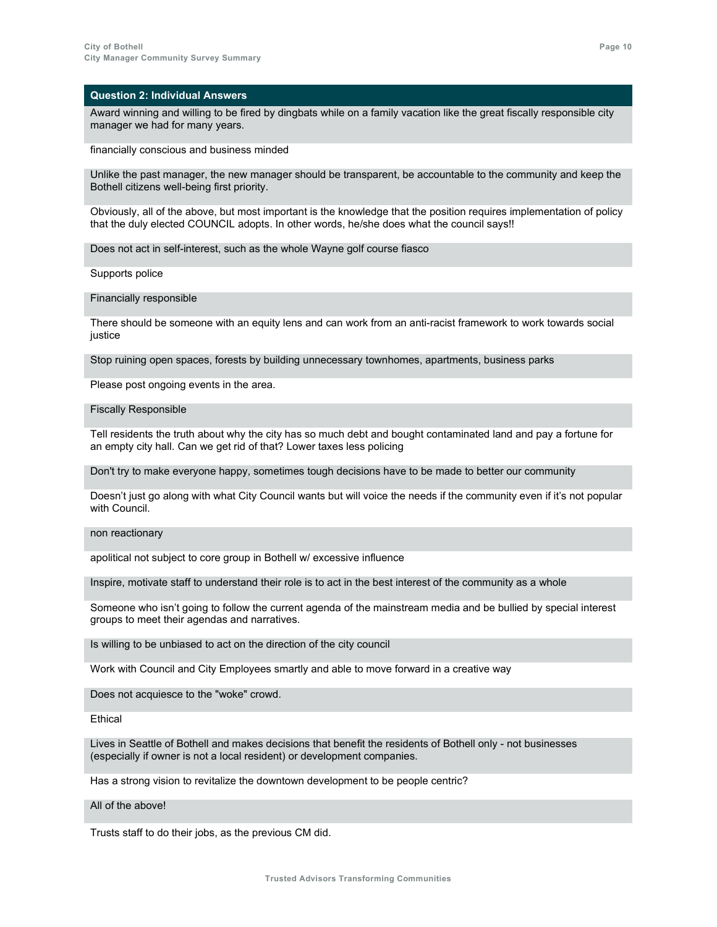Award winning and willing to be fired by dingbats while on a family vacation like the great fiscally responsible city manager we had for many years.

financially conscious and business minded

Unlike the past manager, the new manager should be transparent, be accountable to the community and keep the Bothell citizens well-being first priority.

Obviously, all of the above, but most important is the knowledge that the position requires implementation of policy that the duly elected COUNCIL adopts. In other words, he/she does what the council says!!

Does not act in self-interest, such as the whole Wayne golf course fiasco

Supports police

#### Financially responsible

There should be someone with an equity lens and can work from an anti-racist framework to work towards social justice

Stop ruining open spaces, forests by building unnecessary townhomes, apartments, business parks

Please post ongoing events in the area.

#### Fiscally Responsible

Tell residents the truth about why the city has so much debt and bought contaminated land and pay a fortune for an empty city hall. Can we get rid of that? Lower taxes less policing

Don't try to make everyone happy, sometimes tough decisions have to be made to better our community

Doesn't just go along with what City Council wants but will voice the needs if the community even if it's not popular with Council.

#### non reactionary

apolitical not subject to core group in Bothell w/ excessive influence

Inspire, motivate staff to understand their role is to act in the best interest of the community as a whole

Someone who isn't going to follow the current agenda of the mainstream media and be bullied by special interest groups to meet their agendas and narratives.

Is willing to be unbiased to act on the direction of the city council

Work with Council and City Employees smartly and able to move forward in a creative way

Does not acquiesce to the "woke" crowd.

**Fthical** 

Lives in Seattle of Bothell and makes decisions that benefit the residents of Bothell only - not businesses (especially if owner is not a local resident) or development companies.

Has a strong vision to revitalize the downtown development to be people centric?

All of the above!

Trusts staff to do their jobs, as the previous CM did.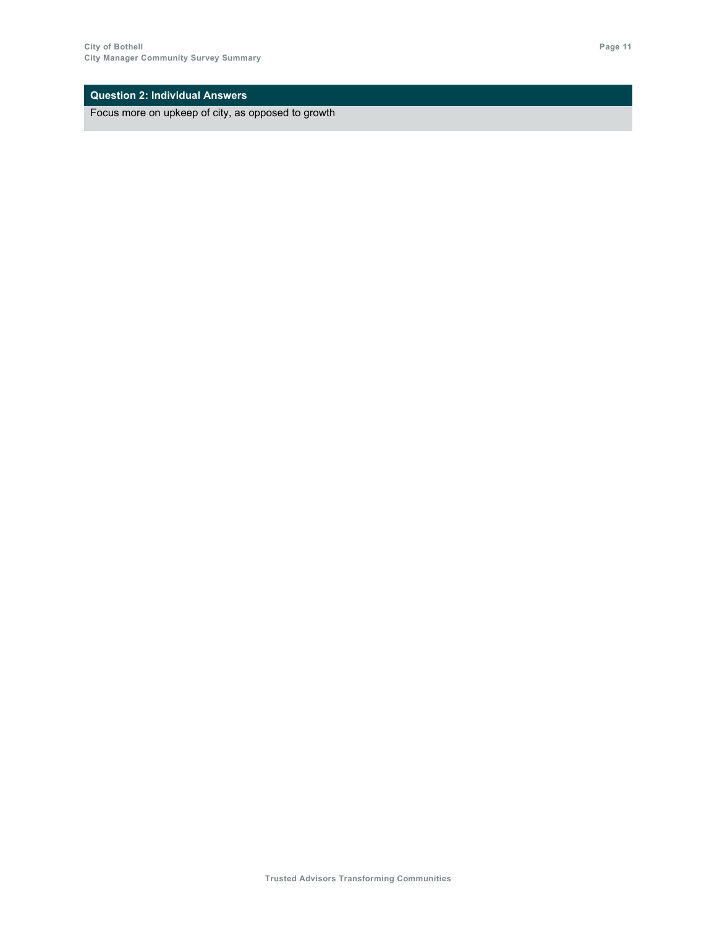Focus more on upkeep of city, as opposed to growth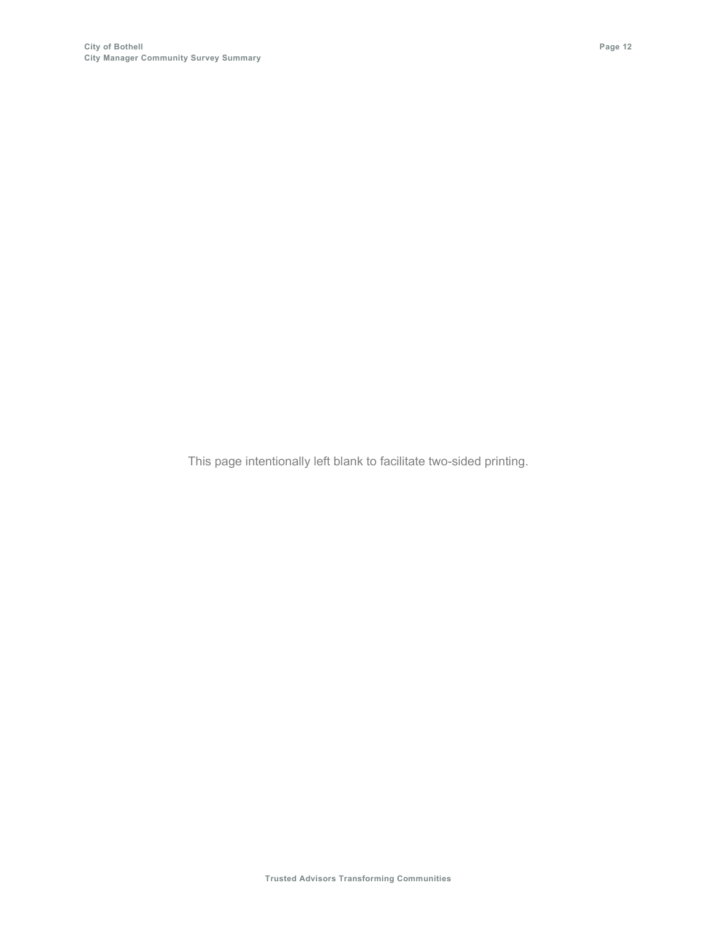This page intentionally left blank to facilitate two-sided printing.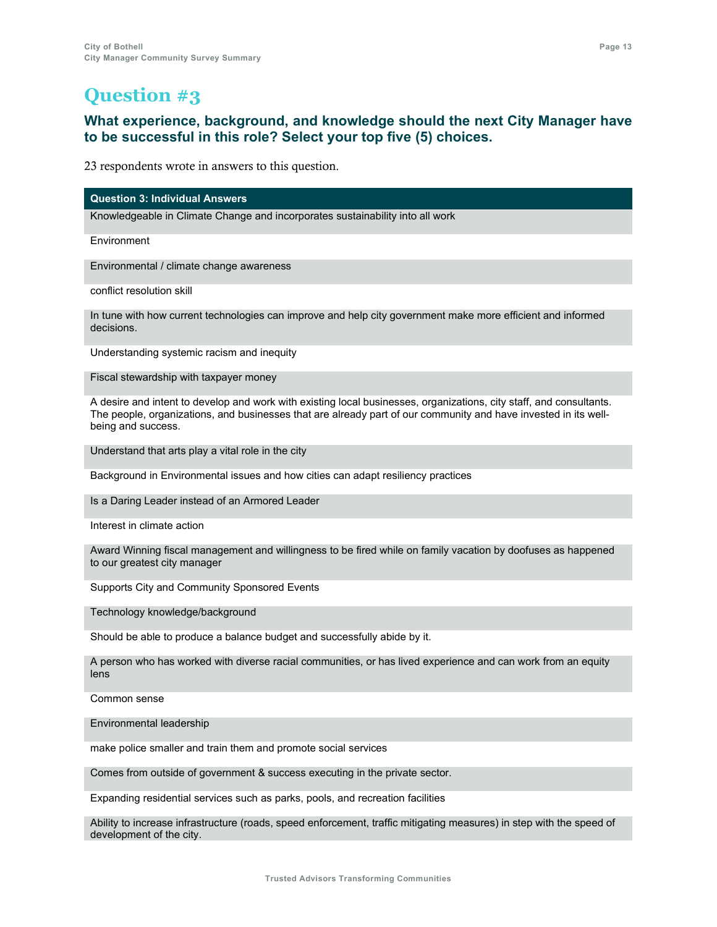### **What experience, background, and knowledge should the next City Manager have to be successful in this role? Select your top five (5) choices.**

23 respondents wrote in answers to this question.

**Question 3: Individual Answers**

Knowledgeable in Climate Change and incorporates sustainability into all work

Environment

Environmental / climate change awareness

conflict resolution skill

In tune with how current technologies can improve and help city government make more efficient and informed decisions.

Understanding systemic racism and inequity

Fiscal stewardship with taxpayer money

A desire and intent to develop and work with existing local businesses, organizations, city staff, and consultants. The people, organizations, and businesses that are already part of our community and have invested in its wellbeing and success.

Understand that arts play a vital role in the city

Background in Environmental issues and how cities can adapt resiliency practices

Is a Daring Leader instead of an Armored Leader

Interest in climate action

Award Winning fiscal management and willingness to be fired while on family vacation by doofuses as happened to our greatest city manager

Supports City and Community Sponsored Events

Technology knowledge/background

Should be able to produce a balance budget and successfully abide by it.

A person who has worked with diverse racial communities, or has lived experience and can work from an equity lens

Common sense

Environmental leadership

make police smaller and train them and promote social services

Comes from outside of government & success executing in the private sector.

Expanding residential services such as parks, pools, and recreation facilities

Ability to increase infrastructure (roads, speed enforcement, traffic mitigating measures) in step with the speed of development of the city.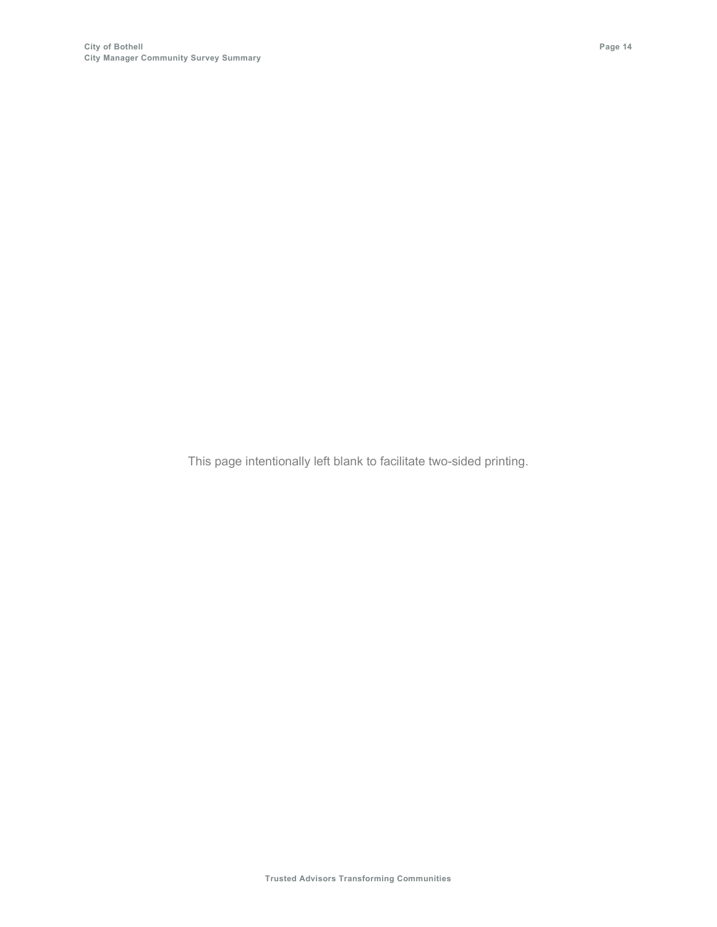This page intentionally left blank to facilitate two-sided printing.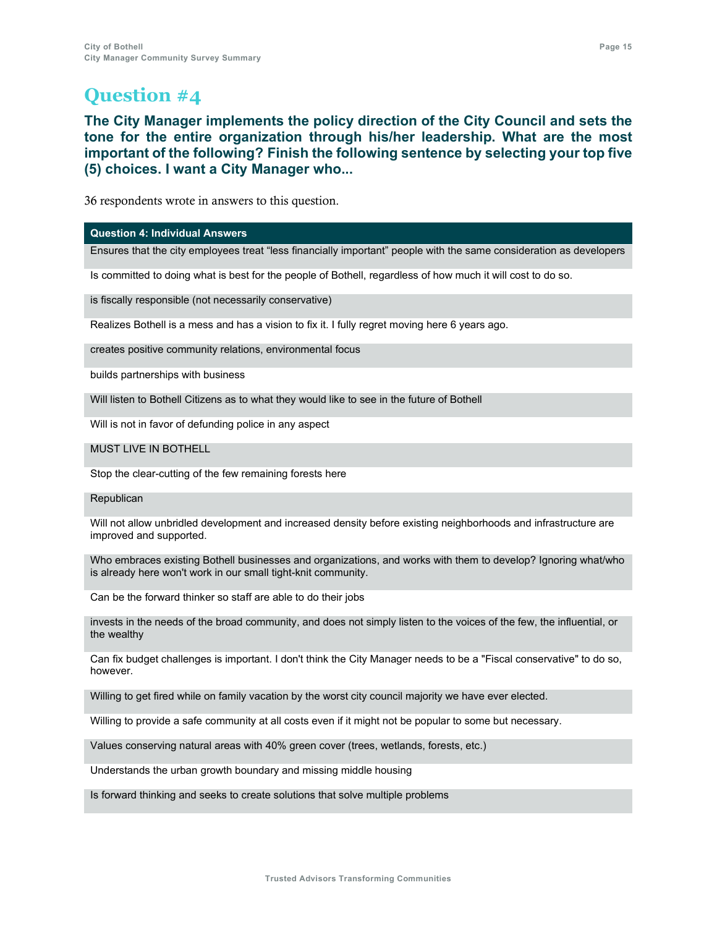**The City Manager implements the policy direction of the City Council and sets the tone for the entire organization through his/her leadership. What are the most important of the following? Finish the following sentence by selecting your top five (5) choices. I want a City Manager who...**

36 respondents wrote in answers to this question.

### **Question 4: Individual Answers**

Ensures that the city employees treat "less financially important" people with the same consideration as developers

Is committed to doing what is best for the people of Bothell, regardless of how much it will cost to do so.

is fiscally responsible (not necessarily conservative)

Realizes Bothell is a mess and has a vision to fix it. I fully regret moving here 6 years ago.

creates positive community relations, environmental focus

builds partnerships with business

Will listen to Bothell Citizens as to what they would like to see in the future of Bothell

Will is not in favor of defunding police in any aspect

MUST LIVE IN BOTHELL

Stop the clear-cutting of the few remaining forests here

### **Republican**

Will not allow unbridled development and increased density before existing neighborhoods and infrastructure are improved and supported.

Who embraces existing Bothell businesses and organizations, and works with them to develop? Ignoring what/who is already here won't work in our small tight-knit community.

Can be the forward thinker so staff are able to do their jobs

invests in the needs of the broad community, and does not simply listen to the voices of the few, the influential, or the wealthy

Can fix budget challenges is important. I don't think the City Manager needs to be a "Fiscal conservative" to do so, however.

Willing to get fired while on family vacation by the worst city council majority we have ever elected.

Willing to provide a safe community at all costs even if it might not be popular to some but necessary.

Values conserving natural areas with 40% green cover (trees, wetlands, forests, etc.)

Understands the urban growth boundary and missing middle housing

Is forward thinking and seeks to create solutions that solve multiple problems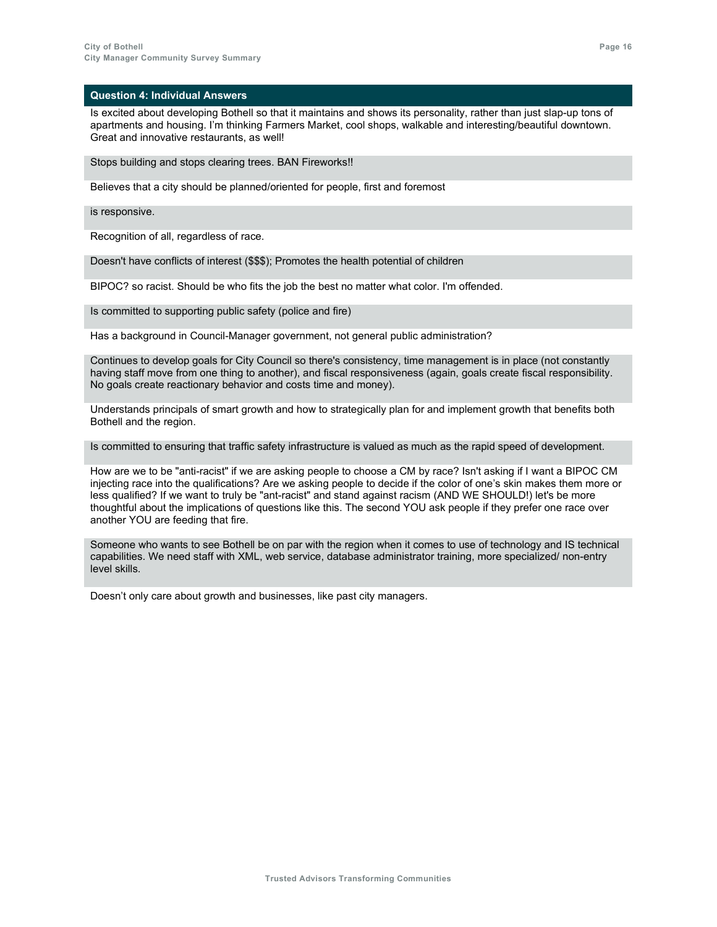Is excited about developing Bothell so that it maintains and shows its personality, rather than just slap-up tons of apartments and housing. I'm thinking Farmers Market, cool shops, walkable and interesting/beautiful downtown. Great and innovative restaurants, as well!

Stops building and stops clearing trees. BAN Fireworks!!

Believes that a city should be planned/oriented for people, first and foremost

is responsive.

Recognition of all, regardless of race.

Doesn't have conflicts of interest (\$\$\$); Promotes the health potential of children

BIPOC? so racist. Should be who fits the job the best no matter what color. I'm offended.

Is committed to supporting public safety (police and fire)

Has a background in Council-Manager government, not general public administration?

Continues to develop goals for City Council so there's consistency, time management is in place (not constantly having staff move from one thing to another), and fiscal responsiveness (again, goals create fiscal responsibility. No goals create reactionary behavior and costs time and money).

Understands principals of smart growth and how to strategically plan for and implement growth that benefits both Bothell and the region.

Is committed to ensuring that traffic safety infrastructure is valued as much as the rapid speed of development.

How are we to be "anti-racist" if we are asking people to choose a CM by race? Isn't asking if I want a BIPOC CM injecting race into the qualifications? Are we asking people to decide if the color of one's skin makes them more or less qualified? If we want to truly be "ant-racist" and stand against racism (AND WE SHOULD!) let's be more thoughtful about the implications of questions like this. The second YOU ask people if they prefer one race over another YOU are feeding that fire.

Someone who wants to see Bothell be on par with the region when it comes to use of technology and IS technical capabilities. We need staff with XML, web service, database administrator training, more specialized/ non-entry level skills.

Doesn't only care about growth and businesses, like past city managers.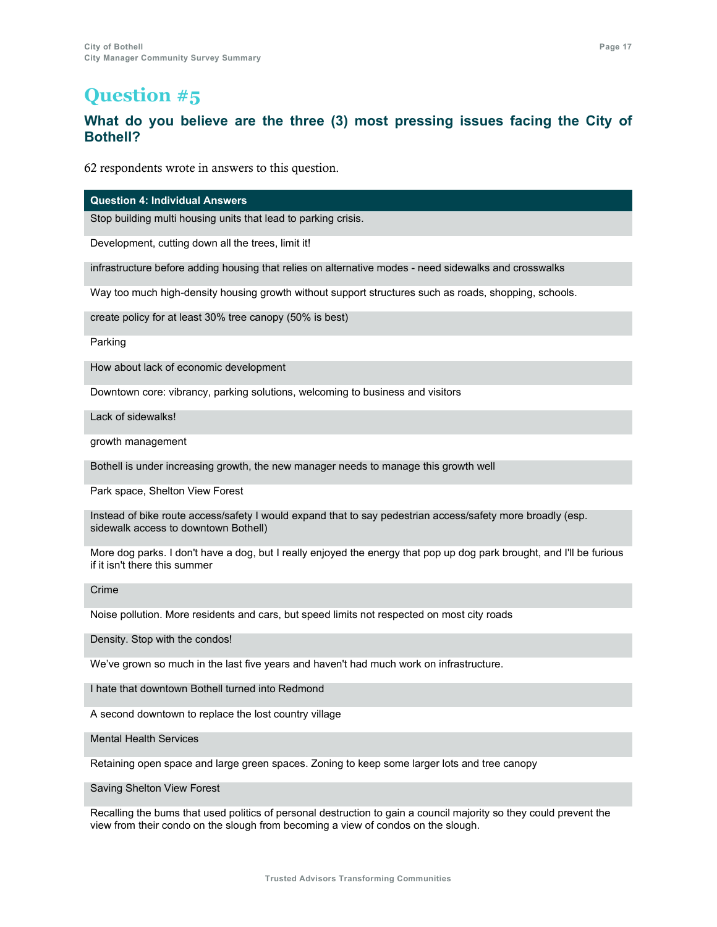### **What do you believe are the three (3) most pressing issues facing the City of Bothell?**

62 respondents wrote in answers to this question.

**Question 4: Individual Answers**

Stop building multi housing units that lead to parking crisis.

Development, cutting down all the trees, limit it!

infrastructure before adding housing that relies on alternative modes - need sidewalks and crosswalks

Way too much high-density housing growth without support structures such as roads, shopping, schools.

create policy for at least 30% tree canopy (50% is best)

Parking

How about lack of economic development

Downtown core: vibrancy, parking solutions, welcoming to business and visitors

Lack of sidewalks!

growth management

Bothell is under increasing growth, the new manager needs to manage this growth well

Park space, Shelton View Forest

Instead of bike route access/safety I would expand that to say pedestrian access/safety more broadly (esp. sidewalk access to downtown Bothell)

More dog parks. I don't have a dog, but I really enjoyed the energy that pop up dog park brought, and I'll be furious if it isn't there this summer

Crime

Noise pollution. More residents and cars, but speed limits not respected on most city roads

Density. Stop with the condos!

We've grown so much in the last five years and haven't had much work on infrastructure.

I hate that downtown Bothell turned into Redmond

A second downtown to replace the lost country village

Mental Health Services

Retaining open space and large green spaces. Zoning to keep some larger lots and tree canopy

Saving Shelton View Forest

Recalling the bums that used politics of personal destruction to gain a council majority so they could prevent the view from their condo on the slough from becoming a view of condos on the slough.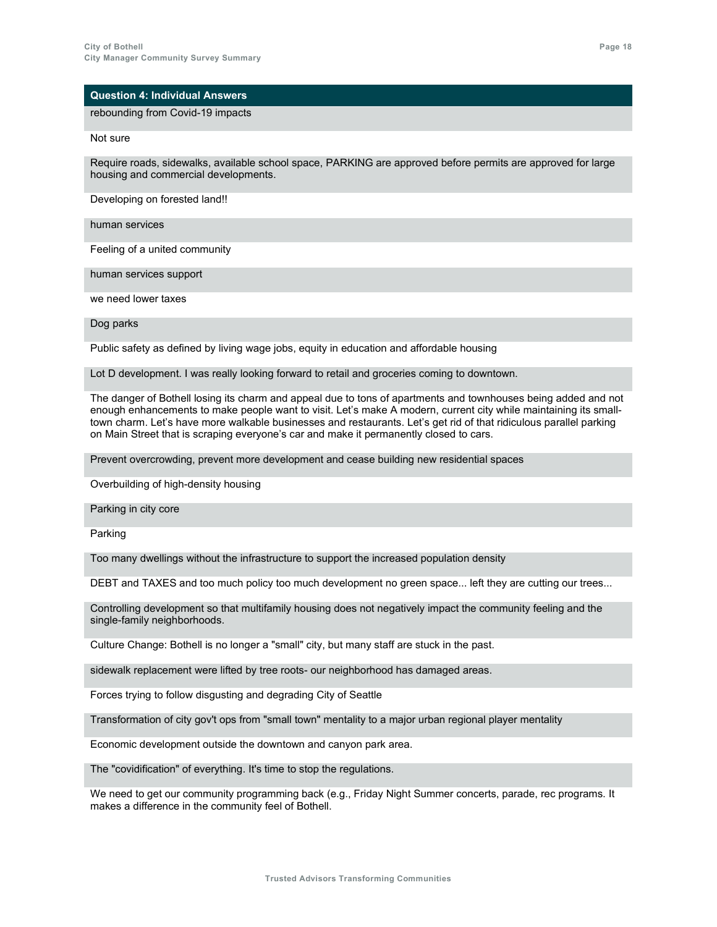### rebounding from Covid-19 impacts

Not sure

Require roads, sidewalks, available school space, PARKING are approved before permits are approved for large housing and commercial developments.

Developing on forested land!!

human services

Feeling of a united community

human services support

we need lower taxes

Dog parks

Public safety as defined by living wage jobs, equity in education and affordable housing

Lot D development. I was really looking forward to retail and groceries coming to downtown.

The danger of Bothell losing its charm and appeal due to tons of apartments and townhouses being added and not enough enhancements to make people want to visit. Let's make A modern, current city while maintaining its smalltown charm. Let's have more walkable businesses and restaurants. Let's get rid of that ridiculous parallel parking on Main Street that is scraping everyone's car and make it permanently closed to cars.

Prevent overcrowding, prevent more development and cease building new residential spaces

Overbuilding of high-density housing

Parking in city core

Parking

Too many dwellings without the infrastructure to support the increased population density

DEBT and TAXES and too much policy too much development no green space... left they are cutting our trees...

Controlling development so that multifamily housing does not negatively impact the community feeling and the single-family neighborhoods.

Culture Change: Bothell is no longer a "small" city, but many staff are stuck in the past.

sidewalk replacement were lifted by tree roots- our neighborhood has damaged areas.

Forces trying to follow disgusting and degrading City of Seattle

Transformation of city gov't ops from "small town" mentality to a major urban regional player mentality

Economic development outside the downtown and canyon park area.

The "covidification" of everything. It's time to stop the regulations.

We need to get our community programming back (e.g., Friday Night Summer concerts, parade, rec programs. It makes a difference in the community feel of Bothell.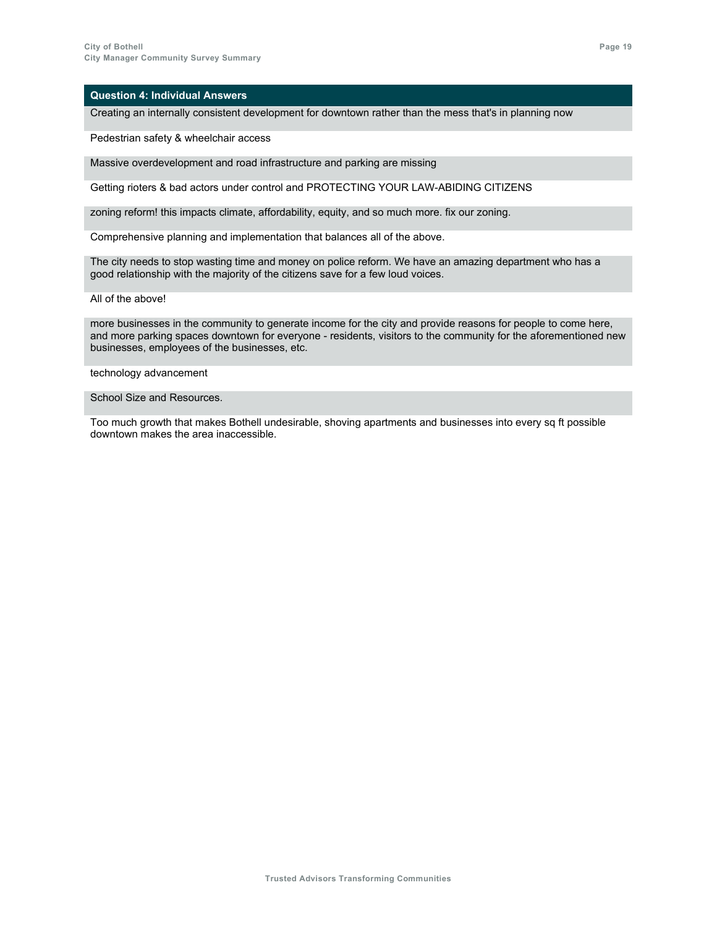Creating an internally consistent development for downtown rather than the mess that's in planning now

Pedestrian safety & wheelchair access

Massive overdevelopment and road infrastructure and parking are missing

Getting rioters & bad actors under control and PROTECTING YOUR LAW-ABIDING CITIZENS

zoning reform! this impacts climate, affordability, equity, and so much more. fix our zoning.

Comprehensive planning and implementation that balances all of the above.

The city needs to stop wasting time and money on police reform. We have an amazing department who has a good relationship with the majority of the citizens save for a few loud voices.

All of the above!

more businesses in the community to generate income for the city and provide reasons for people to come here, and more parking spaces downtown for everyone - residents, visitors to the community for the aforementioned new businesses, employees of the businesses, etc.

technology advancement

School Size and Resources.

Too much growth that makes Bothell undesirable, shoving apartments and businesses into every sq ft possible downtown makes the area inaccessible.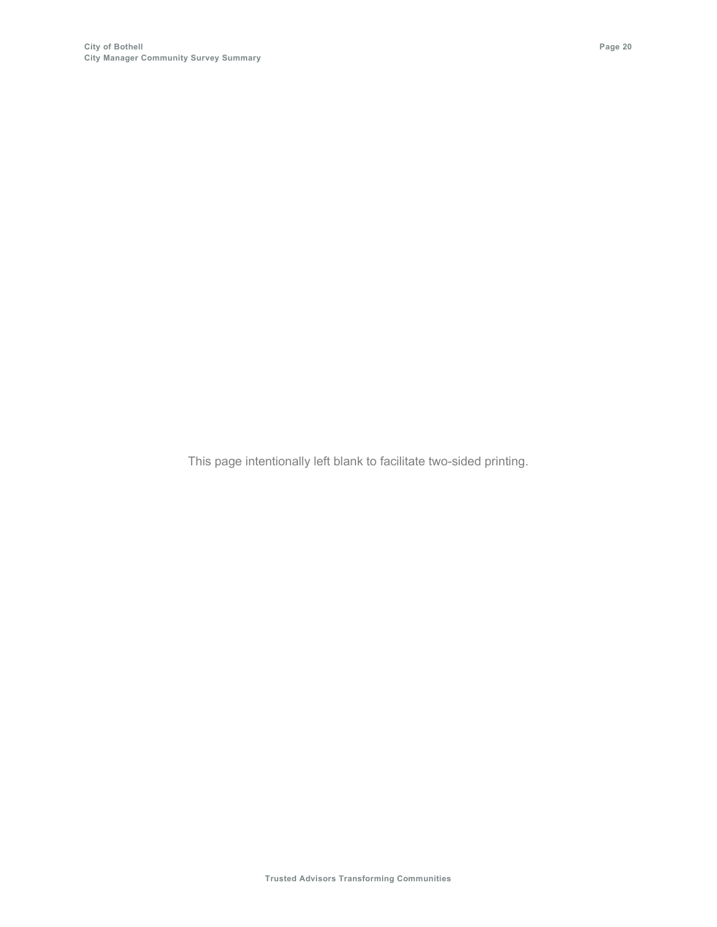This page intentionally left blank to facilitate two-sided printing.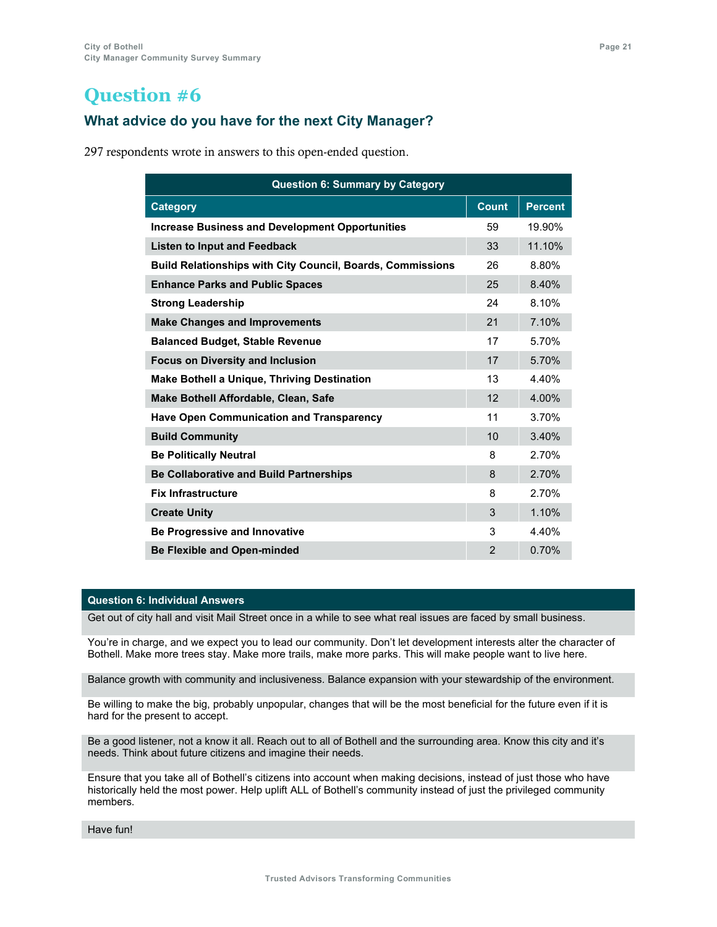### **What advice do you have for the next City Manager?**

297 respondents wrote in answers to this open-ended question.

| <b>Question 6: Summary by Category</b>                            |                |                |  |
|-------------------------------------------------------------------|----------------|----------------|--|
| <b>Category</b>                                                   | <b>Count</b>   | <b>Percent</b> |  |
| <b>Increase Business and Development Opportunities</b>            | 59             | 19.90%         |  |
| <b>Listen to Input and Feedback</b>                               | 33             | 11.10%         |  |
| <b>Build Relationships with City Council, Boards, Commissions</b> | 26             | 8.80%          |  |
| <b>Enhance Parks and Public Spaces</b>                            | 25             | 8.40%          |  |
| <b>Strong Leadership</b>                                          | 24             | 8.10%          |  |
| <b>Make Changes and Improvements</b>                              | 21             | 7.10%          |  |
| <b>Balanced Budget, Stable Revenue</b>                            | 17             | 5.70%          |  |
| <b>Focus on Diversity and Inclusion</b>                           | 17             | 5.70%          |  |
| <b>Make Bothell a Unique, Thriving Destination</b>                | 13             | 4.40%          |  |
| Make Bothell Affordable, Clean, Safe                              | 12             | 4.00%          |  |
| <b>Have Open Communication and Transparency</b>                   | 11             | 3.70%          |  |
| <b>Build Community</b>                                            | 10             | 3.40%          |  |
| <b>Be Politically Neutral</b>                                     | 8              | 2.70%          |  |
| <b>Be Collaborative and Build Partnerships</b>                    | 8              | 2.70%          |  |
| <b>Fix Infrastructure</b>                                         | 8              | 2.70%          |  |
| <b>Create Unity</b>                                               | 3              | 1.10%          |  |
| <b>Be Progressive and Innovative</b>                              | 3              | 4.40%          |  |
| <b>Be Flexible and Open-minded</b>                                | $\overline{2}$ | 0.70%          |  |

### **Question 6: Individual Answers**

Get out of city hall and visit Mail Street once in a while to see what real issues are faced by small business.

You're in charge, and we expect you to lead our community. Don't let development interests alter the character of Bothell. Make more trees stay. Make more trails, make more parks. This will make people want to live here.

Balance growth with community and inclusiveness. Balance expansion with your stewardship of the environment.

Be willing to make the big, probably unpopular, changes that will be the most beneficial for the future even if it is hard for the present to accept.

Be a good listener, not a know it all. Reach out to all of Bothell and the surrounding area. Know this city and it's needs. Think about future citizens and imagine their needs.

Ensure that you take all of Bothell's citizens into account when making decisions, instead of just those who have historically held the most power. Help uplift ALL of Bothell's community instead of just the privileged community members.

Have fun!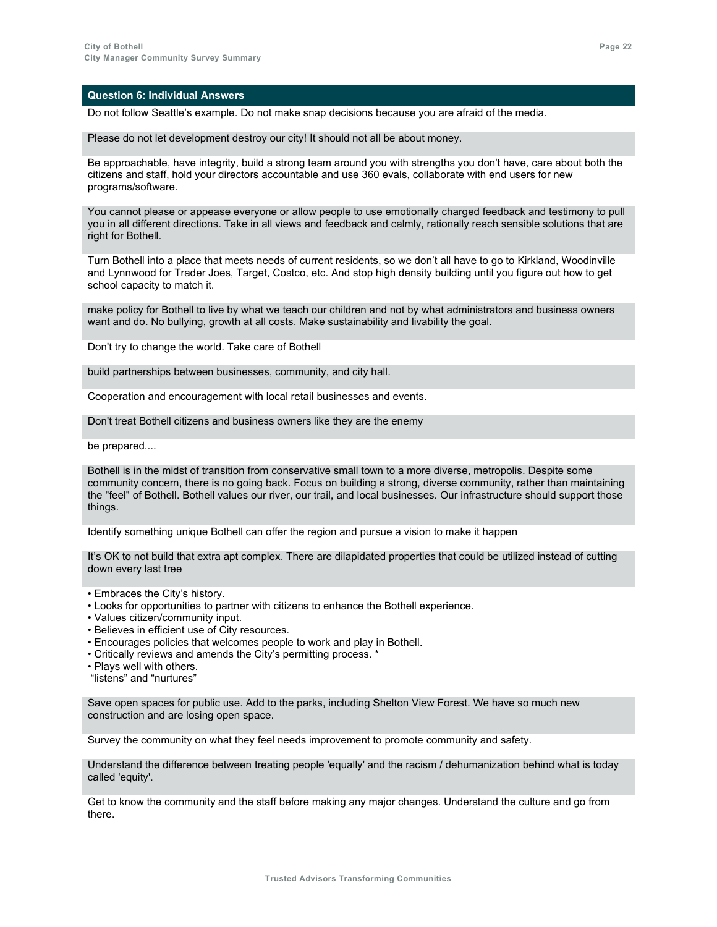Do not follow Seattle's example. Do not make snap decisions because you are afraid of the media.

Please do not let development destroy our city! It should not all be about money.

Be approachable, have integrity, build a strong team around you with strengths you don't have, care about both the citizens and staff, hold your directors accountable and use 360 evals, collaborate with end users for new programs/software.

You cannot please or appease everyone or allow people to use emotionally charged feedback and testimony to pull you in all different directions. Take in all views and feedback and calmly, rationally reach sensible solutions that are right for Bothell.

Turn Bothell into a place that meets needs of current residents, so we don't all have to go to Kirkland, Woodinville and Lynnwood for Trader Joes, Target, Costco, etc. And stop high density building until you figure out how to get school capacity to match it.

make policy for Bothell to live by what we teach our children and not by what administrators and business owners want and do. No bullying, growth at all costs. Make sustainability and livability the goal.

Don't try to change the world. Take care of Bothell

build partnerships between businesses, community, and city hall.

Cooperation and encouragement with local retail businesses and events.

Don't treat Bothell citizens and business owners like they are the enemy

be prepared....

Bothell is in the midst of transition from conservative small town to a more diverse, metropolis. Despite some community concern, there is no going back. Focus on building a strong, diverse community, rather than maintaining the "feel" of Bothell. Bothell values our river, our trail, and local businesses. Our infrastructure should support those things.

Identify something unique Bothell can offer the region and pursue a vision to make it happen

It's OK to not build that extra apt complex. There are dilapidated properties that could be utilized instead of cutting down every last tree

- Embraces the City's history.
- Looks for opportunities to partner with citizens to enhance the Bothell experience.
- Values citizen/community input.
- Believes in efficient use of City resources.
- Encourages policies that welcomes people to work and play in Bothell.
- Critically reviews and amends the City's permitting process. \*
- Plays well with others.
- "listens" and "nurtures"

Save open spaces for public use. Add to the parks, including Shelton View Forest. We have so much new construction and are losing open space.

Survey the community on what they feel needs improvement to promote community and safety.

Understand the difference between treating people 'equally' and the racism / dehumanization behind what is today called 'equity'.

Get to know the community and the staff before making any major changes. Understand the culture and go from there.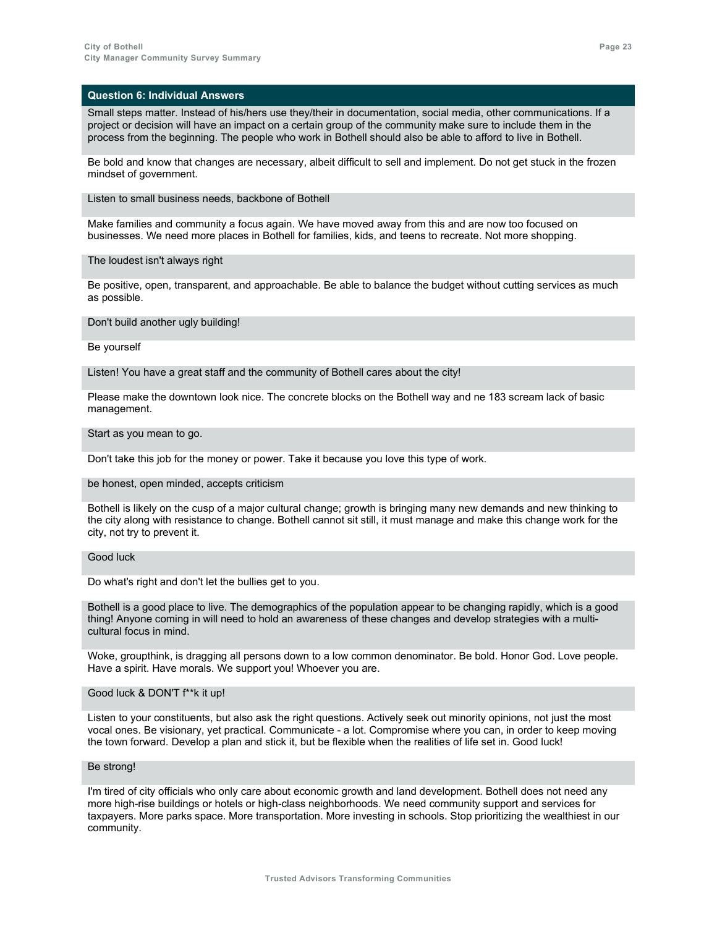Small steps matter. Instead of his/hers use they/their in documentation, social media, other communications. If a project or decision will have an impact on a certain group of the community make sure to include them in the process from the beginning. The people who work in Bothell should also be able to afford to live in Bothell.

Be bold and know that changes are necessary, albeit difficult to sell and implement. Do not get stuck in the frozen mindset of government.

Listen to small business needs, backbone of Bothell

Make families and community a focus again. We have moved away from this and are now too focused on businesses. We need more places in Bothell for families, kids, and teens to recreate. Not more shopping.

The loudest isn't always right

Be positive, open, transparent, and approachable. Be able to balance the budget without cutting services as much as possible.

Don't build another ugly building!

Be yourself

Listen! You have a great staff and the community of Bothell cares about the city!

Please make the downtown look nice. The concrete blocks on the Bothell way and ne 183 scream lack of basic management.

#### Start as you mean to go.

Don't take this job for the money or power. Take it because you love this type of work.

be honest, open minded, accepts criticism

Bothell is likely on the cusp of a major cultural change; growth is bringing many new demands and new thinking to the city along with resistance to change. Bothell cannot sit still, it must manage and make this change work for the city, not try to prevent it.

### Good luck

Do what's right and don't let the bullies get to you.

Bothell is a good place to live. The demographics of the population appear to be changing rapidly, which is a good thing! Anyone coming in will need to hold an awareness of these changes and develop strategies with a multicultural focus in mind.

Woke, groupthink, is dragging all persons down to a low common denominator. Be bold. Honor God. Love people. Have a spirit. Have morals. We support you! Whoever you are.

### Good luck & DON'T f\*\*k it up!

Listen to your constituents, but also ask the right questions. Actively seek out minority opinions, not just the most vocal ones. Be visionary, yet practical. Communicate - a lot. Compromise where you can, in order to keep moving the town forward. Develop a plan and stick it, but be flexible when the realities of life set in. Good luck!

### Be strong!

I'm tired of city officials who only care about economic growth and land development. Bothell does not need any more high-rise buildings or hotels or high-class neighborhoods. We need community support and services for taxpayers. More parks space. More transportation. More investing in schools. Stop prioritizing the wealthiest in our community.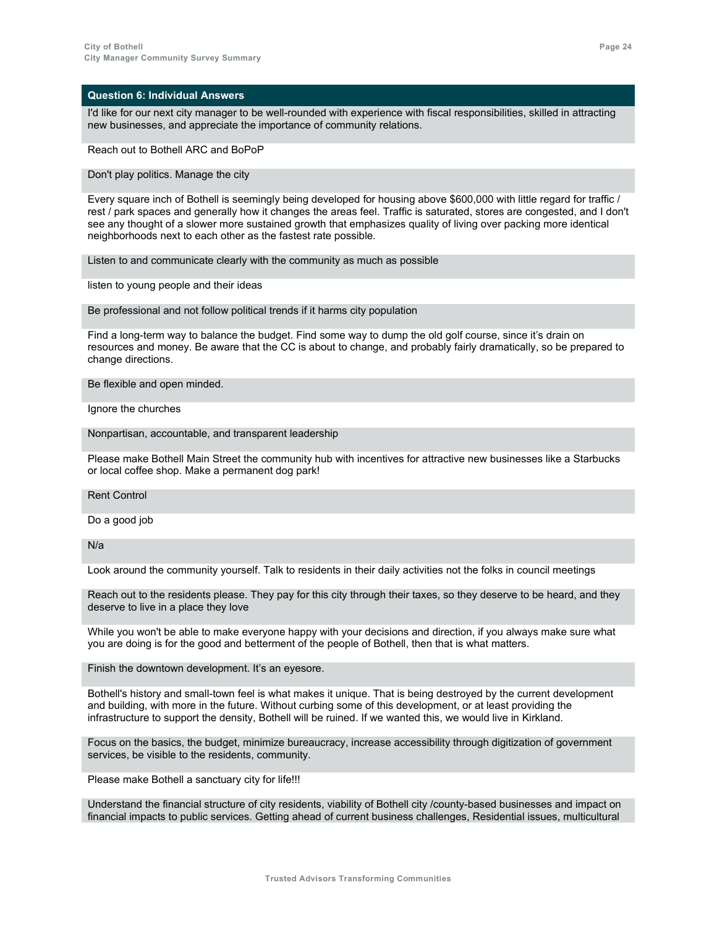I'd like for our next city manager to be well-rounded with experience with fiscal responsibilities, skilled in attracting new businesses, and appreciate the importance of community relations.

Reach out to Bothell ARC and BoPoP

Don't play politics. Manage the city

Every square inch of Bothell is seemingly being developed for housing above \$600,000 with little regard for traffic / rest / park spaces and generally how it changes the areas feel. Traffic is saturated, stores are congested, and I don't see any thought of a slower more sustained growth that emphasizes quality of living over packing more identical neighborhoods next to each other as the fastest rate possible.

Listen to and communicate clearly with the community as much as possible

listen to young people and their ideas

Be professional and not follow political trends if it harms city population

Find a long-term way to balance the budget. Find some way to dump the old golf course, since it's drain on resources and money. Be aware that the CC is about to change, and probably fairly dramatically, so be prepared to change directions.

Be flexible and open minded.

Ignore the churches

Nonpartisan, accountable, and transparent leadership

Please make Bothell Main Street the community hub with incentives for attractive new businesses like a Starbucks or local coffee shop. Make a permanent dog park!

Rent Control

Do a good job

N/a

Look around the community yourself. Talk to residents in their daily activities not the folks in council meetings

Reach out to the residents please. They pay for this city through their taxes, so they deserve to be heard, and they deserve to live in a place they love

While you won't be able to make everyone happy with your decisions and direction, if you always make sure what you are doing is for the good and betterment of the people of Bothell, then that is what matters.

Finish the downtown development. It's an eyesore.

Bothell's history and small-town feel is what makes it unique. That is being destroyed by the current development and building, with more in the future. Without curbing some of this development, or at least providing the infrastructure to support the density, Bothell will be ruined. If we wanted this, we would live in Kirkland.

Focus on the basics, the budget, minimize bureaucracy, increase accessibility through digitization of government services, be visible to the residents, community.

Please make Bothell a sanctuary city for life!!!

Understand the financial structure of city residents, viability of Bothell city /county-based businesses and impact on financial impacts to public services. Getting ahead of current business challenges, Residential issues, multicultural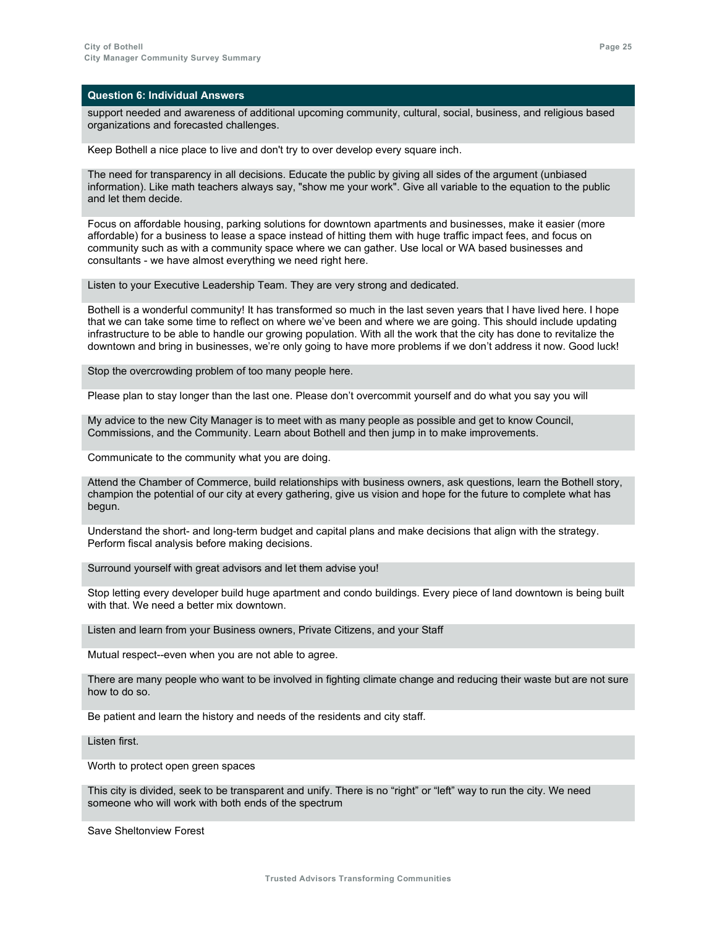support needed and awareness of additional upcoming community, cultural, social, business, and religious based organizations and forecasted challenges.

Keep Bothell a nice place to live and don't try to over develop every square inch.

The need for transparency in all decisions. Educate the public by giving all sides of the argument (unbiased information). Like math teachers always say, "show me your work". Give all variable to the equation to the public and let them decide.

Focus on affordable housing, parking solutions for downtown apartments and businesses, make it easier (more affordable) for a business to lease a space instead of hitting them with huge traffic impact fees, and focus on community such as with a community space where we can gather. Use local or WA based businesses and consultants - we have almost everything we need right here.

Listen to your Executive Leadership Team. They are very strong and dedicated.

Bothell is a wonderful community! It has transformed so much in the last seven years that I have lived here. I hope that we can take some time to reflect on where we've been and where we are going. This should include updating infrastructure to be able to handle our growing population. With all the work that the city has done to revitalize the downtown and bring in businesses, we're only going to have more problems if we don't address it now. Good luck!

Stop the overcrowding problem of too many people here.

Please plan to stay longer than the last one. Please don't overcommit yourself and do what you say you will

My advice to the new City Manager is to meet with as many people as possible and get to know Council, Commissions, and the Community. Learn about Bothell and then jump in to make improvements.

Communicate to the community what you are doing.

Attend the Chamber of Commerce, build relationships with business owners, ask questions, learn the Bothell story, champion the potential of our city at every gathering, give us vision and hope for the future to complete what has begun.

Understand the short- and long-term budget and capital plans and make decisions that align with the strategy. Perform fiscal analysis before making decisions.

Surround yourself with great advisors and let them advise you!

Stop letting every developer build huge apartment and condo buildings. Every piece of land downtown is being built with that. We need a better mix downtown.

Listen and learn from your Business owners, Private Citizens, and your Staff

Mutual respect--even when you are not able to agree.

There are many people who want to be involved in fighting climate change and reducing their waste but are not sure how to do so.

Be patient and learn the history and needs of the residents and city staff.

Listen first.

Worth to protect open green spaces

This city is divided, seek to be transparent and unify. There is no "right" or "left" way to run the city. We need someone who will work with both ends of the spectrum

Save Sheltonview Forest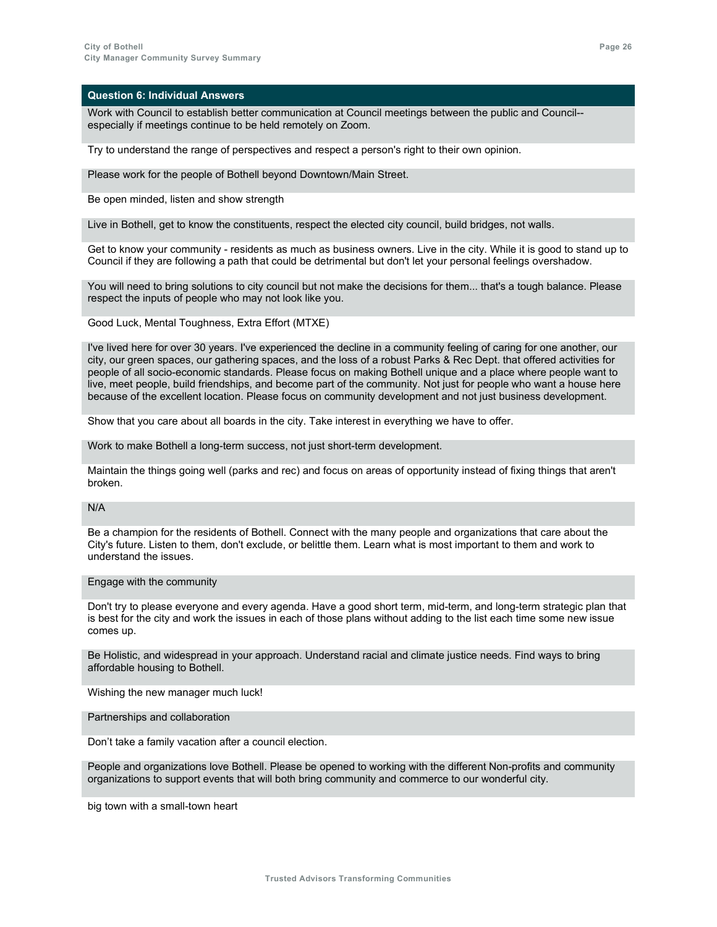Work with Council to establish better communication at Council meetings between the public and Council- especially if meetings continue to be held remotely on Zoom.

Try to understand the range of perspectives and respect a person's right to their own opinion.

Please work for the people of Bothell beyond Downtown/Main Street.

Be open minded, listen and show strength

Live in Bothell, get to know the constituents, respect the elected city council, build bridges, not walls.

Get to know your community - residents as much as business owners. Live in the city. While it is good to stand up to Council if they are following a path that could be detrimental but don't let your personal feelings overshadow.

You will need to bring solutions to city council but not make the decisions for them... that's a tough balance. Please respect the inputs of people who may not look like you.

Good Luck, Mental Toughness, Extra Effort (MTXE)

I've lived here for over 30 years. I've experienced the decline in a community feeling of caring for one another, our city, our green spaces, our gathering spaces, and the loss of a robust Parks & Rec Dept. that offered activities for people of all socio-economic standards. Please focus on making Bothell unique and a place where people want to live, meet people, build friendships, and become part of the community. Not just for people who want a house here because of the excellent location. Please focus on community development and not just business development.

Show that you care about all boards in the city. Take interest in everything we have to offer.

Work to make Bothell a long-term success, not just short-term development.

Maintain the things going well (parks and rec) and focus on areas of opportunity instead of fixing things that aren't broken.

N/A

Be a champion for the residents of Bothell. Connect with the many people and organizations that care about the City's future. Listen to them, don't exclude, or belittle them. Learn what is most important to them and work to understand the issues.

#### Engage with the community

Don't try to please everyone and every agenda. Have a good short term, mid-term, and long-term strategic plan that is best for the city and work the issues in each of those plans without adding to the list each time some new issue comes up.

Be Holistic, and widespread in your approach. Understand racial and climate justice needs. Find ways to bring affordable housing to Bothell.

Wishing the new manager much luck!

Partnerships and collaboration

Don't take a family vacation after a council election.

People and organizations love Bothell. Please be opened to working with the different Non-profits and community organizations to support events that will both bring community and commerce to our wonderful city.

big town with a small-town heart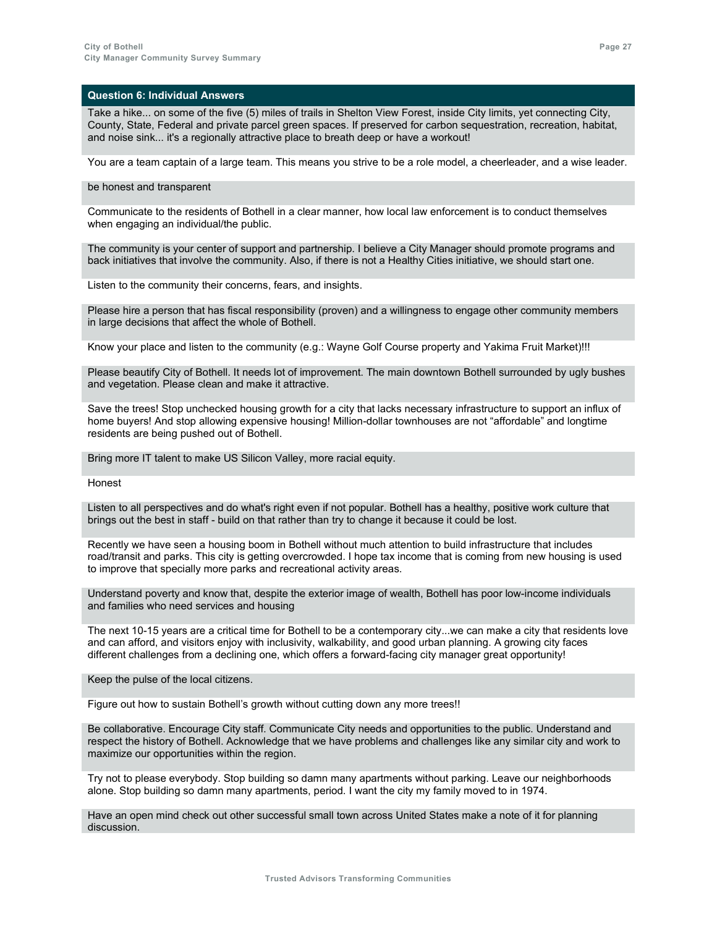Take a hike... on some of the five (5) miles of trails in Shelton View Forest, inside City limits, yet connecting City, County, State, Federal and private parcel green spaces. If preserved for carbon sequestration, recreation, habitat, and noise sink... it's a regionally attractive place to breath deep or have a workout!

You are a team captain of a large team. This means you strive to be a role model, a cheerleader, and a wise leader.

### be honest and transparent

Communicate to the residents of Bothell in a clear manner, how local law enforcement is to conduct themselves when engaging an individual/the public.

The community is your center of support and partnership. I believe a City Manager should promote programs and back initiatives that involve the community. Also, if there is not a Healthy Cities initiative, we should start one.

Listen to the community their concerns, fears, and insights.

Please hire a person that has fiscal responsibility (proven) and a willingness to engage other community members in large decisions that affect the whole of Bothell.

Know your place and listen to the community (e.g.: Wayne Golf Course property and Yakima Fruit Market)!!!

Please beautify City of Bothell. It needs lot of improvement. The main downtown Bothell surrounded by ugly bushes and vegetation. Please clean and make it attractive.

Save the trees! Stop unchecked housing growth for a city that lacks necessary infrastructure to support an influx of home buyers! And stop allowing expensive housing! Million-dollar townhouses are not "affordable" and longtime residents are being pushed out of Bothell.

Bring more IT talent to make US Silicon Valley, more racial equity.

Honest

Listen to all perspectives and do what's right even if not popular. Bothell has a healthy, positive work culture that brings out the best in staff - build on that rather than try to change it because it could be lost.

Recently we have seen a housing boom in Bothell without much attention to build infrastructure that includes road/transit and parks. This city is getting overcrowded. I hope tax income that is coming from new housing is used to improve that specially more parks and recreational activity areas.

Understand poverty and know that, despite the exterior image of wealth, Bothell has poor low-income individuals and families who need services and housing

The next 10-15 years are a critical time for Bothell to be a contemporary city...we can make a city that residents love and can afford, and visitors enjoy with inclusivity, walkability, and good urban planning. A growing city faces different challenges from a declining one, which offers a forward-facing city manager great opportunity!

Keep the pulse of the local citizens.

Figure out how to sustain Bothell's growth without cutting down any more trees!!

Be collaborative. Encourage City staff. Communicate City needs and opportunities to the public. Understand and respect the history of Bothell. Acknowledge that we have problems and challenges like any similar city and work to maximize our opportunities within the region.

Try not to please everybody. Stop building so damn many apartments without parking. Leave our neighborhoods alone. Stop building so damn many apartments, period. I want the city my family moved to in 1974.

Have an open mind check out other successful small town across United States make a note of it for planning discussion.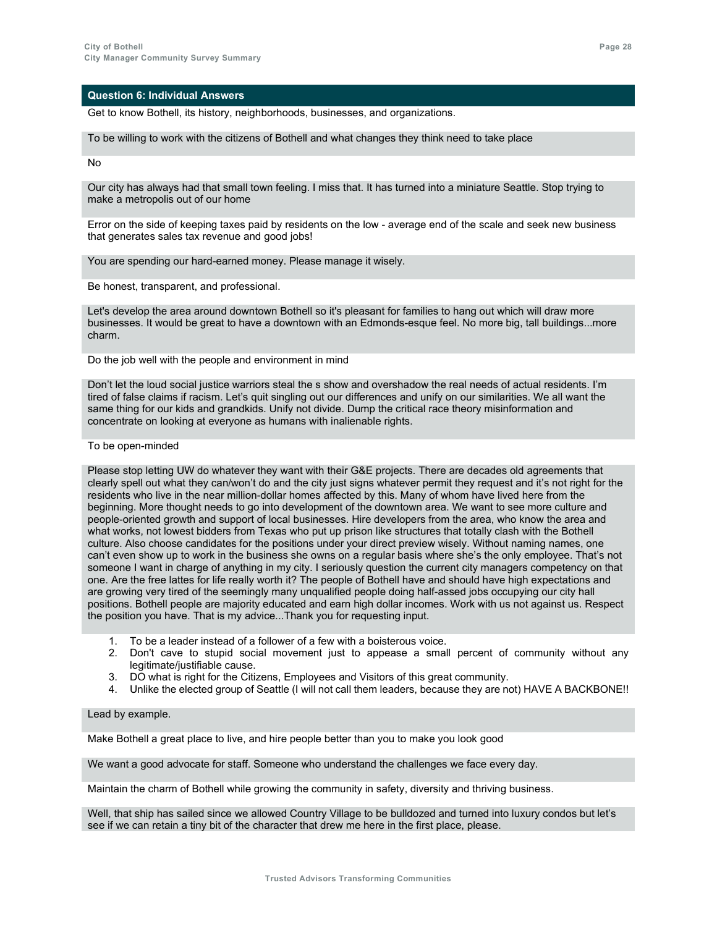Get to know Bothell, its history, neighborhoods, businesses, and organizations.

To be willing to work with the citizens of Bothell and what changes they think need to take place

No

Our city has always had that small town feeling. I miss that. It has turned into a miniature Seattle. Stop trying to make a metropolis out of our home

Error on the side of keeping taxes paid by residents on the low - average end of the scale and seek new business that generates sales tax revenue and good jobs!

You are spending our hard-earned money. Please manage it wisely.

Be honest, transparent, and professional.

Let's develop the area around downtown Bothell so it's pleasant for families to hang out which will draw more businesses. It would be great to have a downtown with an Edmonds-esque feel. No more big, tall buildings...more charm.

Do the job well with the people and environment in mind

Don't let the loud social justice warriors steal the s show and overshadow the real needs of actual residents. I'm tired of false claims if racism. Let's quit singling out our differences and unify on our similarities. We all want the same thing for our kids and grandkids. Unify not divide. Dump the critical race theory misinformation and concentrate on looking at everyone as humans with inalienable rights.

### To be open-minded

Please stop letting UW do whatever they want with their G&E projects. There are decades old agreements that clearly spell out what they can/won't do and the city just signs whatever permit they request and it's not right for the residents who live in the near million-dollar homes affected by this. Many of whom have lived here from the beginning. More thought needs to go into development of the downtown area. We want to see more culture and people-oriented growth and support of local businesses. Hire developers from the area, who know the area and what works, not lowest bidders from Texas who put up prison like structures that totally clash with the Bothell culture. Also choose candidates for the positions under your direct preview wisely. Without naming names, one can't even show up to work in the business she owns on a regular basis where she's the only employee. That's not someone I want in charge of anything in my city. I seriously question the current city managers competency on that one. Are the free lattes for life really worth it? The people of Bothell have and should have high expectations and are growing very tired of the seemingly many unqualified people doing half-assed jobs occupying our city hall positions. Bothell people are majority educated and earn high dollar incomes. Work with us not against us. Respect the position you have. That is my advice...Thank you for requesting input.

- 1. To be a leader instead of a follower of a few with a boisterous voice.
- 2. Don't cave to stupid social movement just to appease a small percent of community without any legitimate/justifiable cause.
- 3. DO what is right for the Citizens, Employees and Visitors of this great community.
- 4. Unlike the elected group of Seattle (I will not call them leaders, because they are not) HAVE A BACKBONE!!

### Lead by example.

Make Bothell a great place to live, and hire people better than you to make you look good

We want a good advocate for staff. Someone who understand the challenges we face every day.

Maintain the charm of Bothell while growing the community in safety, diversity and thriving business.

Well, that ship has sailed since we allowed Country Village to be bulldozed and turned into luxury condos but let's see if we can retain a tiny bit of the character that drew me here in the first place, please.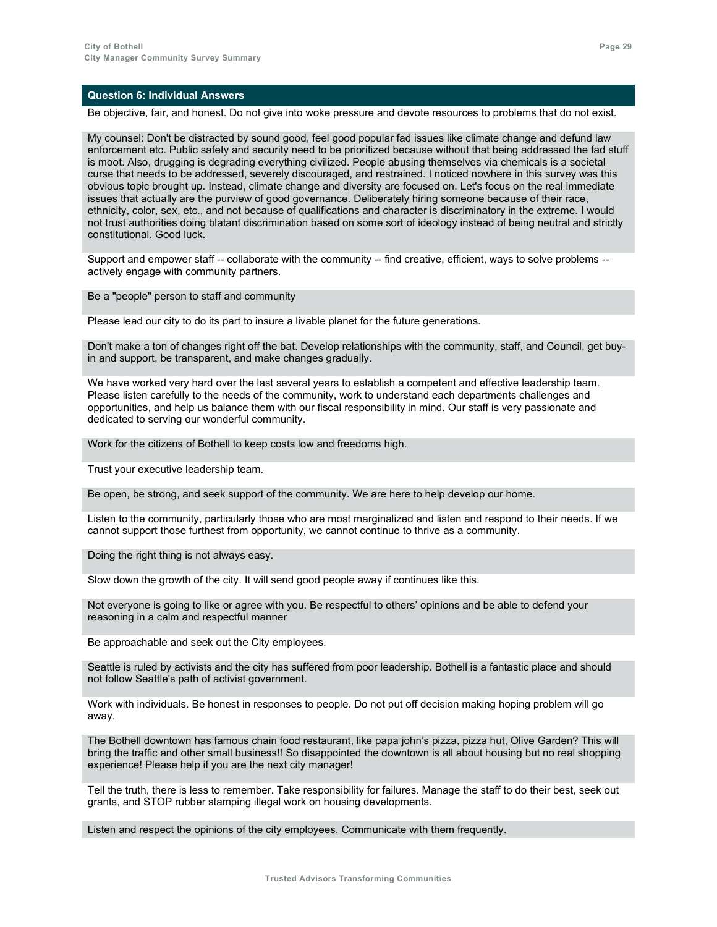Be objective, fair, and honest. Do not give into woke pressure and devote resources to problems that do not exist.

My counsel: Don't be distracted by sound good, feel good popular fad issues like climate change and defund law enforcement etc. Public safety and security need to be prioritized because without that being addressed the fad stuff is moot. Also, drugging is degrading everything civilized. People abusing themselves via chemicals is a societal curse that needs to be addressed, severely discouraged, and restrained. I noticed nowhere in this survey was this obvious topic brought up. Instead, climate change and diversity are focused on. Let's focus on the real immediate issues that actually are the purview of good governance. Deliberately hiring someone because of their race, ethnicity, color, sex, etc., and not because of qualifications and character is discriminatory in the extreme. I would not trust authorities doing blatant discrimination based on some sort of ideology instead of being neutral and strictly constitutional. Good luck.

Support and empower staff -- collaborate with the community -- find creative, efficient, ways to solve problems - actively engage with community partners.

Be a "people" person to staff and community

Please lead our city to do its part to insure a livable planet for the future generations.

Don't make a ton of changes right off the bat. Develop relationships with the community, staff, and Council, get buyin and support, be transparent, and make changes gradually.

We have worked very hard over the last several years to establish a competent and effective leadership team. Please listen carefully to the needs of the community, work to understand each departments challenges and opportunities, and help us balance them with our fiscal responsibility in mind. Our staff is very passionate and dedicated to serving our wonderful community.

Work for the citizens of Bothell to keep costs low and freedoms high.

Trust your executive leadership team.

Be open, be strong, and seek support of the community. We are here to help develop our home.

Listen to the community, particularly those who are most marginalized and listen and respond to their needs. If we cannot support those furthest from opportunity, we cannot continue to thrive as a community.

Doing the right thing is not always easy.

Slow down the growth of the city. It will send good people away if continues like this.

Not everyone is going to like or agree with you. Be respectful to others' opinions and be able to defend your reasoning in a calm and respectful manner

Be approachable and seek out the City employees.

Seattle is ruled by activists and the city has suffered from poor leadership. Bothell is a fantastic place and should not follow Seattle's path of activist government.

Work with individuals. Be honest in responses to people. Do not put off decision making hoping problem will go away.

The Bothell downtown has famous chain food restaurant, like papa john's pizza, pizza hut, Olive Garden? This will bring the traffic and other small business!! So disappointed the downtown is all about housing but no real shopping experience! Please help if you are the next city manager!

Tell the truth, there is less to remember. Take responsibility for failures. Manage the staff to do their best, seek out grants, and STOP rubber stamping illegal work on housing developments.

Listen and respect the opinions of the city employees. Communicate with them frequently.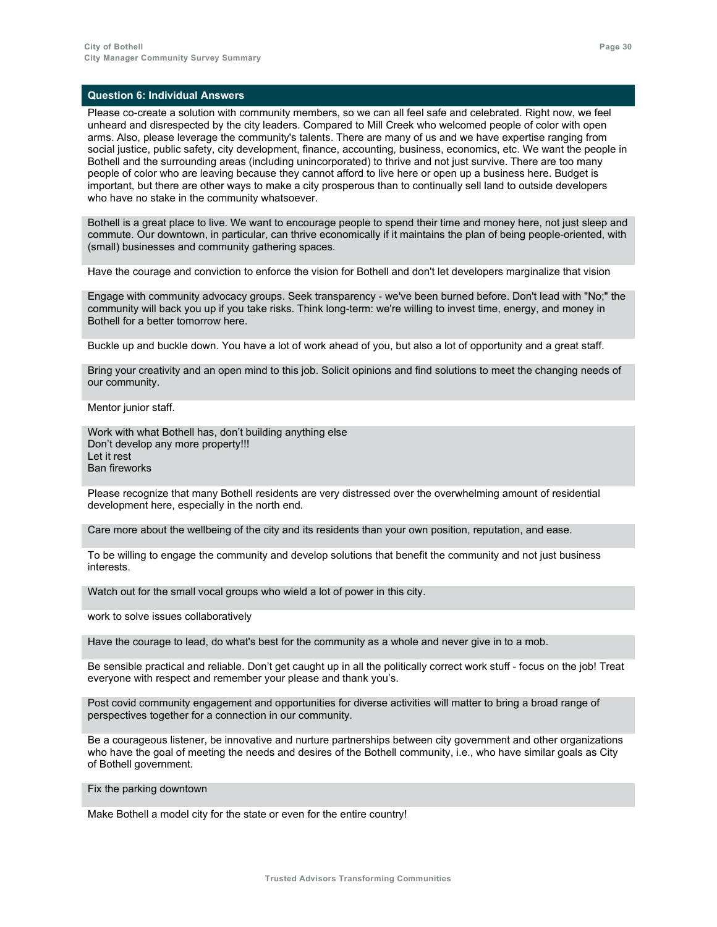Please co-create a solution with community members, so we can all feel safe and celebrated. Right now, we feel unheard and disrespected by the city leaders. Compared to Mill Creek who welcomed people of color with open arms. Also, please leverage the community's talents. There are many of us and we have expertise ranging from social justice, public safety, city development, finance, accounting, business, economics, etc. We want the people in Bothell and the surrounding areas (including unincorporated) to thrive and not just survive. There are too many people of color who are leaving because they cannot afford to live here or open up a business here. Budget is important, but there are other ways to make a city prosperous than to continually sell land to outside developers who have no stake in the community whatsoever.

Bothell is a great place to live. We want to encourage people to spend their time and money here, not just sleep and commute. Our downtown, in particular, can thrive economically if it maintains the plan of being people-oriented, with (small) businesses and community gathering spaces.

Have the courage and conviction to enforce the vision for Bothell and don't let developers marginalize that vision

Engage with community advocacy groups. Seek transparency - we've been burned before. Don't lead with "No;" the community will back you up if you take risks. Think long-term: we're willing to invest time, energy, and money in Bothell for a better tomorrow here.

Buckle up and buckle down. You have a lot of work ahead of you, but also a lot of opportunity and a great staff.

Bring your creativity and an open mind to this job. Solicit opinions and find solutions to meet the changing needs of our community.

Mentor junior staff.

Work with what Bothell has, don't building anything else Don't develop any more property!!! Let it rest Ban fireworks

Please recognize that many Bothell residents are very distressed over the overwhelming amount of residential development here, especially in the north end.

Care more about the wellbeing of the city and its residents than your own position, reputation, and ease.

To be willing to engage the community and develop solutions that benefit the community and not just business interests.

Watch out for the small vocal groups who wield a lot of power in this city.

work to solve issues collaboratively

Have the courage to lead, do what's best for the community as a whole and never give in to a mob.

Be sensible practical and reliable. Don't get caught up in all the politically correct work stuff - focus on the job! Treat everyone with respect and remember your please and thank you's.

Post covid community engagement and opportunities for diverse activities will matter to bring a broad range of perspectives together for a connection in our community.

Be a courageous listener, be innovative and nurture partnerships between city government and other organizations who have the goal of meeting the needs and desires of the Bothell community, i.e., who have similar goals as City of Bothell government.

Fix the parking downtown

Make Bothell a model city for the state or even for the entire country!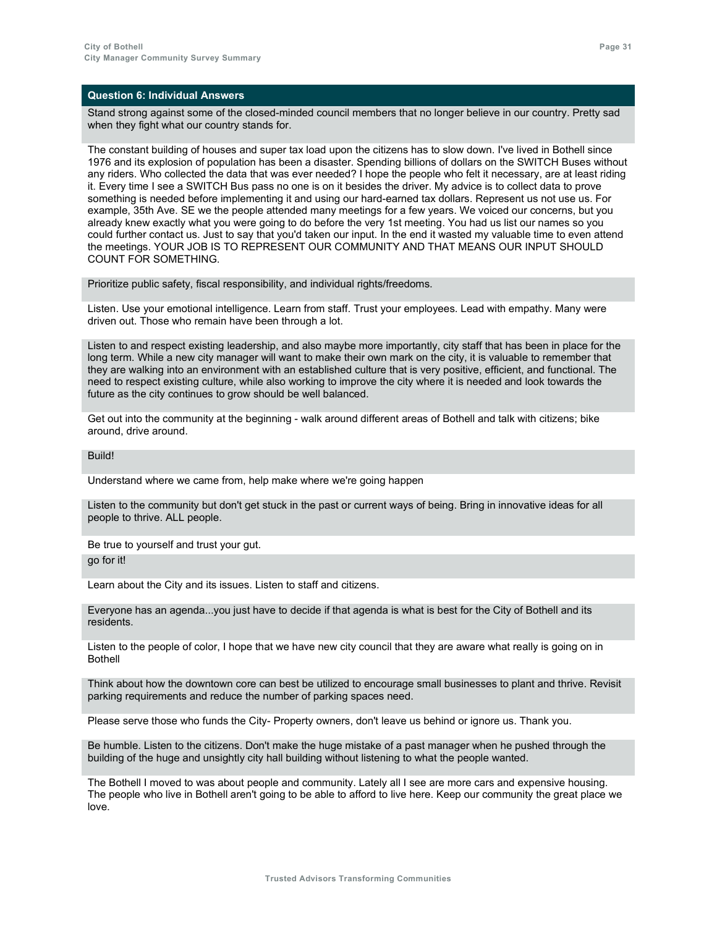Stand strong against some of the closed-minded council members that no longer believe in our country. Pretty sad when they fight what our country stands for.

The constant building of houses and super tax load upon the citizens has to slow down. I've lived in Bothell since 1976 and its explosion of population has been a disaster. Spending billions of dollars on the SWITCH Buses without any riders. Who collected the data that was ever needed? I hope the people who felt it necessary, are at least riding it. Every time I see a SWITCH Bus pass no one is on it besides the driver. My advice is to collect data to prove something is needed before implementing it and using our hard-earned tax dollars. Represent us not use us. For example, 35th Ave. SE we the people attended many meetings for a few years. We voiced our concerns, but you already knew exactly what you were going to do before the very 1st meeting. You had us list our names so you could further contact us. Just to say that you'd taken our input. In the end it wasted my valuable time to even attend the meetings. YOUR JOB IS TO REPRESENT OUR COMMUNITY AND THAT MEANS OUR INPUT SHOULD COUNT FOR SOMETHING.

Prioritize public safety, fiscal responsibility, and individual rights/freedoms.

Listen. Use your emotional intelligence. Learn from staff. Trust your employees. Lead with empathy. Many were driven out. Those who remain have been through a lot.

Listen to and respect existing leadership, and also maybe more importantly, city staff that has been in place for the long term. While a new city manager will want to make their own mark on the city, it is valuable to remember that they are walking into an environment with an established culture that is very positive, efficient, and functional. The need to respect existing culture, while also working to improve the city where it is needed and look towards the future as the city continues to grow should be well balanced.

Get out into the community at the beginning - walk around different areas of Bothell and talk with citizens; bike around, drive around.

**Build!** 

Understand where we came from, help make where we're going happen

Listen to the community but don't get stuck in the past or current ways of being. Bring in innovative ideas for all people to thrive. ALL people.

Be true to yourself and trust your gut. go for it!

Learn about the City and its issues. Listen to staff and citizens.

Everyone has an agenda...you just have to decide if that agenda is what is best for the City of Bothell and its residents.

Listen to the people of color, I hope that we have new city council that they are aware what really is going on in Bothell

Think about how the downtown core can best be utilized to encourage small businesses to plant and thrive. Revisit parking requirements and reduce the number of parking spaces need.

Please serve those who funds the City- Property owners, don't leave us behind or ignore us. Thank you.

Be humble. Listen to the citizens. Don't make the huge mistake of a past manager when he pushed through the building of the huge and unsightly city hall building without listening to what the people wanted.

The Bothell I moved to was about people and community. Lately all I see are more cars and expensive housing. The people who live in Bothell aren't going to be able to afford to live here. Keep our community the great place we love.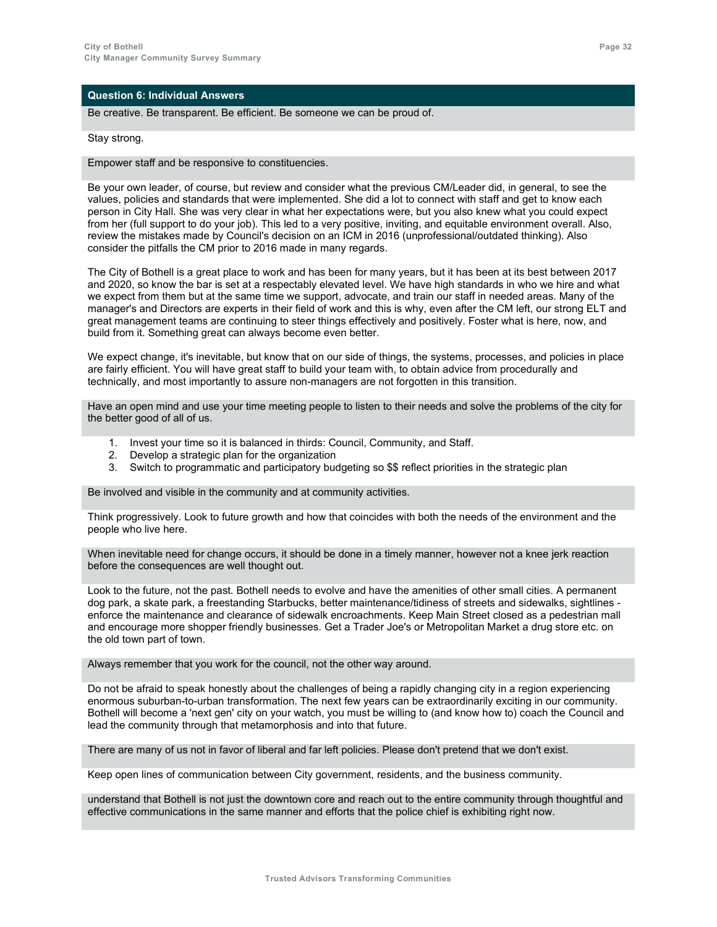Be creative. Be transparent. Be efficient. Be someone we can be proud of.

Stay strong.

Empower staff and be responsive to constituencies.

Be your own leader, of course, but review and consider what the previous CM/Leader did, in general, to see the values, policies and standards that were implemented. She did a lot to connect with staff and get to know each person in City Hall. She was very clear in what her expectations were, but you also knew what you could expect from her (full support to do your job). This led to a very positive, inviting, and equitable environment overall. Also, review the mistakes made by Council's decision on an ICM in 2016 (unprofessional/outdated thinking). Also consider the pitfalls the CM prior to 2016 made in many regards.

The City of Bothell is a great place to work and has been for many years, but it has been at its best between 2017 and 2020, so know the bar is set at a respectably elevated level. We have high standards in who we hire and what we expect from them but at the same time we support, advocate, and train our staff in needed areas. Many of the manager's and Directors are experts in their field of work and this is why, even after the CM left, our strong ELT and great management teams are continuing to steer things effectively and positively. Foster what is here, now, and build from it. Something great can always become even better.

We expect change, it's inevitable, but know that on our side of things, the systems, processes, and policies in place are fairly efficient. You will have great staff to build your team with, to obtain advice from procedurally and technically, and most importantly to assure non-managers are not forgotten in this transition.

Have an open mind and use your time meeting people to listen to their needs and solve the problems of the city for the better good of all of us.

- 1. Invest your time so it is balanced in thirds: Council, Community, and Staff.
- 2. Develop a strategic plan for the organization
- 3. Switch to programmatic and participatory budgeting so \$\$ reflect priorities in the strategic plan

Be involved and visible in the community and at community activities.

Think progressively. Look to future growth and how that coincides with both the needs of the environment and the people who live here.

When inevitable need for change occurs, it should be done in a timely manner, however not a knee jerk reaction before the consequences are well thought out.

Look to the future, not the past. Bothell needs to evolve and have the amenities of other small cities. A permanent dog park, a skate park, a freestanding Starbucks, better maintenance/tidiness of streets and sidewalks, sightlines enforce the maintenance and clearance of sidewalk encroachments. Keep Main Street closed as a pedestrian mall and encourage more shopper friendly businesses. Get a Trader Joe's or Metropolitan Market a drug store etc. on the old town part of town.

Always remember that you work for the council, not the other way around.

Do not be afraid to speak honestly about the challenges of being a rapidly changing city in a region experiencing enormous suburban-to-urban transformation. The next few years can be extraordinarily exciting in our community. Bothell will become a 'next gen' city on your watch, you must be willing to (and know how to) coach the Council and lead the community through that metamorphosis and into that future.

There are many of us not in favor of liberal and far left policies. Please don't pretend that we don't exist.

Keep open lines of communication between City government, residents, and the business community.

understand that Bothell is not just the downtown core and reach out to the entire community through thoughtful and effective communications in the same manner and efforts that the police chief is exhibiting right now.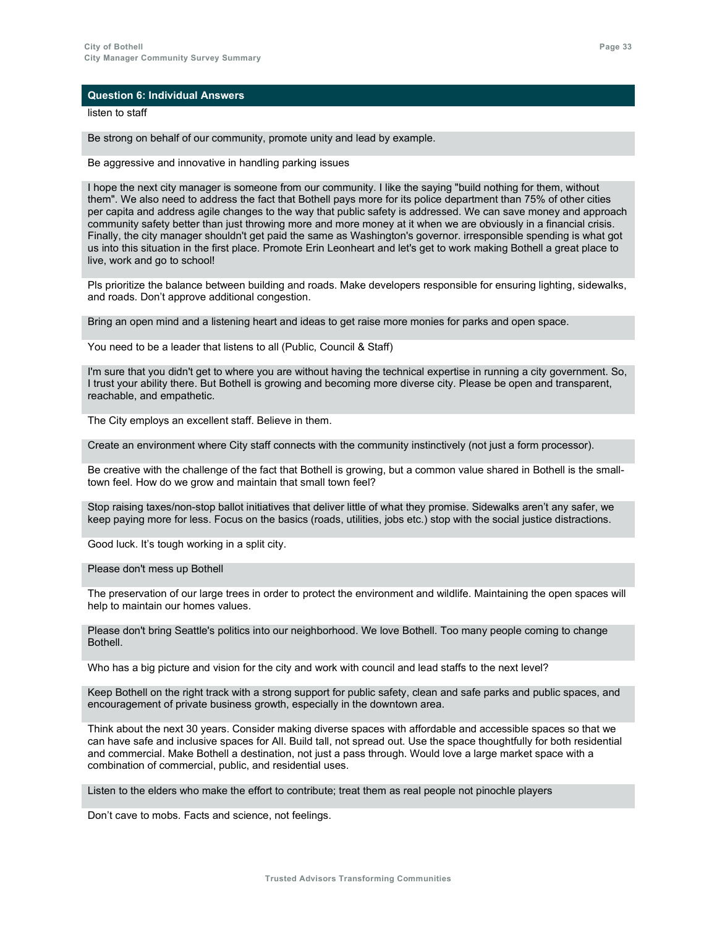listen to staff

Be strong on behalf of our community, promote unity and lead by example.

Be aggressive and innovative in handling parking issues

I hope the next city manager is someone from our community. I like the saying "build nothing for them, without them". We also need to address the fact that Bothell pays more for its police department than 75% of other cities per capita and address agile changes to the way that public safety is addressed. We can save money and approach community safety better than just throwing more and more money at it when we are obviously in a financial crisis. Finally, the city manager shouldn't get paid the same as Washington's governor. irresponsible spending is what got us into this situation in the first place. Promote Erin Leonheart and let's get to work making Bothell a great place to live, work and go to school!

Pls prioritize the balance between building and roads. Make developers responsible for ensuring lighting, sidewalks, and roads. Don't approve additional congestion.

Bring an open mind and a listening heart and ideas to get raise more monies for parks and open space.

You need to be a leader that listens to all (Public, Council & Staff)

I'm sure that you didn't get to where you are without having the technical expertise in running a city government. So, I trust your ability there. But Bothell is growing and becoming more diverse city. Please be open and transparent, reachable, and empathetic.

The City employs an excellent staff. Believe in them.

Create an environment where City staff connects with the community instinctively (not just a form processor).

Be creative with the challenge of the fact that Bothell is growing, but a common value shared in Bothell is the smalltown feel. How do we grow and maintain that small town feel?

Stop raising taxes/non-stop ballot initiatives that deliver little of what they promise. Sidewalks aren't any safer, we keep paying more for less. Focus on the basics (roads, utilities, jobs etc.) stop with the social justice distractions.

Good luck. It's tough working in a split city.

Please don't mess up Bothell

The preservation of our large trees in order to protect the environment and wildlife. Maintaining the open spaces will help to maintain our homes values.

Please don't bring Seattle's politics into our neighborhood. We love Bothell. Too many people coming to change Bothell.

Who has a big picture and vision for the city and work with council and lead staffs to the next level?

Keep Bothell on the right track with a strong support for public safety, clean and safe parks and public spaces, and encouragement of private business growth, especially in the downtown area.

Think about the next 30 years. Consider making diverse spaces with affordable and accessible spaces so that we can have safe and inclusive spaces for All. Build tall, not spread out. Use the space thoughtfully for both residential and commercial. Make Bothell a destination, not just a pass through. Would love a large market space with a combination of commercial, public, and residential uses.

Listen to the elders who make the effort to contribute; treat them as real people not pinochle players

Don't cave to mobs. Facts and science, not feelings.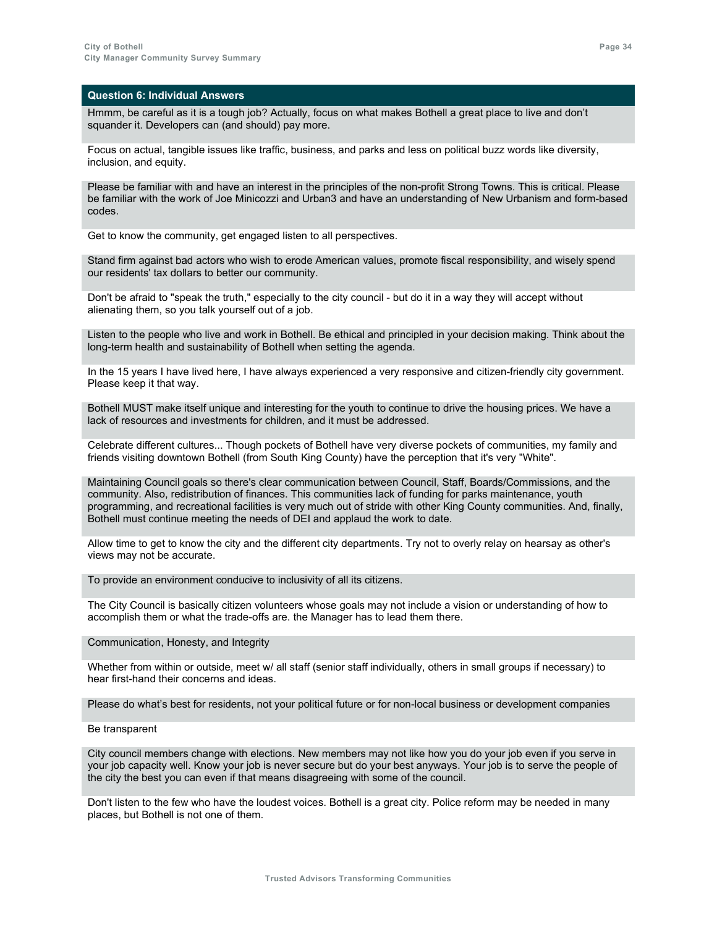Hmmm, be careful as it is a tough job? Actually, focus on what makes Bothell a great place to live and don't squander it. Developers can (and should) pay more.

Focus on actual, tangible issues like traffic, business, and parks and less on political buzz words like diversity, inclusion, and equity.

Please be familiar with and have an interest in the principles of the non-profit Strong Towns. This is critical. Please be familiar with the work of Joe Minicozzi and Urban3 and have an understanding of New Urbanism and form-based codes.

Get to know the community, get engaged listen to all perspectives.

Stand firm against bad actors who wish to erode American values, promote fiscal responsibility, and wisely spend our residents' tax dollars to better our community.

Don't be afraid to "speak the truth," especially to the city council - but do it in a way they will accept without alienating them, so you talk yourself out of a job.

Listen to the people who live and work in Bothell. Be ethical and principled in your decision making. Think about the long-term health and sustainability of Bothell when setting the agenda.

In the 15 years I have lived here, I have always experienced a very responsive and citizen-friendly city government. Please keep it that way.

Bothell MUST make itself unique and interesting for the youth to continue to drive the housing prices. We have a lack of resources and investments for children, and it must be addressed.

Celebrate different cultures... Though pockets of Bothell have very diverse pockets of communities, my family and friends visiting downtown Bothell (from South King County) have the perception that it's very "White".

Maintaining Council goals so there's clear communication between Council, Staff, Boards/Commissions, and the community. Also, redistribution of finances. This communities lack of funding for parks maintenance, youth programming, and recreational facilities is very much out of stride with other King County communities. And, finally, Bothell must continue meeting the needs of DEI and applaud the work to date.

Allow time to get to know the city and the different city departments. Try not to overly relay on hearsay as other's views may not be accurate.

To provide an environment conducive to inclusivity of all its citizens.

The City Council is basically citizen volunteers whose goals may not include a vision or understanding of how to accomplish them or what the trade-offs are. the Manager has to lead them there.

Communication, Honesty, and Integrity

Whether from within or outside, meet w/ all staff (senior staff individually, others in small groups if necessary) to hear first-hand their concerns and ideas.

Please do what's best for residents, not your political future or for non-local business or development companies

Be transparent

City council members change with elections. New members may not like how you do your job even if you serve in your job capacity well. Know your job is never secure but do your best anyways. Your job is to serve the people of the city the best you can even if that means disagreeing with some of the council.

Don't listen to the few who have the loudest voices. Bothell is a great city. Police reform may be needed in many places, but Bothell is not one of them.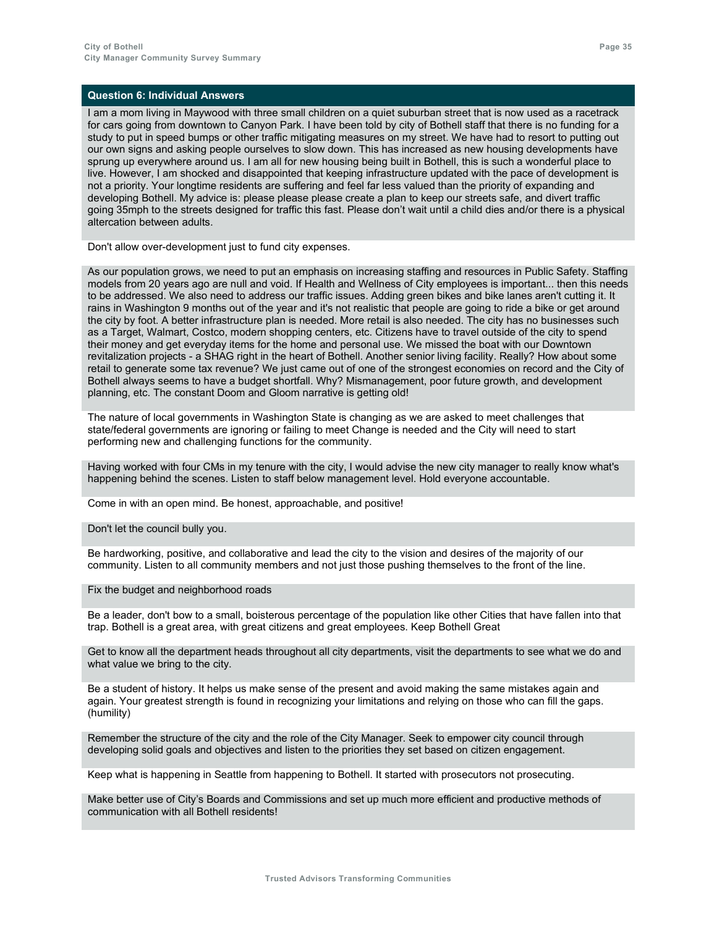I am a mom living in Maywood with three small children on a quiet suburban street that is now used as a racetrack for cars going from downtown to Canyon Park. I have been told by city of Bothell staff that there is no funding for a study to put in speed bumps or other traffic mitigating measures on my street. We have had to resort to putting out our own signs and asking people ourselves to slow down. This has increased as new housing developments have sprung up everywhere around us. I am all for new housing being built in Bothell, this is such a wonderful place to live. However, I am shocked and disappointed that keeping infrastructure updated with the pace of development is not a priority. Your longtime residents are suffering and feel far less valued than the priority of expanding and developing Bothell. My advice is: please please please create a plan to keep our streets safe, and divert traffic going 35mph to the streets designed for traffic this fast. Please don't wait until a child dies and/or there is a physical altercation between adults.

Don't allow over-development just to fund city expenses.

As our population grows, we need to put an emphasis on increasing staffing and resources in Public Safety. Staffing models from 20 years ago are null and void. If Health and Wellness of City employees is important... then this needs to be addressed. We also need to address our traffic issues. Adding green bikes and bike lanes aren't cutting it. It rains in Washington 9 months out of the year and it's not realistic that people are going to ride a bike or get around the city by foot. A better infrastructure plan is needed. More retail is also needed. The city has no businesses such as a Target, Walmart, Costco, modern shopping centers, etc. Citizens have to travel outside of the city to spend their money and get everyday items for the home and personal use. We missed the boat with our Downtown revitalization projects - a SHAG right in the heart of Bothell. Another senior living facility. Really? How about some retail to generate some tax revenue? We just came out of one of the strongest economies on record and the City of Bothell always seems to have a budget shortfall. Why? Mismanagement, poor future growth, and development planning, etc. The constant Doom and Gloom narrative is getting old!

The nature of local governments in Washington State is changing as we are asked to meet challenges that state/federal governments are ignoring or failing to meet Change is needed and the City will need to start performing new and challenging functions for the community.

Having worked with four CMs in my tenure with the city, I would advise the new city manager to really know what's happening behind the scenes. Listen to staff below management level. Hold everyone accountable.

Come in with an open mind. Be honest, approachable, and positive!

Don't let the council bully you.

Be hardworking, positive, and collaborative and lead the city to the vision and desires of the majority of our community. Listen to all community members and not just those pushing themselves to the front of the line.

Fix the budget and neighborhood roads

Be a leader, don't bow to a small, boisterous percentage of the population like other Cities that have fallen into that trap. Bothell is a great area, with great citizens and great employees. Keep Bothell Great

Get to know all the department heads throughout all city departments, visit the departments to see what we do and what value we bring to the city.

Be a student of history. It helps us make sense of the present and avoid making the same mistakes again and again. Your greatest strength is found in recognizing your limitations and relying on those who can fill the gaps. (humility)

Remember the structure of the city and the role of the City Manager. Seek to empower city council through developing solid goals and objectives and listen to the priorities they set based on citizen engagement.

Keep what is happening in Seattle from happening to Bothell. It started with prosecutors not prosecuting.

Make better use of City's Boards and Commissions and set up much more efficient and productive methods of communication with all Bothell residents!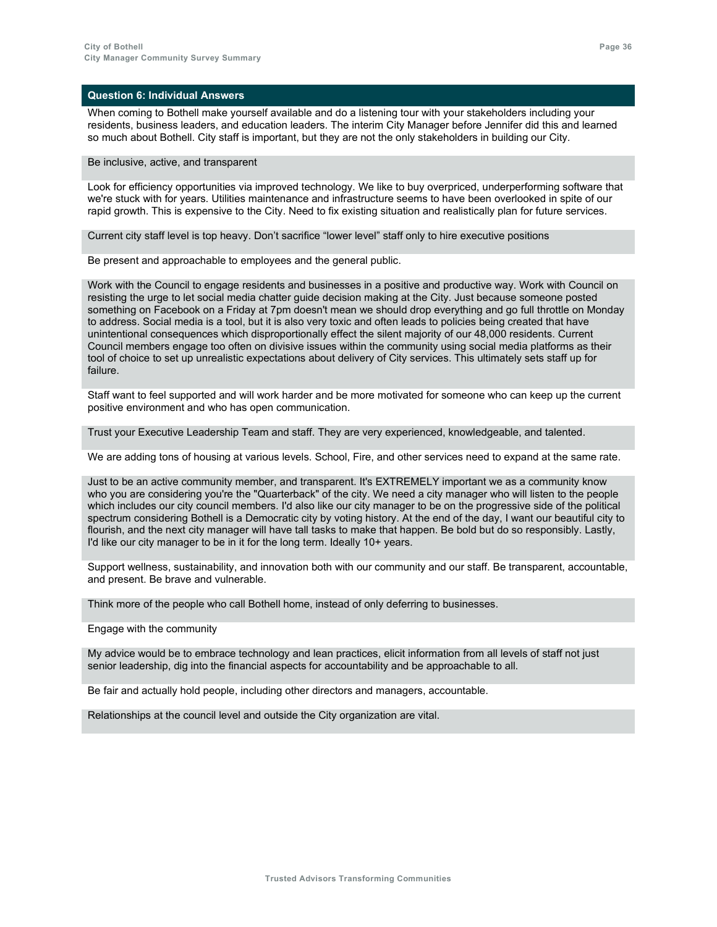When coming to Bothell make yourself available and do a listening tour with your stakeholders including your residents, business leaders, and education leaders. The interim City Manager before Jennifer did this and learned so much about Bothell. City staff is important, but they are not the only stakeholders in building our City.

#### Be inclusive, active, and transparent

Look for efficiency opportunities via improved technology. We like to buy overpriced, underperforming software that we're stuck with for years. Utilities maintenance and infrastructure seems to have been overlooked in spite of our rapid growth. This is expensive to the City. Need to fix existing situation and realistically plan for future services.

Current city staff level is top heavy. Don't sacrifice "lower level" staff only to hire executive positions

Be present and approachable to employees and the general public.

Work with the Council to engage residents and businesses in a positive and productive way. Work with Council on resisting the urge to let social media chatter guide decision making at the City. Just because someone posted something on Facebook on a Friday at 7pm doesn't mean we should drop everything and go full throttle on Monday to address. Social media is a tool, but it is also very toxic and often leads to policies being created that have unintentional consequences which disproportionally effect the silent majority of our 48,000 residents. Current Council members engage too often on divisive issues within the community using social media platforms as their tool of choice to set up unrealistic expectations about delivery of City services. This ultimately sets staff up for failure.

Staff want to feel supported and will work harder and be more motivated for someone who can keep up the current positive environment and who has open communication.

Trust your Executive Leadership Team and staff. They are very experienced, knowledgeable, and talented.

We are adding tons of housing at various levels. School, Fire, and other services need to expand at the same rate.

Just to be an active community member, and transparent. It's EXTREMELY important we as a community know who you are considering you're the "Quarterback" of the city. We need a city manager who will listen to the people which includes our city council members. I'd also like our city manager to be on the progressive side of the political spectrum considering Bothell is a Democratic city by voting history. At the end of the day, I want our beautiful city to flourish, and the next city manager will have tall tasks to make that happen. Be bold but do so responsibly. Lastly, I'd like our city manager to be in it for the long term. Ideally 10+ years.

Support wellness, sustainability, and innovation both with our community and our staff. Be transparent, accountable, and present. Be brave and vulnerable.

Think more of the people who call Bothell home, instead of only deferring to businesses.

Engage with the community

My advice would be to embrace technology and lean practices, elicit information from all levels of staff not just senior leadership, dig into the financial aspects for accountability and be approachable to all.

Be fair and actually hold people, including other directors and managers, accountable.

Relationships at the council level and outside the City organization are vital.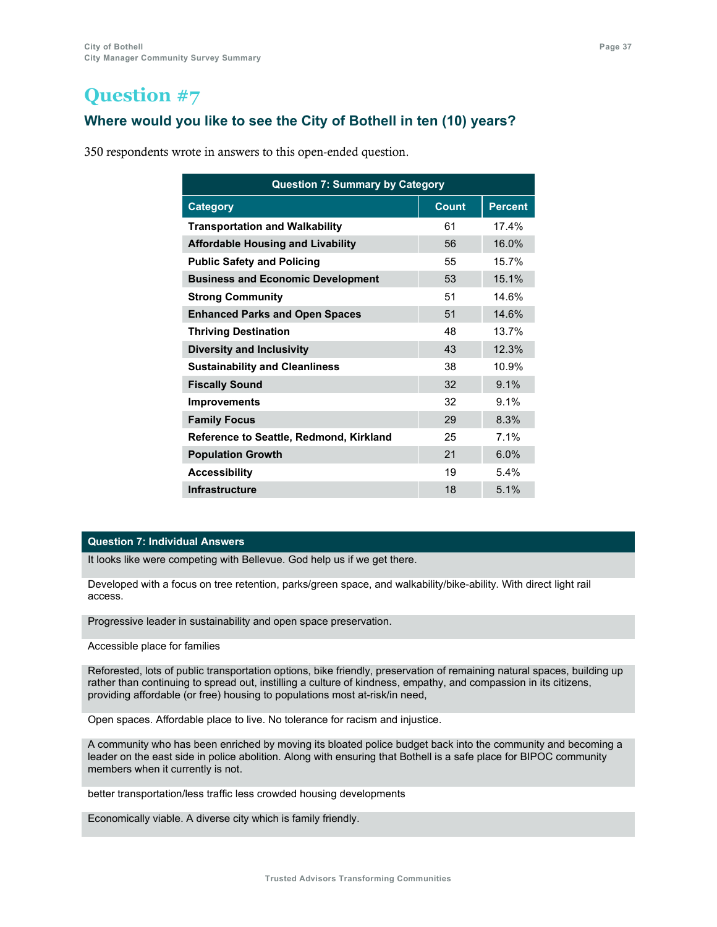### **Where would you like to see the City of Bothell in ten (10) years?**

350 respondents wrote in answers to this open-ended question.

| <b>Question 7: Summary by Category</b>   |              |                |  |
|------------------------------------------|--------------|----------------|--|
| <b>Category</b>                          | <b>Count</b> | <b>Percent</b> |  |
| <b>Transportation and Walkability</b>    | 61           | 174%           |  |
| <b>Affordable Housing and Livability</b> | 56           | 16.0%          |  |
| <b>Public Safety and Policing</b>        | 55           | 15.7%          |  |
| <b>Business and Economic Development</b> | 53           | 15.1%          |  |
| <b>Strong Community</b>                  | 51           | 14.6%          |  |
| <b>Enhanced Parks and Open Spaces</b>    | 51           | 14.6%          |  |
| <b>Thriving Destination</b>              | 48           | 13.7%          |  |
| <b>Diversity and Inclusivity</b>         | 43           | 12.3%          |  |
| <b>Sustainability and Cleanliness</b>    | 38           | 10.9%          |  |
| <b>Fiscally Sound</b>                    | 32           | 9.1%           |  |
| <b>Improvements</b>                      | 32           | 9.1%           |  |
| <b>Family Focus</b>                      | 29           | 8.3%           |  |
| Reference to Seattle, Redmond, Kirkland  | 25           | 7.1%           |  |
| <b>Population Growth</b>                 | 21           | 6.0%           |  |
| <b>Accessibility</b>                     | 19           | 5.4%           |  |
| <b>Infrastructure</b>                    | 18           | 5.1%           |  |

### **Question 7: Individual Answers**

It looks like were competing with Bellevue. God help us if we get there.

Developed with a focus on tree retention, parks/green space, and walkability/bike-ability. With direct light rail access.

Progressive leader in sustainability and open space preservation.

Accessible place for families

Reforested, lots of public transportation options, bike friendly, preservation of remaining natural spaces, building up rather than continuing to spread out, instilling a culture of kindness, empathy, and compassion in its citizens, providing affordable (or free) housing to populations most at-risk/in need,

Open spaces. Affordable place to live. No tolerance for racism and injustice.

A community who has been enriched by moving its bloated police budget back into the community and becoming a leader on the east side in police abolition. Along with ensuring that Bothell is a safe place for BIPOC community members when it currently is not.

better transportation/less traffic less crowded housing developments

Economically viable. A diverse city which is family friendly.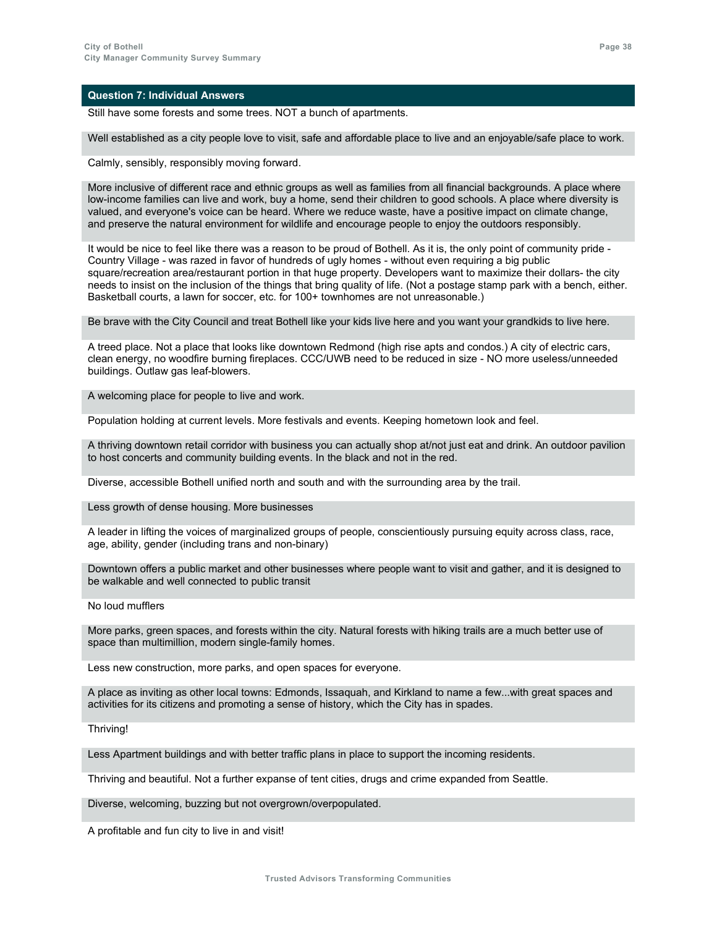Still have some forests and some trees. NOT a bunch of apartments.

Well established as a city people love to visit, safe and affordable place to live and an enjoyable/safe place to work.

Calmly, sensibly, responsibly moving forward.

More inclusive of different race and ethnic groups as well as families from all financial backgrounds. A place where low-income families can live and work, buy a home, send their children to good schools. A place where diversity is valued, and everyone's voice can be heard. Where we reduce waste, have a positive impact on climate change, and preserve the natural environment for wildlife and encourage people to enjoy the outdoors responsibly.

It would be nice to feel like there was a reason to be proud of Bothell. As it is, the only point of community pride - Country Village - was razed in favor of hundreds of ugly homes - without even requiring a big public square/recreation area/restaurant portion in that huge property. Developers want to maximize their dollars- the city needs to insist on the inclusion of the things that bring quality of life. (Not a postage stamp park with a bench, either. Basketball courts, a lawn for soccer, etc. for 100+ townhomes are not unreasonable.)

Be brave with the City Council and treat Bothell like your kids live here and you want your grandkids to live here.

A treed place. Not a place that looks like downtown Redmond (high rise apts and condos.) A city of electric cars, clean energy, no woodfire burning fireplaces. CCC/UWB need to be reduced in size - NO more useless/unneeded buildings. Outlaw gas leaf-blowers.

A welcoming place for people to live and work.

Population holding at current levels. More festivals and events. Keeping hometown look and feel.

A thriving downtown retail corridor with business you can actually shop at/not just eat and drink. An outdoor pavilion to host concerts and community building events. In the black and not in the red.

Diverse, accessible Bothell unified north and south and with the surrounding area by the trail.

Less growth of dense housing. More businesses

A leader in lifting the voices of marginalized groups of people, conscientiously pursuing equity across class, race, age, ability, gender (including trans and non-binary)

Downtown offers a public market and other businesses where people want to visit and gather, and it is designed to be walkable and well connected to public transit

No loud mufflers

More parks, green spaces, and forests within the city. Natural forests with hiking trails are a much better use of space than multimillion, modern single-family homes.

Less new construction, more parks, and open spaces for everyone.

A place as inviting as other local towns: Edmonds, Issaquah, and Kirkland to name a few...with great spaces and activities for its citizens and promoting a sense of history, which the City has in spades.

Thriving!

Less Apartment buildings and with better traffic plans in place to support the incoming residents.

Thriving and beautiful. Not a further expanse of tent cities, drugs and crime expanded from Seattle.

Diverse, welcoming, buzzing but not overgrown/overpopulated.

A profitable and fun city to live in and visit!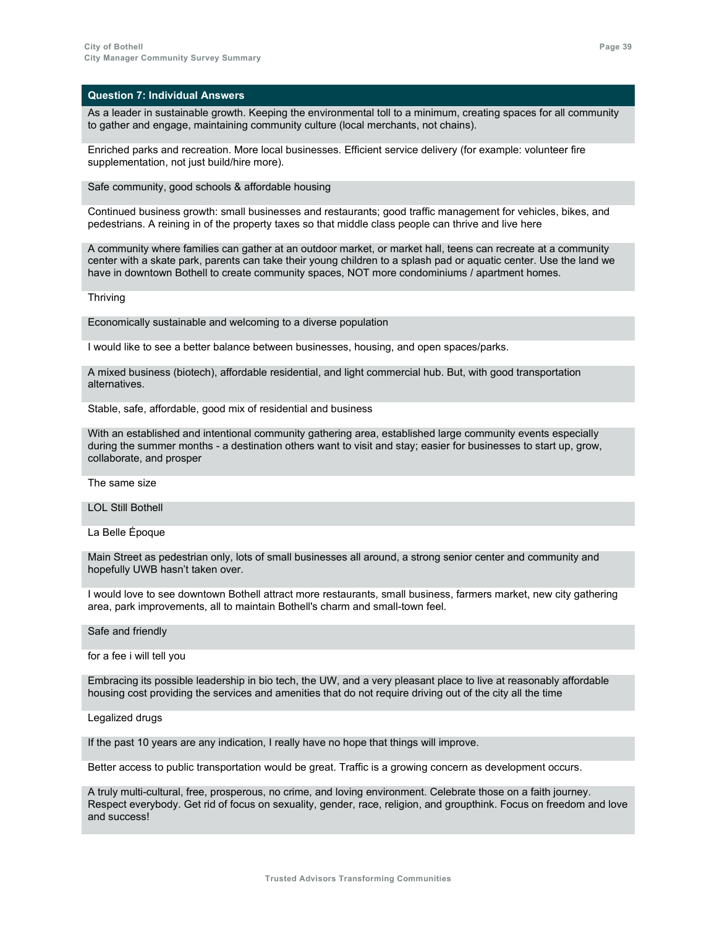As a leader in sustainable growth. Keeping the environmental toll to a minimum, creating spaces for all community to gather and engage, maintaining community culture (local merchants, not chains).

Enriched parks and recreation. More local businesses. Efficient service delivery (for example: volunteer fire supplementation, not just build/hire more).

Safe community, good schools & affordable housing

Continued business growth: small businesses and restaurants; good traffic management for vehicles, bikes, and pedestrians. A reining in of the property taxes so that middle class people can thrive and live here

A community where families can gather at an outdoor market, or market hall, teens can recreate at a community center with a skate park, parents can take their young children to a splash pad or aquatic center. Use the land we have in downtown Bothell to create community spaces, NOT more condominiums / apartment homes.

**Thriving** 

Economically sustainable and welcoming to a diverse population

I would like to see a better balance between businesses, housing, and open spaces/parks.

A mixed business (biotech), affordable residential, and light commercial hub. But, with good transportation alternatives.

Stable, safe, affordable, good mix of residential and business

With an established and intentional community gathering area, established large community events especially during the summer months - a destination others want to visit and stay; easier for businesses to start up, grow, collaborate, and prosper

The same size

LOL Still Bothell

La Belle Époque

Main Street as pedestrian only, lots of small businesses all around, a strong senior center and community and hopefully UWB hasn't taken over.

I would love to see downtown Bothell attract more restaurants, small business, farmers market, new city gathering area, park improvements, all to maintain Bothell's charm and small-town feel.

Safe and friendly

for a fee i will tell you

Embracing its possible leadership in bio tech, the UW, and a very pleasant place to live at reasonably affordable housing cost providing the services and amenities that do not require driving out of the city all the time

Legalized drugs

If the past 10 years are any indication, I really have no hope that things will improve.

Better access to public transportation would be great. Traffic is a growing concern as development occurs.

A truly multi-cultural, free, prosperous, no crime, and loving environment. Celebrate those on a faith journey. Respect everybody. Get rid of focus on sexuality, gender, race, religion, and groupthink. Focus on freedom and love and success!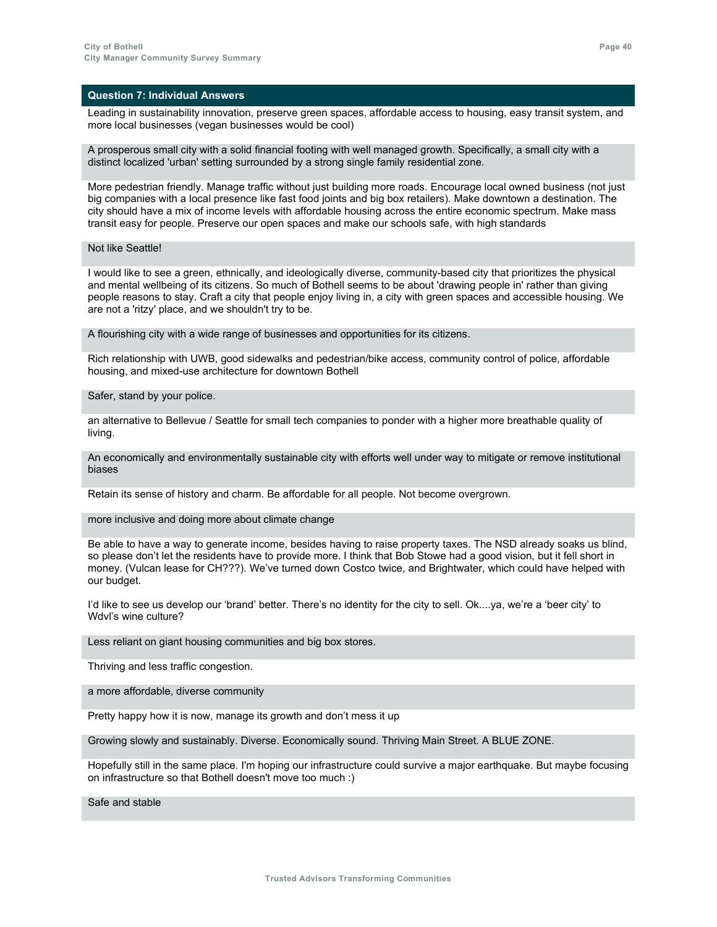Leading in sustainability innovation, preserve green spaces, affordable access to housing, easy transit system, and more local businesses (vegan businesses would be cool)

A prosperous small city with a solid financial footing with well managed growth. Specifically, a small city with a distinct localized 'urban' setting surrounded by a strong single family residential zone.

More pedestrian friendly. Manage traffic without just building more roads. Encourage local owned business (not just big companies with a local presence like fast food joints and big box retailers). Make downtown a destination. The city should have a mix of income levels with affordable housing across the entire economic spectrum. Make mass transit easy for people. Preserve our open spaces and make our schools safe, with high standards

Not like Seattle!

I would like to see a green, ethnically, and ideologically diverse, community-based city that prioritizes the physical and mental wellbeing of its citizens. So much of Bothell seems to be about 'drawing people in' rather than giving people reasons to stay. Craft a city that people enjoy living in, a city with green spaces and accessible housing. We are not a 'ritzy' place, and we shouldn't try to be.

A flourishing city with a wide range of businesses and opportunities for its citizens.

Rich relationship with UWB, good sidewalks and pedestrian/bike access, community control of police, affordable housing, and mixed-use architecture for downtown Bothell

Safer, stand by your police.

an alternative to Bellevue / Seattle for small tech companies to ponder with a higher more breathable quality of living.

An economically and environmentally sustainable city with efforts well under way to mitigate or remove institutional biases

Retain its sense of history and charm. Be affordable for all people. Not become overgrown.

more inclusive and doing more about climate change

Be able to have a way to generate income, besides having to raise property taxes. The NSD already soaks us blind, so please don't let the residents have to provide more. I think that Bob Stowe had a good vision, but it fell short in money. (Vulcan lease for CH???). We've turned down Costco twice, and Brightwater, which could have helped with our budget.

I'd like to see us develop our 'brand' better. There's no identity for the city to sell. Ok....ya, we're a 'beer city' to Wdvl's wine culture?

Less reliant on giant housing communities and big box stores.

Thriving and less traffic congestion.

a more affordable, diverse community

Pretty happy how it is now, manage its growth and don't mess it up

Growing slowly and sustainably. Diverse. Economically sound. Thriving Main Street. A BLUE ZONE.

Hopefully still in the same place. I'm hoping our infrastructure could survive a major earthquake. But maybe focusing on infrastructure so that Bothell doesn't move too much :)

Safe and stable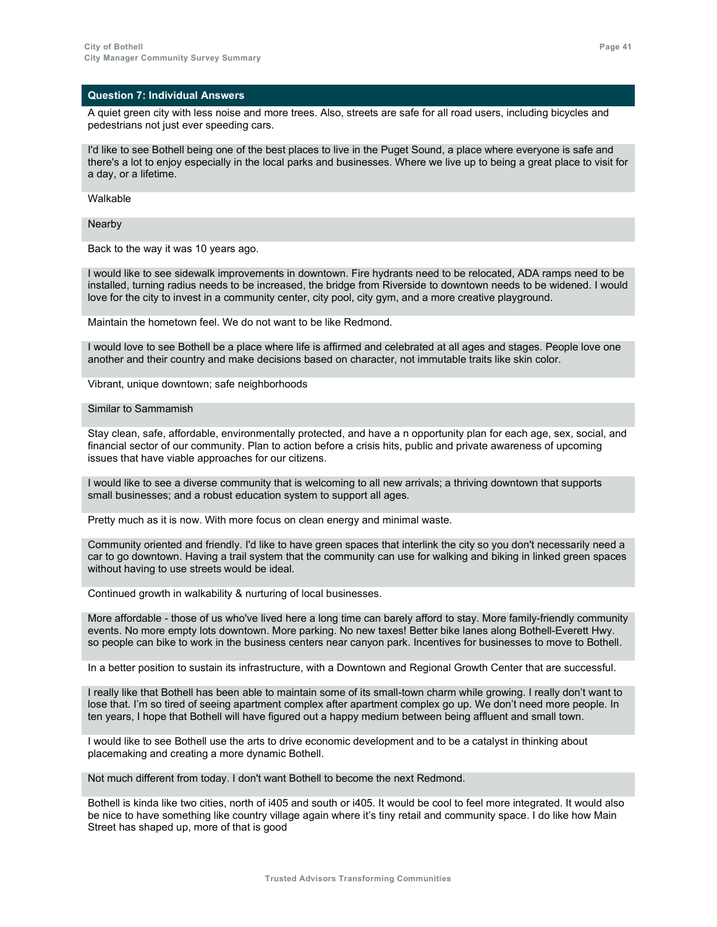A quiet green city with less noise and more trees. Also, streets are safe for all road users, including bicycles and pedestrians not just ever speeding cars.

I'd like to see Bothell being one of the best places to live in the Puget Sound, a place where everyone is safe and there's a lot to enjoy especially in the local parks and businesses. Where we live up to being a great place to visit for a day, or a lifetime.

Walkable

Nearby

Back to the way it was 10 years ago.

I would like to see sidewalk improvements in downtown. Fire hydrants need to be relocated, ADA ramps need to be installed, turning radius needs to be increased, the bridge from Riverside to downtown needs to be widened. I would love for the city to invest in a community center, city pool, city gym, and a more creative playground.

Maintain the hometown feel. We do not want to be like Redmond.

I would love to see Bothell be a place where life is affirmed and celebrated at all ages and stages. People love one another and their country and make decisions based on character, not immutable traits like skin color.

Vibrant, unique downtown; safe neighborhoods

#### Similar to Sammamish

Stay clean, safe, affordable, environmentally protected, and have a n opportunity plan for each age, sex, social, and financial sector of our community. Plan to action before a crisis hits, public and private awareness of upcoming issues that have viable approaches for our citizens.

I would like to see a diverse community that is welcoming to all new arrivals; a thriving downtown that supports small businesses; and a robust education system to support all ages.

Pretty much as it is now. With more focus on clean energy and minimal waste.

Community oriented and friendly. I'd like to have green spaces that interlink the city so you don't necessarily need a car to go downtown. Having a trail system that the community can use for walking and biking in linked green spaces without having to use streets would be ideal.

Continued growth in walkability & nurturing of local businesses.

More affordable - those of us who've lived here a long time can barely afford to stay. More family-friendly community events. No more empty lots downtown. More parking. No new taxes! Better bike lanes along Bothell-Everett Hwy. so people can bike to work in the business centers near canyon park. Incentives for businesses to move to Bothell.

In a better position to sustain its infrastructure, with a Downtown and Regional Growth Center that are successful.

I really like that Bothell has been able to maintain some of its small-town charm while growing. I really don't want to lose that. I'm so tired of seeing apartment complex after apartment complex go up. We don't need more people. In ten years, I hope that Bothell will have figured out a happy medium between being affluent and small town.

I would like to see Bothell use the arts to drive economic development and to be a catalyst in thinking about placemaking and creating a more dynamic Bothell.

Not much different from today. I don't want Bothell to become the next Redmond.

Bothell is kinda like two cities, north of i405 and south or i405. It would be cool to feel more integrated. It would also be nice to have something like country village again where it's tiny retail and community space. I do like how Main Street has shaped up, more of that is good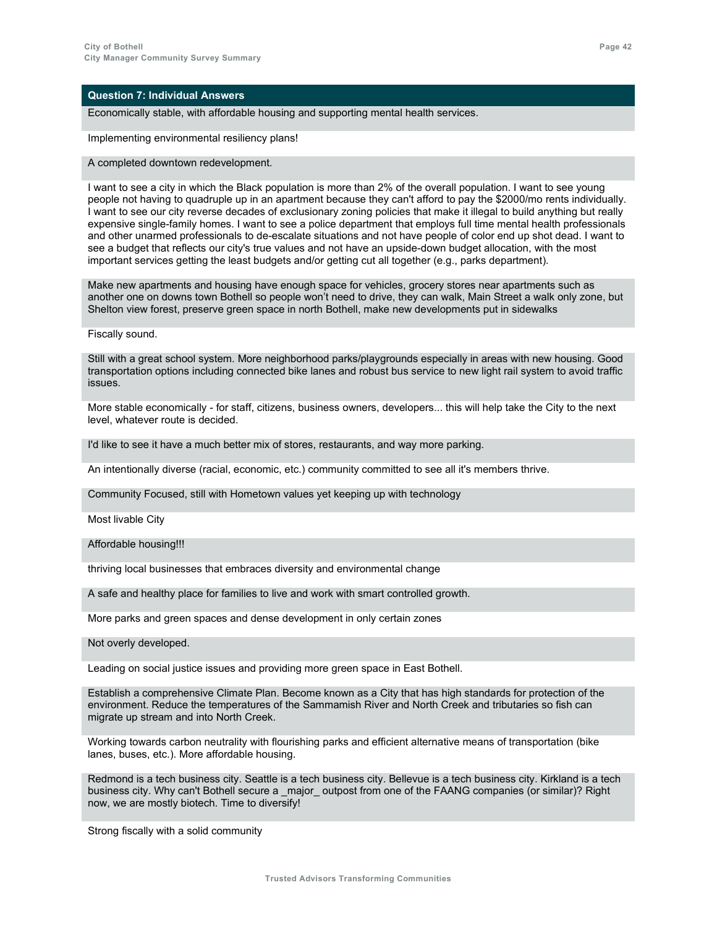Economically stable, with affordable housing and supporting mental health services.

Implementing environmental resiliency plans!

A completed downtown redevelopment.

I want to see a city in which the Black population is more than 2% of the overall population. I want to see young people not having to quadruple up in an apartment because they can't afford to pay the \$2000/mo rents individually. I want to see our city reverse decades of exclusionary zoning policies that make it illegal to build anything but really expensive single-family homes. I want to see a police department that employs full time mental health professionals and other unarmed professionals to de-escalate situations and not have people of color end up shot dead. I want to see a budget that reflects our city's true values and not have an upside-down budget allocation, with the most important services getting the least budgets and/or getting cut all together (e.g., parks department).

Make new apartments and housing have enough space for vehicles, grocery stores near apartments such as another one on downs town Bothell so people won't need to drive, they can walk, Main Street a walk only zone, but Shelton view forest, preserve green space in north Bothell, make new developments put in sidewalks

Fiscally sound.

Still with a great school system. More neighborhood parks/playgrounds especially in areas with new housing. Good transportation options including connected bike lanes and robust bus service to new light rail system to avoid traffic issues.

More stable economically - for staff, citizens, business owners, developers... this will help take the City to the next level, whatever route is decided.

I'd like to see it have a much better mix of stores, restaurants, and way more parking.

An intentionally diverse (racial, economic, etc.) community committed to see all it's members thrive.

Community Focused, still with Hometown values yet keeping up with technology

Most livable City

Affordable housing!!!

thriving local businesses that embraces diversity and environmental change

A safe and healthy place for families to live and work with smart controlled growth.

More parks and green spaces and dense development in only certain zones

Not overly developed.

Leading on social justice issues and providing more green space in East Bothell.

Establish a comprehensive Climate Plan. Become known as a City that has high standards for protection of the environment. Reduce the temperatures of the Sammamish River and North Creek and tributaries so fish can migrate up stream and into North Creek.

Working towards carbon neutrality with flourishing parks and efficient alternative means of transportation (bike lanes, buses, etc.). More affordable housing.

Redmond is a tech business city. Seattle is a tech business city. Bellevue is a tech business city. Kirkland is a tech business city. Why can't Bothell secure a \_major\_ outpost from one of the FAANG companies (or similar)? Right now, we are mostly biotech. Time to diversify!

Strong fiscally with a solid community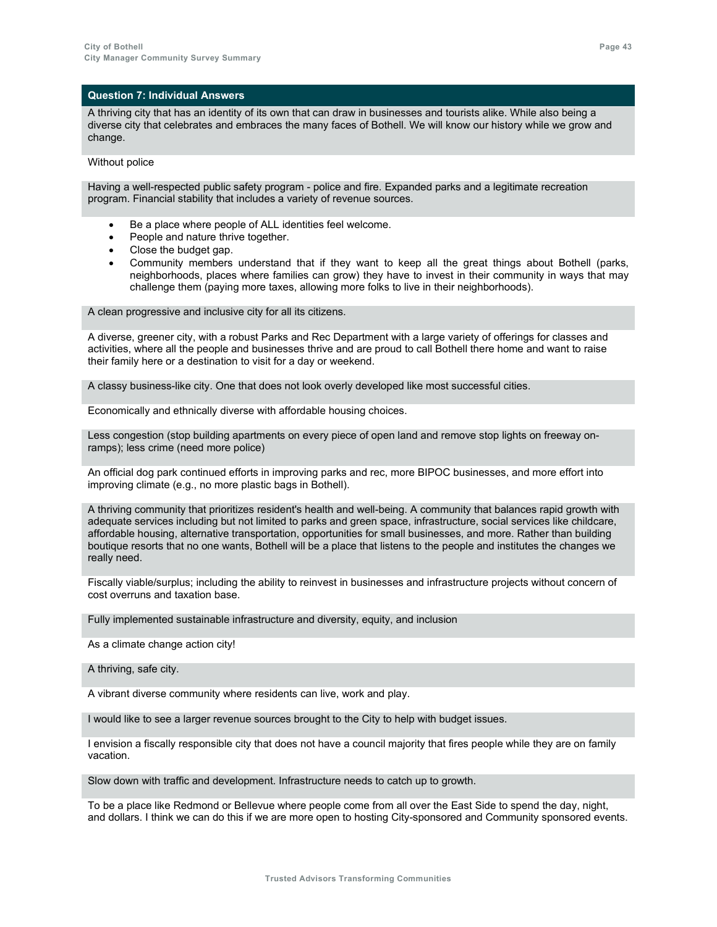A thriving city that has an identity of its own that can draw in businesses and tourists alike. While also being a diverse city that celebrates and embraces the many faces of Bothell. We will know our history while we grow and change.

Without police

Having a well-respected public safety program - police and fire. Expanded parks and a legitimate recreation program. Financial stability that includes a variety of revenue sources.

- Be a place where people of ALL identities feel welcome.
- People and nature thrive together.
- Close the budget gap.
- Community members understand that if they want to keep all the great things about Bothell (parks, neighborhoods, places where families can grow) they have to invest in their community in ways that may challenge them (paying more taxes, allowing more folks to live in their neighborhoods).

A clean progressive and inclusive city for all its citizens.

A diverse, greener city, with a robust Parks and Rec Department with a large variety of offerings for classes and activities, where all the people and businesses thrive and are proud to call Bothell there home and want to raise their family here or a destination to visit for a day or weekend.

A classy business-like city. One that does not look overly developed like most successful cities.

Economically and ethnically diverse with affordable housing choices.

Less congestion (stop building apartments on every piece of open land and remove stop lights on freeway onramps); less crime (need more police)

An official dog park continued efforts in improving parks and rec, more BIPOC businesses, and more effort into improving climate (e.g., no more plastic bags in Bothell).

A thriving community that prioritizes resident's health and well-being. A community that balances rapid growth with adequate services including but not limited to parks and green space, infrastructure, social services like childcare, affordable housing, alternative transportation, opportunities for small businesses, and more. Rather than building boutique resorts that no one wants, Bothell will be a place that listens to the people and institutes the changes we really need.

Fiscally viable/surplus; including the ability to reinvest in businesses and infrastructure projects without concern of cost overruns and taxation base.

Fully implemented sustainable infrastructure and diversity, equity, and inclusion

As a climate change action city!

A thriving, safe city.

A vibrant diverse community where residents can live, work and play.

I would like to see a larger revenue sources brought to the City to help with budget issues.

I envision a fiscally responsible city that does not have a council majority that fires people while they are on family vacation.

Slow down with traffic and development. Infrastructure needs to catch up to growth.

To be a place like Redmond or Bellevue where people come from all over the East Side to spend the day, night, and dollars. I think we can do this if we are more open to hosting City-sponsored and Community sponsored events.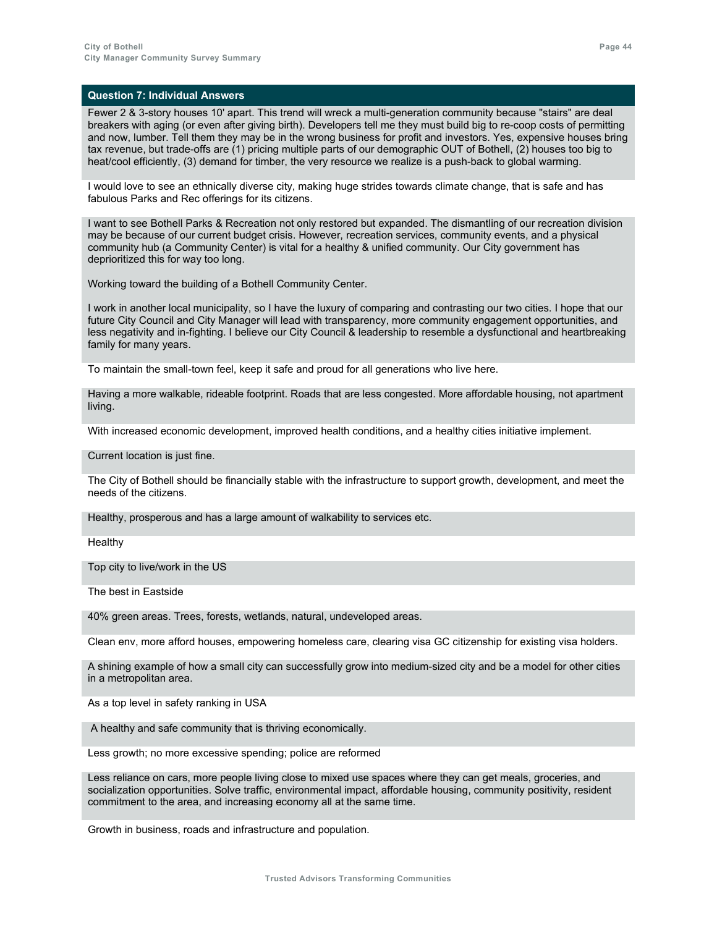Fewer 2 & 3-story houses 10' apart. This trend will wreck a multi-generation community because "stairs" are deal breakers with aging (or even after giving birth). Developers tell me they must build big to re-coop costs of permitting and now, lumber. Tell them they may be in the wrong business for profit and investors. Yes, expensive houses bring tax revenue, but trade-offs are (1) pricing multiple parts of our demographic OUT of Bothell, (2) houses too big to heat/cool efficiently, (3) demand for timber, the very resource we realize is a push-back to global warming.

I would love to see an ethnically diverse city, making huge strides towards climate change, that is safe and has fabulous Parks and Rec offerings for its citizens.

I want to see Bothell Parks & Recreation not only restored but expanded. The dismantling of our recreation division may be because of our current budget crisis. However, recreation services, community events, and a physical community hub (a Community Center) is vital for a healthy & unified community. Our City government has deprioritized this for way too long.

Working toward the building of a Bothell Community Center.

I work in another local municipality, so I have the luxury of comparing and contrasting our two cities. I hope that our future City Council and City Manager will lead with transparency, more community engagement opportunities, and less negativity and in-fighting. I believe our City Council & leadership to resemble a dysfunctional and heartbreaking family for many years.

To maintain the small-town feel, keep it safe and proud for all generations who live here.

Having a more walkable, rideable footprint. Roads that are less congested. More affordable housing, not apartment living.

With increased economic development, improved health conditions, and a healthy cities initiative implement.

Current location is just fine.

The City of Bothell should be financially stable with the infrastructure to support growth, development, and meet the needs of the citizens.

Healthy, prosperous and has a large amount of walkability to services etc.

Healthy

Top city to live/work in the US

The best in Eastside

40% green areas. Trees, forests, wetlands, natural, undeveloped areas.

Clean env, more afford houses, empowering homeless care, clearing visa GC citizenship for existing visa holders.

A shining example of how a small city can successfully grow into medium-sized city and be a model for other cities in a metropolitan area.

As a top level in safety ranking in USA

A healthy and safe community that is thriving economically.

Less growth; no more excessive spending; police are reformed

Less reliance on cars, more people living close to mixed use spaces where they can get meals, groceries, and socialization opportunities. Solve traffic, environmental impact, affordable housing, community positivity, resident commitment to the area, and increasing economy all at the same time.

Growth in business, roads and infrastructure and population.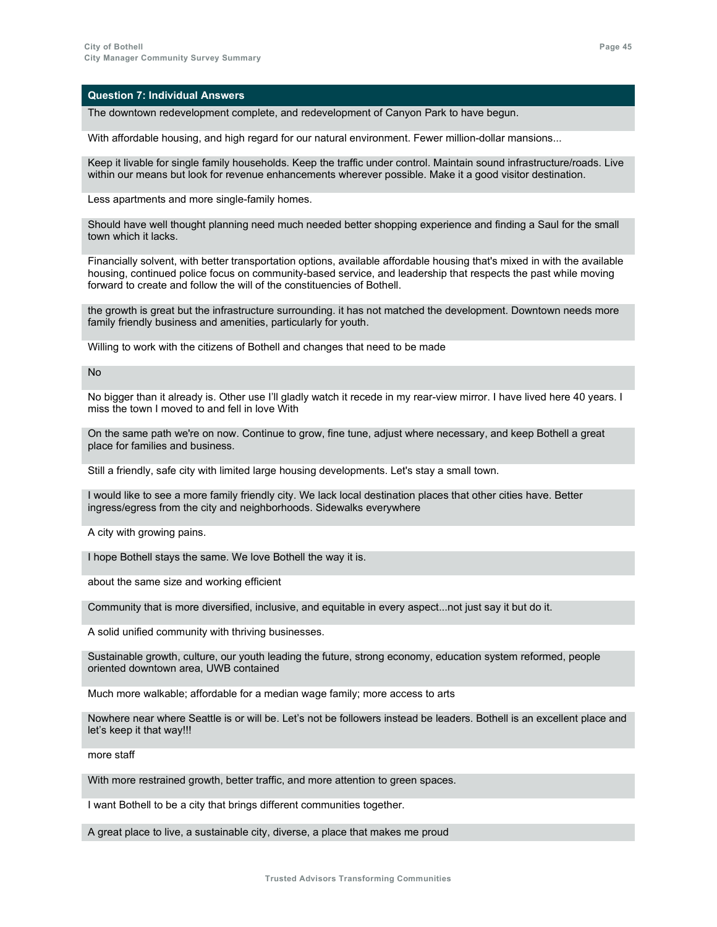The downtown redevelopment complete, and redevelopment of Canyon Park to have begun.

With affordable housing, and high regard for our natural environment. Fewer million-dollar mansions...

Keep it livable for single family households. Keep the traffic under control. Maintain sound infrastructure/roads. Live within our means but look for revenue enhancements wherever possible. Make it a good visitor destination.

Less apartments and more single-family homes.

Should have well thought planning need much needed better shopping experience and finding a Saul for the small town which it lacks.

Financially solvent, with better transportation options, available affordable housing that's mixed in with the available housing, continued police focus on community-based service, and leadership that respects the past while moving forward to create and follow the will of the constituencies of Bothell.

the growth is great but the infrastructure surrounding. it has not matched the development. Downtown needs more family friendly business and amenities, particularly for youth.

Willing to work with the citizens of Bothell and changes that need to be made

 $N<sub>0</sub>$ 

No bigger than it already is. Other use I'll gladly watch it recede in my rear-view mirror. I have lived here 40 years. I miss the town I moved to and fell in love With

On the same path we're on now. Continue to grow, fine tune, adjust where necessary, and keep Bothell a great place for families and business.

Still a friendly, safe city with limited large housing developments. Let's stay a small town.

I would like to see a more family friendly city. We lack local destination places that other cities have. Better ingress/egress from the city and neighborhoods. Sidewalks everywhere

A city with growing pains.

I hope Bothell stays the same. We love Bothell the way it is.

about the same size and working efficient

Community that is more diversified, inclusive, and equitable in every aspect...not just say it but do it.

A solid unified community with thriving businesses.

Sustainable growth, culture, our youth leading the future, strong economy, education system reformed, people oriented downtown area, UWB contained

Much more walkable; affordable for a median wage family; more access to arts

Nowhere near where Seattle is or will be. Let's not be followers instead be leaders. Bothell is an excellent place and let's keep it that way!!!

more staff

With more restrained growth, better traffic, and more attention to green spaces.

I want Bothell to be a city that brings different communities together.

A great place to live, a sustainable city, diverse, a place that makes me proud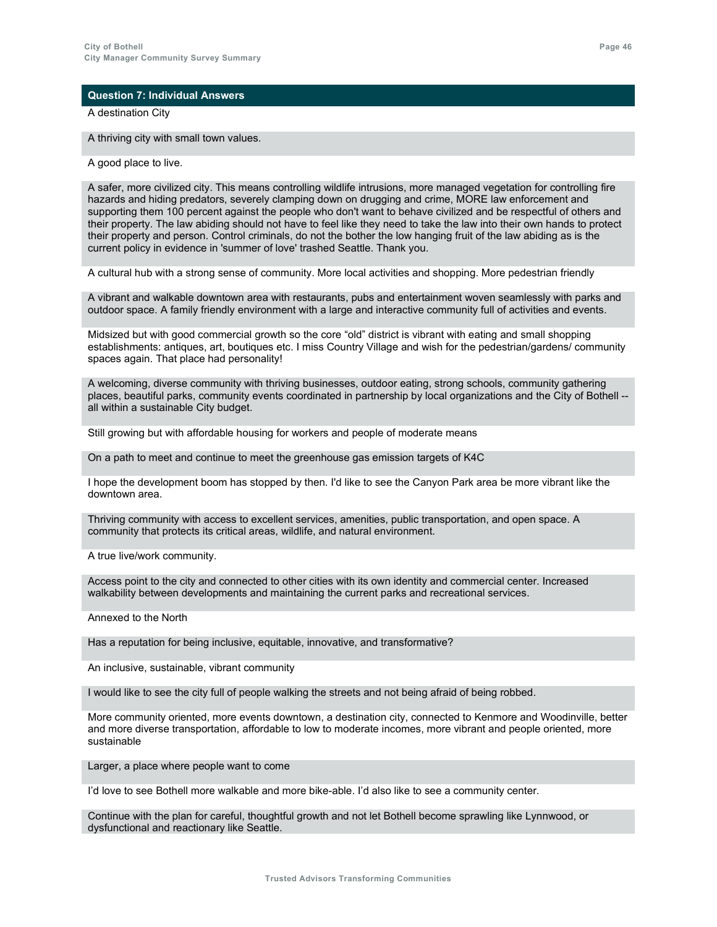A destination City

A thriving city with small town values.

A good place to live.

A safer, more civilized city. This means controlling wildlife intrusions, more managed vegetation for controlling fire hazards and hiding predators, severely clamping down on drugging and crime, MORE law enforcement and supporting them 100 percent against the people who don't want to behave civilized and be respectful of others and their property. The law abiding should not have to feel like they need to take the law into their own hands to protect their property and person. Control criminals, do not the bother the low hanging fruit of the law abiding as is the current policy in evidence in 'summer of love' trashed Seattle. Thank you.

A cultural hub with a strong sense of community. More local activities and shopping. More pedestrian friendly

A vibrant and walkable downtown area with restaurants, pubs and entertainment woven seamlessly with parks and outdoor space. A family friendly environment with a large and interactive community full of activities and events.

Midsized but with good commercial growth so the core "old" district is vibrant with eating and small shopping establishments: antiques, art, boutiques etc. I miss Country Village and wish for the pedestrian/gardens/ community spaces again. That place had personality!

A welcoming, diverse community with thriving businesses, outdoor eating, strong schools, community gathering places, beautiful parks, community events coordinated in partnership by local organizations and the City of Bothell - all within a sustainable City budget.

Still growing but with affordable housing for workers and people of moderate means

On a path to meet and continue to meet the greenhouse gas emission targets of K4C

I hope the development boom has stopped by then. I'd like to see the Canyon Park area be more vibrant like the downtown area.

Thriving community with access to excellent services, amenities, public transportation, and open space. A community that protects its critical areas, wildlife, and natural environment.

A true live/work community.

Access point to the city and connected to other cities with its own identity and commercial center. Increased walkability between developments and maintaining the current parks and recreational services.

Annexed to the North

Has a reputation for being inclusive, equitable, innovative, and transformative?

An inclusive, sustainable, vibrant community

I would like to see the city full of people walking the streets and not being afraid of being robbed.

More community oriented, more events downtown, a destination city, connected to Kenmore and Woodinville, better and more diverse transportation, affordable to low to moderate incomes, more vibrant and people oriented, more sustainable

Larger, a place where people want to come

I'd love to see Bothell more walkable and more bike-able. I'd also like to see a community center.

Continue with the plan for careful, thoughtful growth and not let Bothell become sprawling like Lynnwood, or dysfunctional and reactionary like Seattle.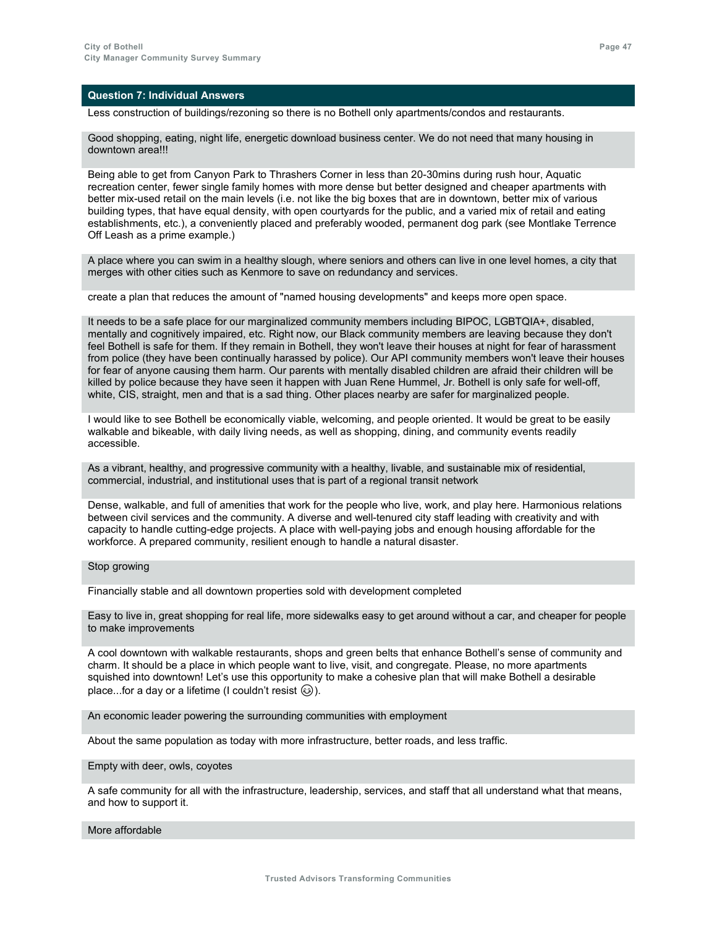Less construction of buildings/rezoning so there is no Bothell only apartments/condos and restaurants.

Good shopping, eating, night life, energetic download business center. We do not need that many housing in downtown area!!!

Being able to get from Canyon Park to Thrashers Corner in less than 20-30mins during rush hour, Aquatic recreation center, fewer single family homes with more dense but better designed and cheaper apartments with better mix-used retail on the main levels (i.e. not like the big boxes that are in downtown, better mix of various building types, that have equal density, with open courtyards for the public, and a varied mix of retail and eating establishments, etc.), a conveniently placed and preferably wooded, permanent dog park (see Montlake Terrence Off Leash as a prime example.)

A place where you can swim in a healthy slough, where seniors and others can live in one level homes, a city that merges with other cities such as Kenmore to save on redundancy and services.

create a plan that reduces the amount of "named housing developments" and keeps more open space.

It needs to be a safe place for our marginalized community members including BIPOC, LGBTQIA+, disabled, mentally and cognitively impaired, etc. Right now, our Black community members are leaving because they don't feel Bothell is safe for them. If they remain in Bothell, they won't leave their houses at night for fear of harassment from police (they have been continually harassed by police). Our API community members won't leave their houses for fear of anyone causing them harm. Our parents with mentally disabled children are afraid their children will be killed by police because they have seen it happen with Juan Rene Hummel, Jr. Bothell is only safe for well-off, white, CIS, straight, men and that is a sad thing. Other places nearby are safer for marginalized people.

I would like to see Bothell be economically viable, welcoming, and people oriented. It would be great to be easily walkable and bikeable, with daily living needs, as well as shopping, dining, and community events readily accessible.

As a vibrant, healthy, and progressive community with a healthy, livable, and sustainable mix of residential, commercial, industrial, and institutional uses that is part of a regional transit network

Dense, walkable, and full of amenities that work for the people who live, work, and play here. Harmonious relations between civil services and the community. A diverse and well-tenured city staff leading with creativity and with capacity to handle cutting-edge projects. A place with well-paying jobs and enough housing affordable for the workforce. A prepared community, resilient enough to handle a natural disaster.

### Stop growing

Financially stable and all downtown properties sold with development completed

Easy to live in, great shopping for real life, more sidewalks easy to get around without a car, and cheaper for people to make improvements

A cool downtown with walkable restaurants, shops and green belts that enhance Bothell's sense of community and charm. It should be a place in which people want to live, visit, and congregate. Please, no more apartments squished into downtown! Let's use this opportunity to make a cohesive plan that will make Bothell a desirable place...for a day or a lifetime (I couldn't resist  $\circledcirc$ ).

An economic leader powering the surrounding communities with employment

About the same population as today with more infrastructure, better roads, and less traffic.

#### Empty with deer, owls, coyotes

A safe community for all with the infrastructure, leadership, services, and staff that all understand what that means, and how to support it.

#### More affordable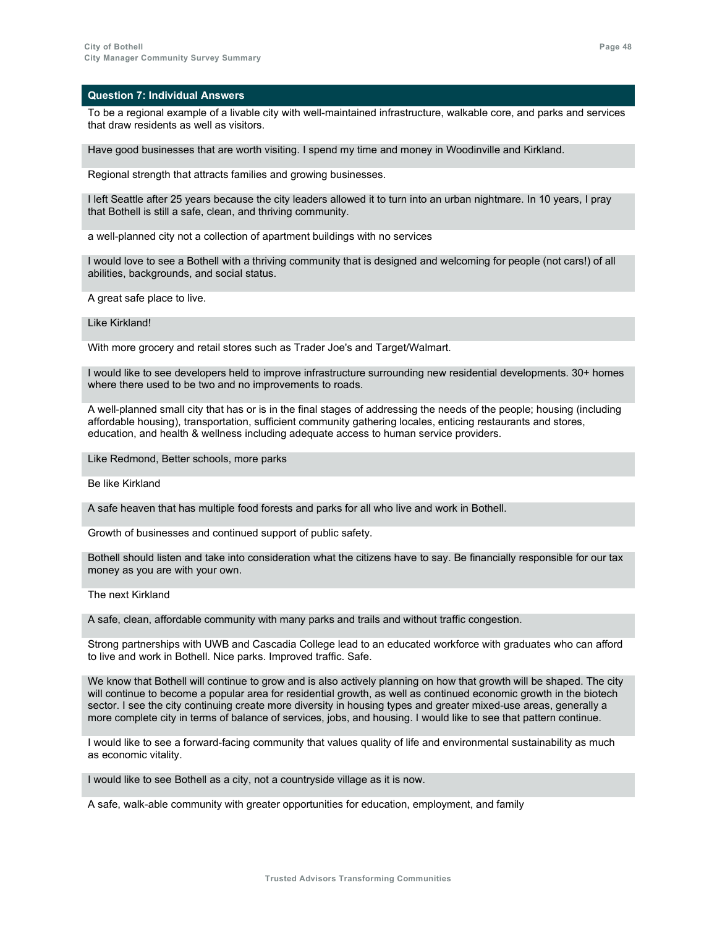To be a regional example of a livable city with well-maintained infrastructure, walkable core, and parks and services that draw residents as well as visitors.

Have good businesses that are worth visiting. I spend my time and money in Woodinville and Kirkland.

Regional strength that attracts families and growing businesses.

I left Seattle after 25 years because the city leaders allowed it to turn into an urban nightmare. In 10 years, I pray that Bothell is still a safe, clean, and thriving community.

a well-planned city not a collection of apartment buildings with no services

I would love to see a Bothell with a thriving community that is designed and welcoming for people (not cars!) of all abilities, backgrounds, and social status.

A great safe place to live.

Like Kirkland!

With more grocery and retail stores such as Trader Joe's and Target/Walmart.

I would like to see developers held to improve infrastructure surrounding new residential developments. 30+ homes where there used to be two and no improvements to roads.

A well-planned small city that has or is in the final stages of addressing the needs of the people; housing (including affordable housing), transportation, sufficient community gathering locales, enticing restaurants and stores, education, and health & wellness including adequate access to human service providers.

Like Redmond, Better schools, more parks

Be like Kirkland

A safe heaven that has multiple food forests and parks for all who live and work in Bothell.

Growth of businesses and continued support of public safety.

Bothell should listen and take into consideration what the citizens have to say. Be financially responsible for our tax money as you are with your own.

The next Kirkland

A safe, clean, affordable community with many parks and trails and without traffic congestion.

Strong partnerships with UWB and Cascadia College lead to an educated workforce with graduates who can afford to live and work in Bothell. Nice parks. Improved traffic. Safe.

We know that Bothell will continue to grow and is also actively planning on how that growth will be shaped. The city will continue to become a popular area for residential growth, as well as continued economic growth in the biotech sector. I see the city continuing create more diversity in housing types and greater mixed-use areas, generally a more complete city in terms of balance of services, jobs, and housing. I would like to see that pattern continue.

I would like to see a forward-facing community that values quality of life and environmental sustainability as much as economic vitality.

I would like to see Bothell as a city, not a countryside village as it is now.

A safe, walk-able community with greater opportunities for education, employment, and family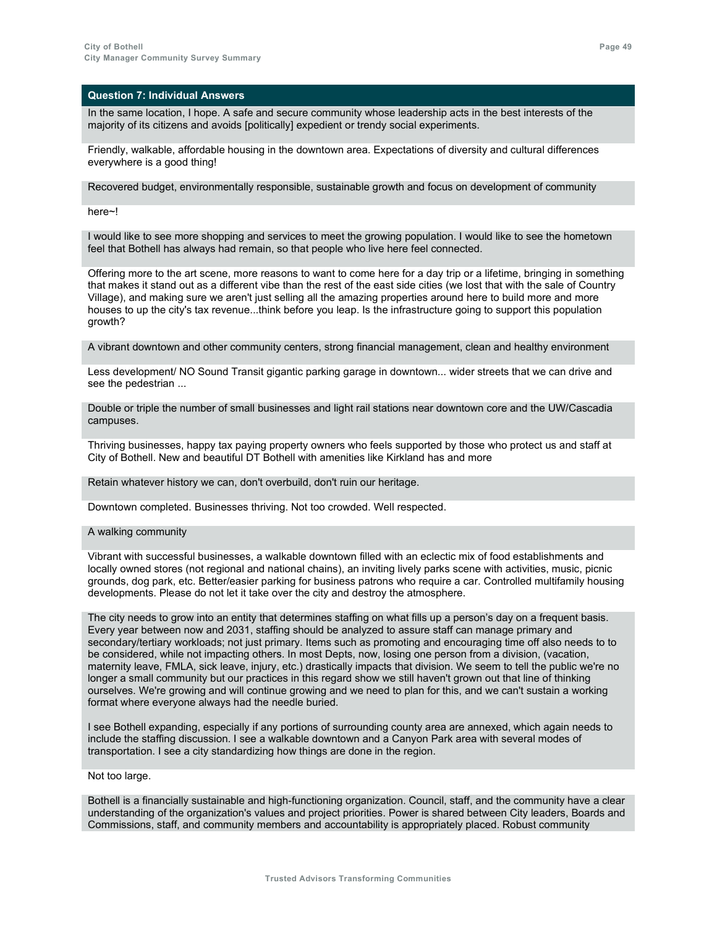In the same location, I hope. A safe and secure community whose leadership acts in the best interests of the majority of its citizens and avoids [politically] expedient or trendy social experiments.

Friendly, walkable, affordable housing in the downtown area. Expectations of diversity and cultural differences everywhere is a good thing!

Recovered budget, environmentally responsible, sustainable growth and focus on development of community

here~!

I would like to see more shopping and services to meet the growing population. I would like to see the hometown feel that Bothell has always had remain, so that people who live here feel connected.

Offering more to the art scene, more reasons to want to come here for a day trip or a lifetime, bringing in something that makes it stand out as a different vibe than the rest of the east side cities (we lost that with the sale of Country Village), and making sure we aren't just selling all the amazing properties around here to build more and more houses to up the city's tax revenue...think before you leap. Is the infrastructure going to support this population growth?

A vibrant downtown and other community centers, strong financial management, clean and healthy environment

Less development/ NO Sound Transit gigantic parking garage in downtown... wider streets that we can drive and see the pedestrian ...

Double or triple the number of small businesses and light rail stations near downtown core and the UW/Cascadia campuses.

Thriving businesses, happy tax paying property owners who feels supported by those who protect us and staff at City of Bothell. New and beautiful DT Bothell with amenities like Kirkland has and more

Retain whatever history we can, don't overbuild, don't ruin our heritage.

Downtown completed. Businesses thriving. Not too crowded. Well respected.

A walking community

Vibrant with successful businesses, a walkable downtown filled with an eclectic mix of food establishments and locally owned stores (not regional and national chains), an inviting lively parks scene with activities, music, picnic grounds, dog park, etc. Better/easier parking for business patrons who require a car. Controlled multifamily housing developments. Please do not let it take over the city and destroy the atmosphere.

The city needs to grow into an entity that determines staffing on what fills up a person's day on a frequent basis. Every year between now and 2031, staffing should be analyzed to assure staff can manage primary and secondary/tertiary workloads; not just primary. Items such as promoting and encouraging time off also needs to to be considered, while not impacting others. In most Depts, now, losing one person from a division, (vacation, maternity leave, FMLA, sick leave, injury, etc.) drastically impacts that division. We seem to tell the public we're no longer a small community but our practices in this regard show we still haven't grown out that line of thinking ourselves. We're growing and will continue growing and we need to plan for this, and we can't sustain a working format where everyone always had the needle buried.

I see Bothell expanding, especially if any portions of surrounding county area are annexed, which again needs to include the staffing discussion. I see a walkable downtown and a Canyon Park area with several modes of transportation. I see a city standardizing how things are done in the region.

Not too large.

Bothell is a financially sustainable and high-functioning organization. Council, staff, and the community have a clear understanding of the organization's values and project priorities. Power is shared between City leaders, Boards and Commissions, staff, and community members and accountability is appropriately placed. Robust community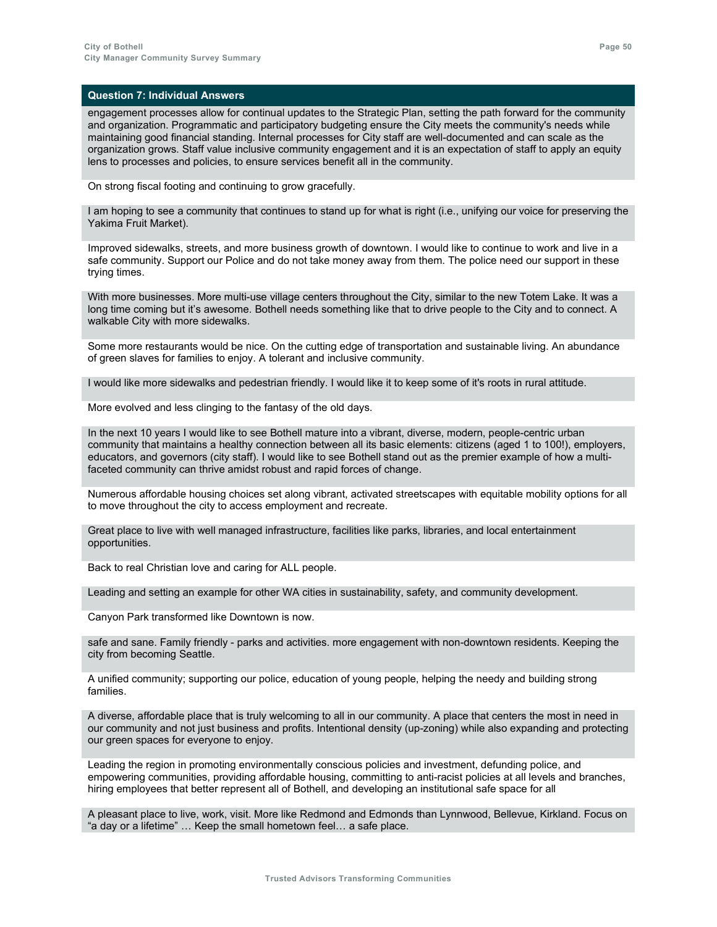engagement processes allow for continual updates to the Strategic Plan, setting the path forward for the community and organization. Programmatic and participatory budgeting ensure the City meets the community's needs while maintaining good financial standing. Internal processes for City staff are well-documented and can scale as the organization grows. Staff value inclusive community engagement and it is an expectation of staff to apply an equity lens to processes and policies, to ensure services benefit all in the community.

On strong fiscal footing and continuing to grow gracefully.

I am hoping to see a community that continues to stand up for what is right (i.e., unifying our voice for preserving the Yakima Fruit Market).

Improved sidewalks, streets, and more business growth of downtown. I would like to continue to work and live in a safe community. Support our Police and do not take money away from them. The police need our support in these trying times.

With more businesses. More multi-use village centers throughout the City, similar to the new Totem Lake. It was a long time coming but it's awesome. Bothell needs something like that to drive people to the City and to connect. A walkable City with more sidewalks.

Some more restaurants would be nice. On the cutting edge of transportation and sustainable living. An abundance of green slaves for families to enjoy. A tolerant and inclusive community.

I would like more sidewalks and pedestrian friendly. I would like it to keep some of it's roots in rural attitude.

More evolved and less clinging to the fantasy of the old days.

In the next 10 years I would like to see Bothell mature into a vibrant, diverse, modern, people-centric urban community that maintains a healthy connection between all its basic elements: citizens (aged 1 to 100!), employers, educators, and governors (city staff). I would like to see Bothell stand out as the premier example of how a multifaceted community can thrive amidst robust and rapid forces of change.

Numerous affordable housing choices set along vibrant, activated streetscapes with equitable mobility options for all to move throughout the city to access employment and recreate.

Great place to live with well managed infrastructure, facilities like parks, libraries, and local entertainment opportunities.

Back to real Christian love and caring for ALL people.

Leading and setting an example for other WA cities in sustainability, safety, and community development.

Canyon Park transformed like Downtown is now.

safe and sane. Family friendly - parks and activities. more engagement with non-downtown residents. Keeping the city from becoming Seattle.

A unified community; supporting our police, education of young people, helping the needy and building strong families.

A diverse, affordable place that is truly welcoming to all in our community. A place that centers the most in need in our community and not just business and profits. Intentional density (up-zoning) while also expanding and protecting our green spaces for everyone to enjoy.

Leading the region in promoting environmentally conscious policies and investment, defunding police, and empowering communities, providing affordable housing, committing to anti-racist policies at all levels and branches, hiring employees that better represent all of Bothell, and developing an institutional safe space for all

A pleasant place to live, work, visit. More like Redmond and Edmonds than Lynnwood, Bellevue, Kirkland. Focus on "a day or a lifetime" … Keep the small hometown feel… a safe place.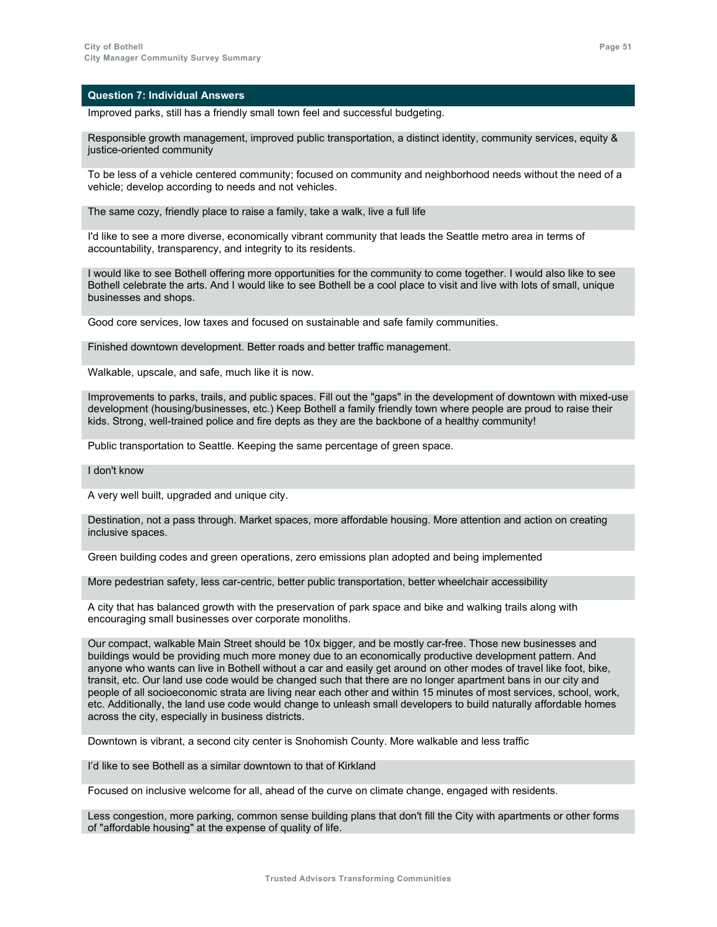Improved parks, still has a friendly small town feel and successful budgeting.

Responsible growth management, improved public transportation, a distinct identity, community services, equity & justice-oriented community

To be less of a vehicle centered community; focused on community and neighborhood needs without the need of a vehicle; develop according to needs and not vehicles.

The same cozy, friendly place to raise a family, take a walk, live a full life

I'd like to see a more diverse, economically vibrant community that leads the Seattle metro area in terms of accountability, transparency, and integrity to its residents.

I would like to see Bothell offering more opportunities for the community to come together. I would also like to see Bothell celebrate the arts. And I would like to see Bothell be a cool place to visit and live with lots of small, unique businesses and shops.

Good core services, low taxes and focused on sustainable and safe family communities.

Finished downtown development. Better roads and better traffic management.

Walkable, upscale, and safe, much like it is now.

Improvements to parks, trails, and public spaces. Fill out the "gaps" in the development of downtown with mixed-use development (housing/businesses, etc.) Keep Bothell a family friendly town where people are proud to raise their kids. Strong, well-trained police and fire depts as they are the backbone of a healthy community!

Public transportation to Seattle. Keeping the same percentage of green space.

### I don't know

A very well built, upgraded and unique city.

Destination, not a pass through. Market spaces, more affordable housing. More attention and action on creating inclusive spaces.

Green building codes and green operations, zero emissions plan adopted and being implemented

More pedestrian safety, less car-centric, better public transportation, better wheelchair accessibility

A city that has balanced growth with the preservation of park space and bike and walking trails along with encouraging small businesses over corporate monoliths.

Our compact, walkable Main Street should be 10x bigger, and be mostly car-free. Those new businesses and buildings would be providing much more money due to an economically productive development pattern. And anyone who wants can live in Bothell without a car and easily get around on other modes of travel like foot, bike, transit, etc. Our land use code would be changed such that there are no longer apartment bans in our city and people of all socioeconomic strata are living near each other and within 15 minutes of most services, school, work, etc. Additionally, the land use code would change to unleash small developers to build naturally affordable homes across the city, especially in business districts.

Downtown is vibrant, a second city center is Snohomish County. More walkable and less traffic

I'd like to see Bothell as a similar downtown to that of Kirkland

Focused on inclusive welcome for all, ahead of the curve on climate change, engaged with residents.

Less congestion, more parking, common sense building plans that don't fill the City with apartments or other forms of "affordable housing" at the expense of quality of life.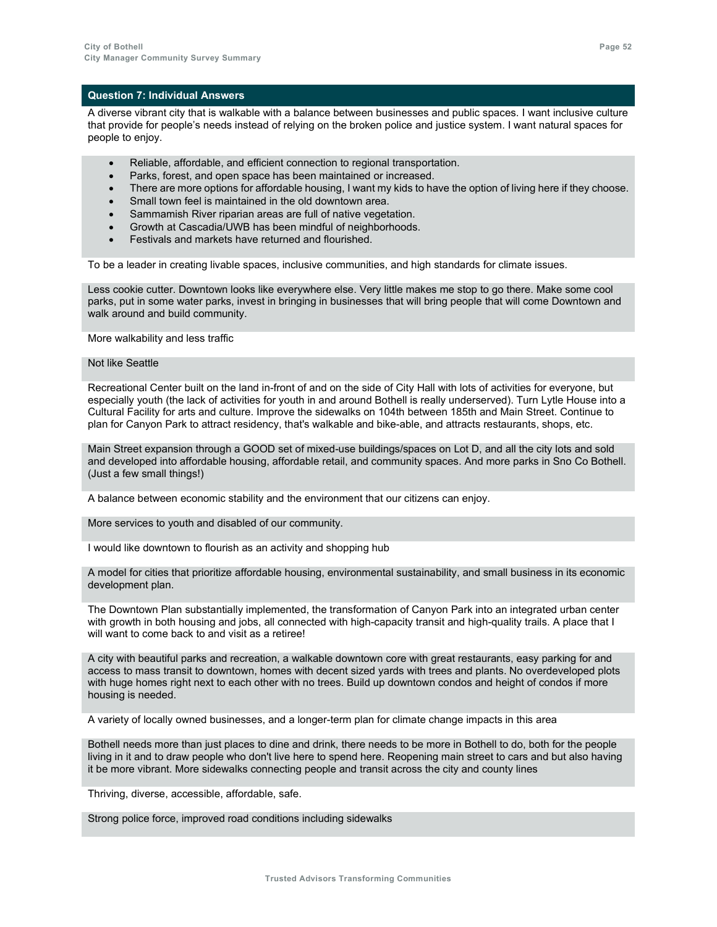A diverse vibrant city that is walkable with a balance between businesses and public spaces. I want inclusive culture that provide for people's needs instead of relying on the broken police and justice system. I want natural spaces for people to enjoy.

- Reliable, affordable, and efficient connection to regional transportation.
- Parks, forest, and open space has been maintained or increased.
- There are more options for affordable housing, I want my kids to have the option of living here if they choose.
- Small town feel is maintained in the old downtown area.
- Sammamish River riparian areas are full of native vegetation.
- Growth at Cascadia/UWB has been mindful of neighborhoods.
- Festivals and markets have returned and flourished.

To be a leader in creating livable spaces, inclusive communities, and high standards for climate issues.

Less cookie cutter. Downtown looks like everywhere else. Very little makes me stop to go there. Make some cool parks, put in some water parks, invest in bringing in businesses that will bring people that will come Downtown and walk around and build community.

More walkability and less traffic

### Not like Seattle

Recreational Center built on the land in-front of and on the side of City Hall with lots of activities for everyone, but especially youth (the lack of activities for youth in and around Bothell is really underserved). Turn Lytle House into a Cultural Facility for arts and culture. Improve the sidewalks on 104th between 185th and Main Street. Continue to plan for Canyon Park to attract residency, that's walkable and bike-able, and attracts restaurants, shops, etc.

Main Street expansion through a GOOD set of mixed-use buildings/spaces on Lot D, and all the city lots and sold and developed into affordable housing, affordable retail, and community spaces. And more parks in Sno Co Bothell. (Just a few small things!)

A balance between economic stability and the environment that our citizens can enjoy.

More services to youth and disabled of our community.

I would like downtown to flourish as an activity and shopping hub

A model for cities that prioritize affordable housing, environmental sustainability, and small business in its economic development plan.

The Downtown Plan substantially implemented, the transformation of Canyon Park into an integrated urban center with growth in both housing and jobs, all connected with high-capacity transit and high-quality trails. A place that I will want to come back to and visit as a retiree!

A city with beautiful parks and recreation, a walkable downtown core with great restaurants, easy parking for and access to mass transit to downtown, homes with decent sized yards with trees and plants. No overdeveloped plots with huge homes right next to each other with no trees. Build up downtown condos and height of condos if more housing is needed.

A variety of locally owned businesses, and a longer-term plan for climate change impacts in this area

Bothell needs more than just places to dine and drink, there needs to be more in Bothell to do, both for the people living in it and to draw people who don't live here to spend here. Reopening main street to cars and but also having it be more vibrant. More sidewalks connecting people and transit across the city and county lines

Thriving, diverse, accessible, affordable, safe.

Strong police force, improved road conditions including sidewalks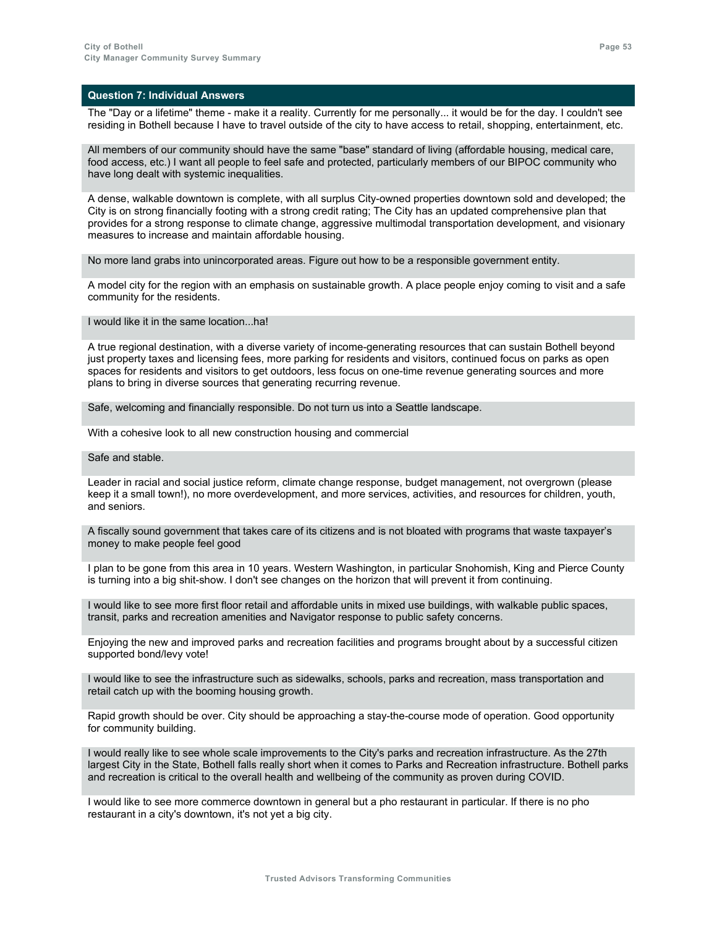The "Day or a lifetime" theme - make it a reality. Currently for me personally... it would be for the day. I couldn't see residing in Bothell because I have to travel outside of the city to have access to retail, shopping, entertainment, etc.

All members of our community should have the same "base" standard of living (affordable housing, medical care, food access, etc.) I want all people to feel safe and protected, particularly members of our BIPOC community who have long dealt with systemic inequalities.

A dense, walkable downtown is complete, with all surplus City-owned properties downtown sold and developed; the City is on strong financially footing with a strong credit rating; The City has an updated comprehensive plan that provides for a strong response to climate change, aggressive multimodal transportation development, and visionary measures to increase and maintain affordable housing.

No more land grabs into unincorporated areas. Figure out how to be a responsible government entity.

A model city for the region with an emphasis on sustainable growth. A place people enjoy coming to visit and a safe community for the residents.

I would like it in the same location...ha!

A true regional destination, with a diverse variety of income-generating resources that can sustain Bothell beyond just property taxes and licensing fees, more parking for residents and visitors, continued focus on parks as open spaces for residents and visitors to get outdoors, less focus on one-time revenue generating sources and more plans to bring in diverse sources that generating recurring revenue.

Safe, welcoming and financially responsible. Do not turn us into a Seattle landscape.

With a cohesive look to all new construction housing and commercial

#### Safe and stable.

Leader in racial and social justice reform, climate change response, budget management, not overgrown (please keep it a small town!), no more overdevelopment, and more services, activities, and resources for children, youth, and seniors.

A fiscally sound government that takes care of its citizens and is not bloated with programs that waste taxpayer's money to make people feel good

I plan to be gone from this area in 10 years. Western Washington, in particular Snohomish, King and Pierce County is turning into a big shit-show. I don't see changes on the horizon that will prevent it from continuing.

I would like to see more first floor retail and affordable units in mixed use buildings, with walkable public spaces, transit, parks and recreation amenities and Navigator response to public safety concerns.

Enjoying the new and improved parks and recreation facilities and programs brought about by a successful citizen supported bond/levy vote!

I would like to see the infrastructure such as sidewalks, schools, parks and recreation, mass transportation and retail catch up with the booming housing growth.

Rapid growth should be over. City should be approaching a stay-the-course mode of operation. Good opportunity for community building.

I would really like to see whole scale improvements to the City's parks and recreation infrastructure. As the 27th largest City in the State, Bothell falls really short when it comes to Parks and Recreation infrastructure. Bothell parks and recreation is critical to the overall health and wellbeing of the community as proven during COVID.

I would like to see more commerce downtown in general but a pho restaurant in particular. If there is no pho restaurant in a city's downtown, it's not yet a big city.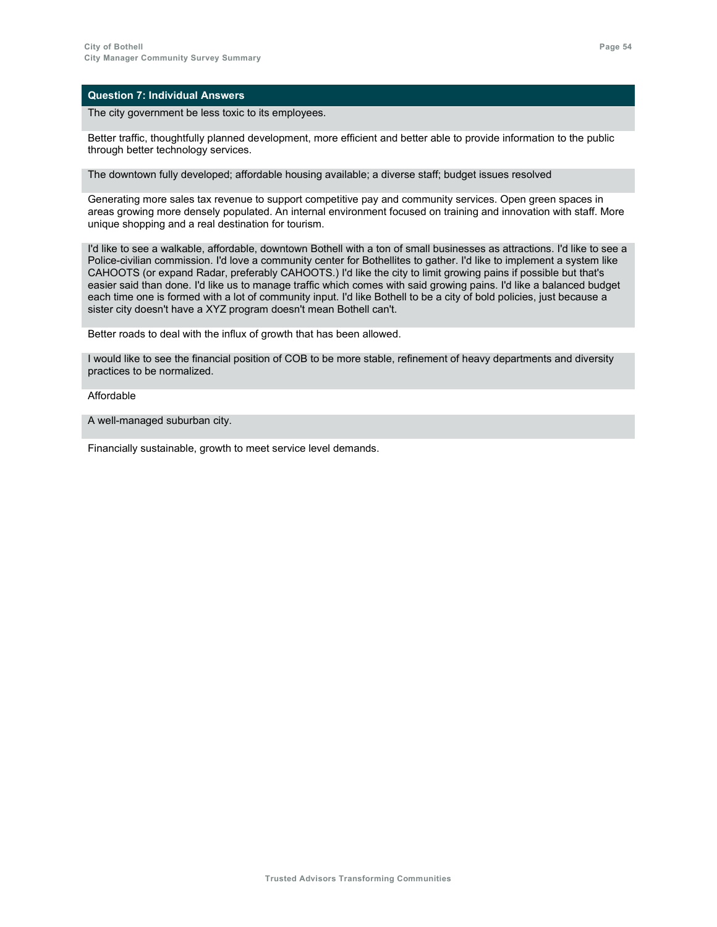The city government be less toxic to its employees.

Better traffic, thoughtfully planned development, more efficient and better able to provide information to the public through better technology services.

The downtown fully developed; affordable housing available; a diverse staff; budget issues resolved

Generating more sales tax revenue to support competitive pay and community services. Open green spaces in areas growing more densely populated. An internal environment focused on training and innovation with staff. More unique shopping and a real destination for tourism.

I'd like to see a walkable, affordable, downtown Bothell with a ton of small businesses as attractions. I'd like to see a Police-civilian commission. I'd love a community center for Bothellites to gather. I'd like to implement a system like CAHOOTS (or expand Radar, preferably CAHOOTS.) I'd like the city to limit growing pains if possible but that's easier said than done. I'd like us to manage traffic which comes with said growing pains. I'd like a balanced budget each time one is formed with a lot of community input. I'd like Bothell to be a city of bold policies, just because a sister city doesn't have a XYZ program doesn't mean Bothell can't.

Better roads to deal with the influx of growth that has been allowed.

I would like to see the financial position of COB to be more stable, refinement of heavy departments and diversity practices to be normalized.

Affordable

A well-managed suburban city.

Financially sustainable, growth to meet service level demands.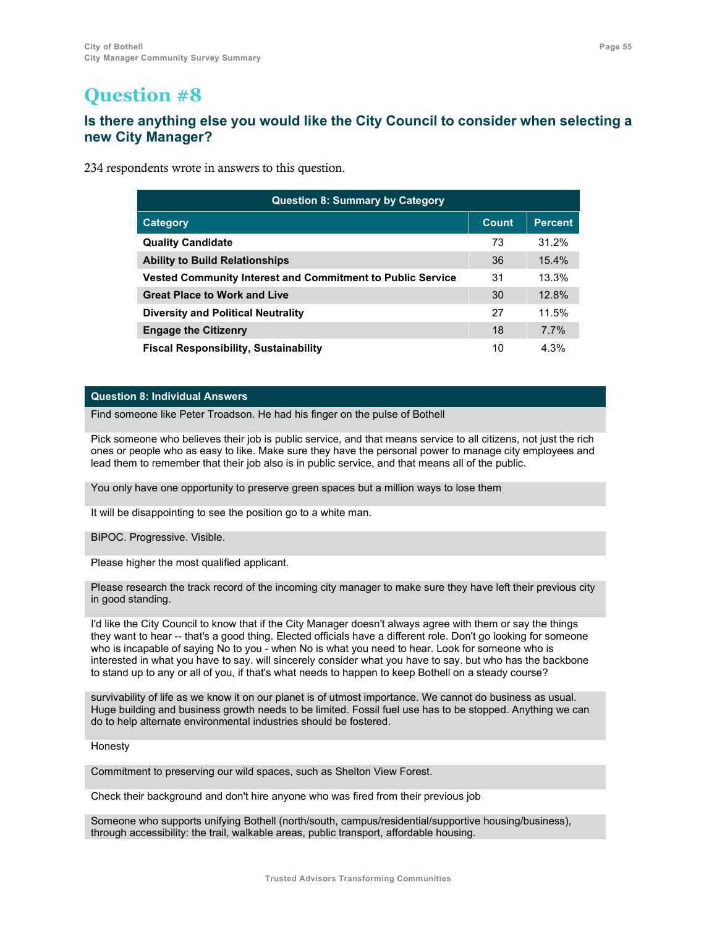### **Is there anything else you would like the City Council to consider when selecting a new City Manager?**

234 respondents wrote in answers to this question.

| <b>Question 8: Summary by Category</b>                            |       |                |  |
|-------------------------------------------------------------------|-------|----------------|--|
| Category                                                          | Count | <b>Percent</b> |  |
| <b>Quality Candidate</b>                                          | 73    | 31.2%          |  |
| <b>Ability to Build Relationships</b>                             | 36    | 15.4%          |  |
| <b>Vested Community Interest and Commitment to Public Service</b> |       | 13.3%          |  |
| <b>Great Place to Work and Live</b>                               |       | 12.8%          |  |
| <b>Diversity and Political Neutrality</b>                         |       | 11.5%          |  |
| <b>Engage the Citizenry</b>                                       | 18    | 7.7%           |  |
| <b>Fiscal Responsibility, Sustainability</b>                      | 10    | 4.3%           |  |

### **Question 8: Individual Answers**

Find someone like Peter Troadson. He had his finger on the pulse of Bothell

Pick someone who believes their job is public service, and that means service to all citizens, not just the rich ones or people who as easy to like. Make sure they have the personal power to manage city employees and lead them to remember that their job also is in public service, and that means all of the public.

You only have one opportunity to preserve green spaces but a million ways to lose them

It will be disappointing to see the position go to a white man.

BIPOC. Progressive. Visible.

Please higher the most qualified applicant.

Please research the track record of the incoming city manager to make sure they have left their previous city in good standing.

I'd like the City Council to know that if the City Manager doesn't always agree with them or say the things they want to hear -- that's a good thing. Elected officials have a different role. Don't go looking for someone who is incapable of saying No to you - when No is what you need to hear. Look for someone who is interested in what you have to say. will sincerely consider what you have to say. but who has the backbone to stand up to any or all of you, if that's what needs to happen to keep Bothell on a steady course?

survivability of life as we know it on our planet is of utmost importance. We cannot do business as usual. Huge building and business growth needs to be limited. Fossil fuel use has to be stopped. Anything we can do to help alternate environmental industries should be fostered.

Honesty

Commitment to preserving our wild spaces, such as Shelton View Forest.

Check their background and don't hire anyone who was fired from their previous job

Someone who supports unifying Bothell (north/south, campus/residential/supportive housing/business), through accessibility: the trail, walkable areas, public transport, affordable housing.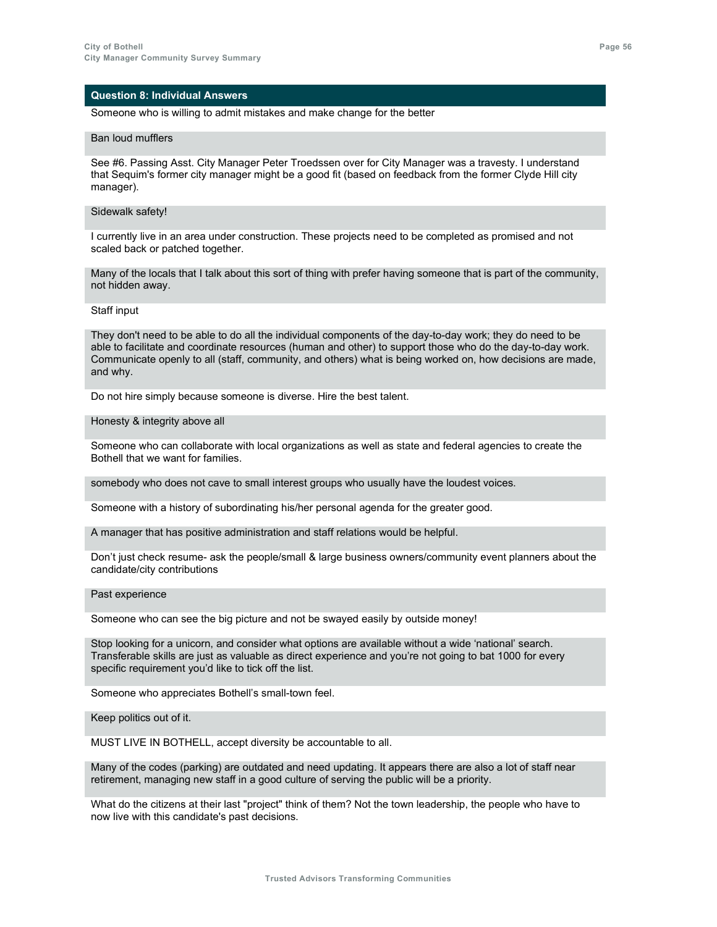### Someone who is willing to admit mistakes and make change for the better

#### Ban loud mufflers

See #6. Passing Asst. City Manager Peter Troedssen over for City Manager was a travesty. I understand that Sequim's former city manager might be a good fit (based on feedback from the former Clyde Hill city manager).

### Sidewalk safety!

I currently live in an area under construction. These projects need to be completed as promised and not scaled back or patched together.

Many of the locals that I talk about this sort of thing with prefer having someone that is part of the community, not hidden away.

### Staff input

They don't need to be able to do all the individual components of the day-to-day work; they do need to be able to facilitate and coordinate resources (human and other) to support those who do the day-to-day work. Communicate openly to all (staff, community, and others) what is being worked on, how decisions are made, and why.

Do not hire simply because someone is diverse. Hire the best talent.

#### Honesty & integrity above all

Someone who can collaborate with local organizations as well as state and federal agencies to create the Bothell that we want for families.

somebody who does not cave to small interest groups who usually have the loudest voices.

Someone with a history of subordinating his/her personal agenda for the greater good.

A manager that has positive administration and staff relations would be helpful.

Don't just check resume- ask the people/small & large business owners/community event planners about the candidate/city contributions

#### Past experience

Someone who can see the big picture and not be swayed easily by outside money!

Stop looking for a unicorn, and consider what options are available without a wide 'national' search. Transferable skills are just as valuable as direct experience and you're not going to bat 1000 for every specific requirement you'd like to tick off the list.

Someone who appreciates Bothell's small-town feel.

Keep politics out of it.

MUST LIVE IN BOTHELL, accept diversity be accountable to all.

Many of the codes (parking) are outdated and need updating. It appears there are also a lot of staff near retirement, managing new staff in a good culture of serving the public will be a priority.

What do the citizens at their last "project" think of them? Not the town leadership, the people who have to now live with this candidate's past decisions.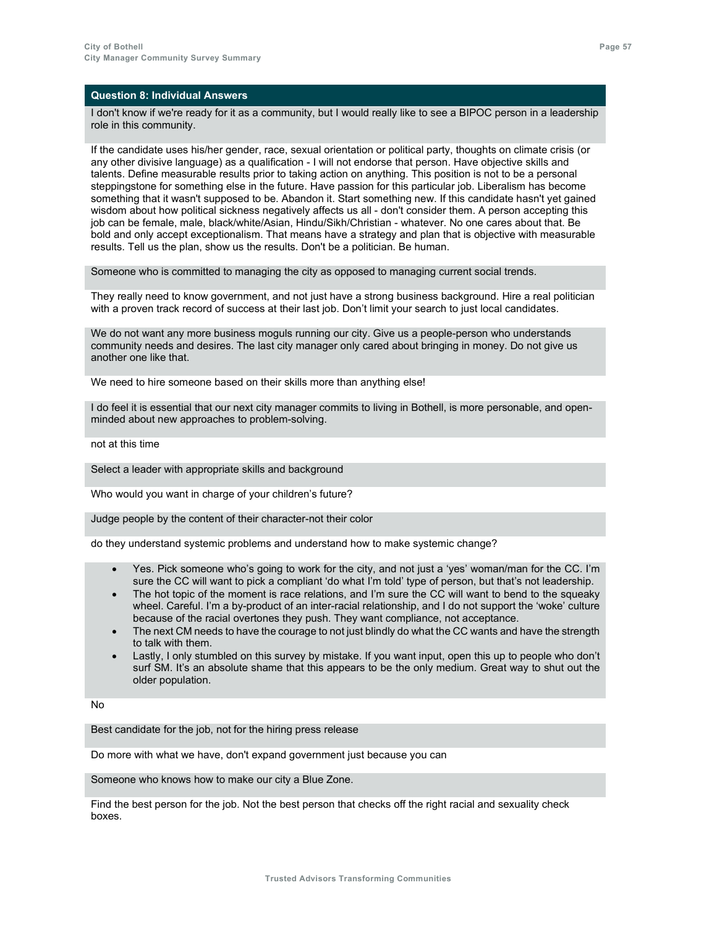I don't know if we're ready for it as a community, but I would really like to see a BIPOC person in a leadership role in this community.

If the candidate uses his/her gender, race, sexual orientation or political party, thoughts on climate crisis (or any other divisive language) as a qualification - I will not endorse that person. Have objective skills and talents. Define measurable results prior to taking action on anything. This position is not to be a personal steppingstone for something else in the future. Have passion for this particular job. Liberalism has become something that it wasn't supposed to be. Abandon it. Start something new. If this candidate hasn't yet gained wisdom about how political sickness negatively affects us all - don't consider them. A person accepting this job can be female, male, black/white/Asian, Hindu/Sikh/Christian - whatever. No one cares about that. Be bold and only accept exceptionalism. That means have a strategy and plan that is objective with measurable results. Tell us the plan, show us the results. Don't be a politician. Be human.

Someone who is committed to managing the city as opposed to managing current social trends.

They really need to know government, and not just have a strong business background. Hire a real politician with a proven track record of success at their last job. Don't limit your search to just local candidates.

We do not want any more business moguls running our city. Give us a people-person who understands community needs and desires. The last city manager only cared about bringing in money. Do not give us another one like that.

We need to hire someone based on their skills more than anything else!

I do feel it is essential that our next city manager commits to living in Bothell, is more personable, and openminded about new approaches to problem-solving.

not at this time

Select a leader with appropriate skills and background

Who would you want in charge of your children's future?

Judge people by the content of their character-not their color

do they understand systemic problems and understand how to make systemic change?

- Yes. Pick someone who's going to work for the city, and not just a 'yes' woman/man for the CC. I'm sure the CC will want to pick a compliant 'do what I'm told' type of person, but that's not leadership.
- The hot topic of the moment is race relations, and I'm sure the CC will want to bend to the squeaky wheel. Careful. I'm a by-product of an inter-racial relationship, and I do not support the 'woke' culture because of the racial overtones they push. They want compliance, not acceptance.
- The next CM needs to have the courage to not just blindly do what the CC wants and have the strength to talk with them.
- Lastly, I only stumbled on this survey by mistake. If you want input, open this up to people who don't surf SM. It's an absolute shame that this appears to be the only medium. Great way to shut out the older population.

No

Best candidate for the job, not for the hiring press release

Do more with what we have, don't expand government just because you can

Someone who knows how to make our city a Blue Zone.

Find the best person for the job. Not the best person that checks off the right racial and sexuality check boxes.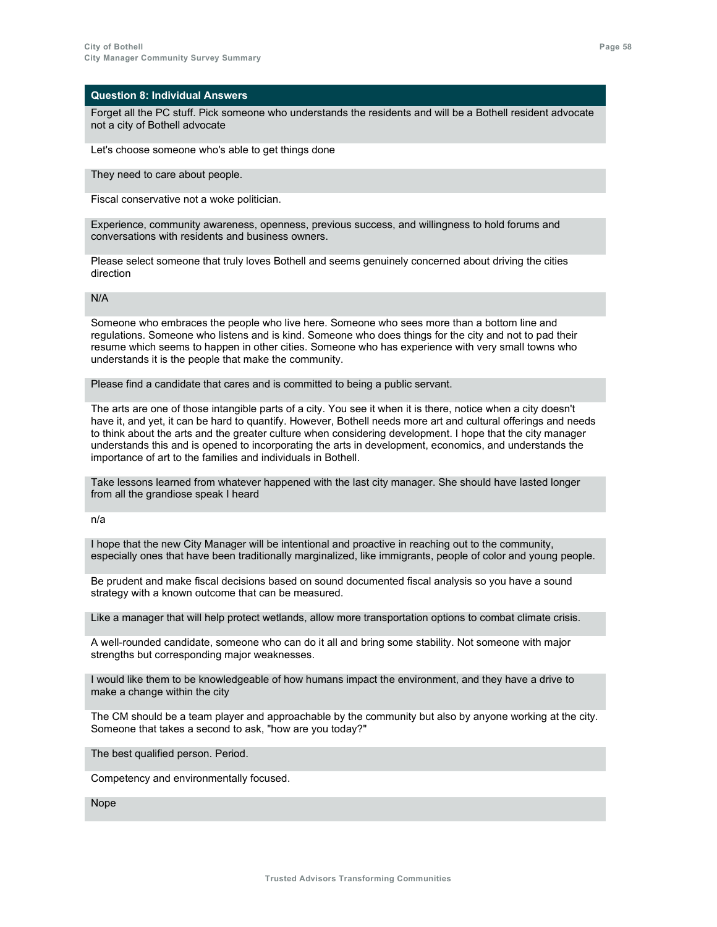Forget all the PC stuff. Pick someone who understands the residents and will be a Bothell resident advocate not a city of Bothell advocate

Let's choose someone who's able to get things done

They need to care about people.

Fiscal conservative not a woke politician.

Experience, community awareness, openness, previous success, and willingness to hold forums and conversations with residents and business owners.

Please select someone that truly loves Bothell and seems genuinely concerned about driving the cities direction

### N/A

Someone who embraces the people who live here. Someone who sees more than a bottom line and regulations. Someone who listens and is kind. Someone who does things for the city and not to pad their resume which seems to happen in other cities. Someone who has experience with very small towns who understands it is the people that make the community.

Please find a candidate that cares and is committed to being a public servant.

The arts are one of those intangible parts of a city. You see it when it is there, notice when a city doesn't have it, and yet, it can be hard to quantify. However, Bothell needs more art and cultural offerings and needs to think about the arts and the greater culture when considering development. I hope that the city manager understands this and is opened to incorporating the arts in development, economics, and understands the importance of art to the families and individuals in Bothell.

Take lessons learned from whatever happened with the last city manager. She should have lasted longer from all the grandiose speak I heard

n/a

I hope that the new City Manager will be intentional and proactive in reaching out to the community, especially ones that have been traditionally marginalized, like immigrants, people of color and young people.

Be prudent and make fiscal decisions based on sound documented fiscal analysis so you have a sound strategy with a known outcome that can be measured.

Like a manager that will help protect wetlands, allow more transportation options to combat climate crisis.

A well-rounded candidate, someone who can do it all and bring some stability. Not someone with major strengths but corresponding major weaknesses.

I would like them to be knowledgeable of how humans impact the environment, and they have a drive to make a change within the city

The CM should be a team player and approachable by the community but also by anyone working at the city. Someone that takes a second to ask, "how are you today?"

The best qualified person. Period.

Competency and environmentally focused.

Nope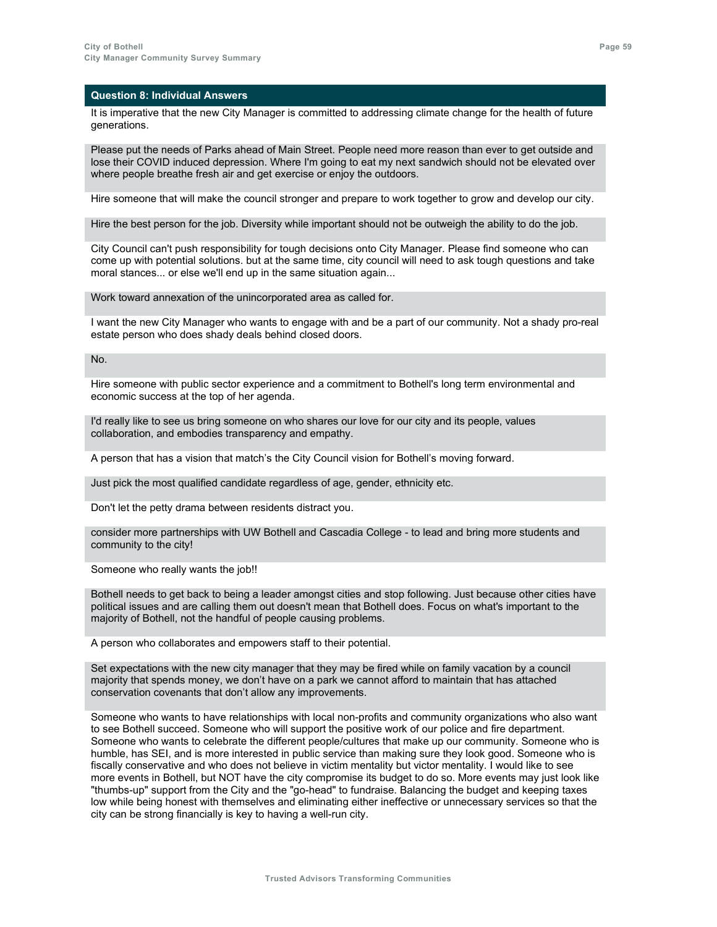It is imperative that the new City Manager is committed to addressing climate change for the health of future generations.

Please put the needs of Parks ahead of Main Street. People need more reason than ever to get outside and lose their COVID induced depression. Where I'm going to eat my next sandwich should not be elevated over where people breathe fresh air and get exercise or enjoy the outdoors.

Hire someone that will make the council stronger and prepare to work together to grow and develop our city.

Hire the best person for the job. Diversity while important should not be outweigh the ability to do the job.

City Council can't push responsibility for tough decisions onto City Manager. Please find someone who can come up with potential solutions. but at the same time, city council will need to ask tough questions and take moral stances... or else we'll end up in the same situation again...

Work toward annexation of the unincorporated area as called for.

I want the new City Manager who wants to engage with and be a part of our community. Not a shady pro-real estate person who does shady deals behind closed doors.

No.

Hire someone with public sector experience and a commitment to Bothell's long term environmental and economic success at the top of her agenda.

I'd really like to see us bring someone on who shares our love for our city and its people, values collaboration, and embodies transparency and empathy.

A person that has a vision that match's the City Council vision for Bothell's moving forward.

Just pick the most qualified candidate regardless of age, gender, ethnicity etc.

Don't let the petty drama between residents distract you.

consider more partnerships with UW Bothell and Cascadia College - to lead and bring more students and community to the city!

Someone who really wants the job!!

Bothell needs to get back to being a leader amongst cities and stop following. Just because other cities have political issues and are calling them out doesn't mean that Bothell does. Focus on what's important to the majority of Bothell, not the handful of people causing problems.

A person who collaborates and empowers staff to their potential.

Set expectations with the new city manager that they may be fired while on family vacation by a council majority that spends money, we don't have on a park we cannot afford to maintain that has attached conservation covenants that don't allow any improvements.

Someone who wants to have relationships with local non-profits and community organizations who also want to see Bothell succeed. Someone who will support the positive work of our police and fire department. Someone who wants to celebrate the different people/cultures that make up our community. Someone who is humble, has SEI, and is more interested in public service than making sure they look good. Someone who is fiscally conservative and who does not believe in victim mentality but victor mentality. I would like to see more events in Bothell, but NOT have the city compromise its budget to do so. More events may just look like "thumbs-up" support from the City and the "go-head" to fundraise. Balancing the budget and keeping taxes low while being honest with themselves and eliminating either ineffective or unnecessary services so that the city can be strong financially is key to having a well-run city.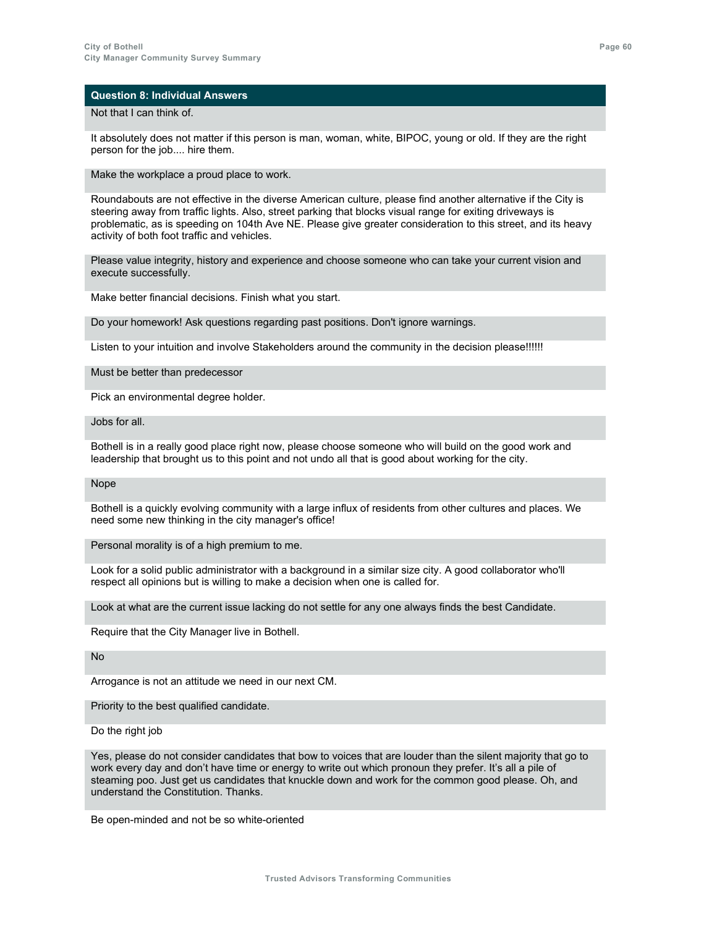#### Not that I can think of.

It absolutely does not matter if this person is man, woman, white, BIPOC, young or old. If they are the right person for the job.... hire them.

Make the workplace a proud place to work.

Roundabouts are not effective in the diverse American culture, please find another alternative if the City is steering away from traffic lights. Also, street parking that blocks visual range for exiting driveways is problematic, as is speeding on 104th Ave NE. Please give greater consideration to this street, and its heavy activity of both foot traffic and vehicles.

Please value integrity, history and experience and choose someone who can take your current vision and execute successfully.

Make better financial decisions. Finish what you start.

Do your homework! Ask questions regarding past positions. Don't ignore warnings.

Listen to your intuition and involve Stakeholders around the community in the decision please!!!!!!

#### Must be better than predecessor

Pick an environmental degree holder.

Jobs for all.

Bothell is in a really good place right now, please choose someone who will build on the good work and leadership that brought us to this point and not undo all that is good about working for the city.

Nope

Bothell is a quickly evolving community with a large influx of residents from other cultures and places. We need some new thinking in the city manager's office!

Personal morality is of a high premium to me.

Look for a solid public administrator with a background in a similar size city. A good collaborator who'll respect all opinions but is willing to make a decision when one is called for.

Look at what are the current issue lacking do not settle for any one always finds the best Candidate.

Require that the City Manager live in Bothell.

No

Arrogance is not an attitude we need in our next CM.

Priority to the best qualified candidate.

Do the right job

Yes, please do not consider candidates that bow to voices that are louder than the silent majority that go to work every day and don't have time or energy to write out which pronoun they prefer. It's all a pile of steaming poo. Just get us candidates that knuckle down and work for the common good please. Oh, and understand the Constitution. Thanks.

Be open-minded and not be so white-oriented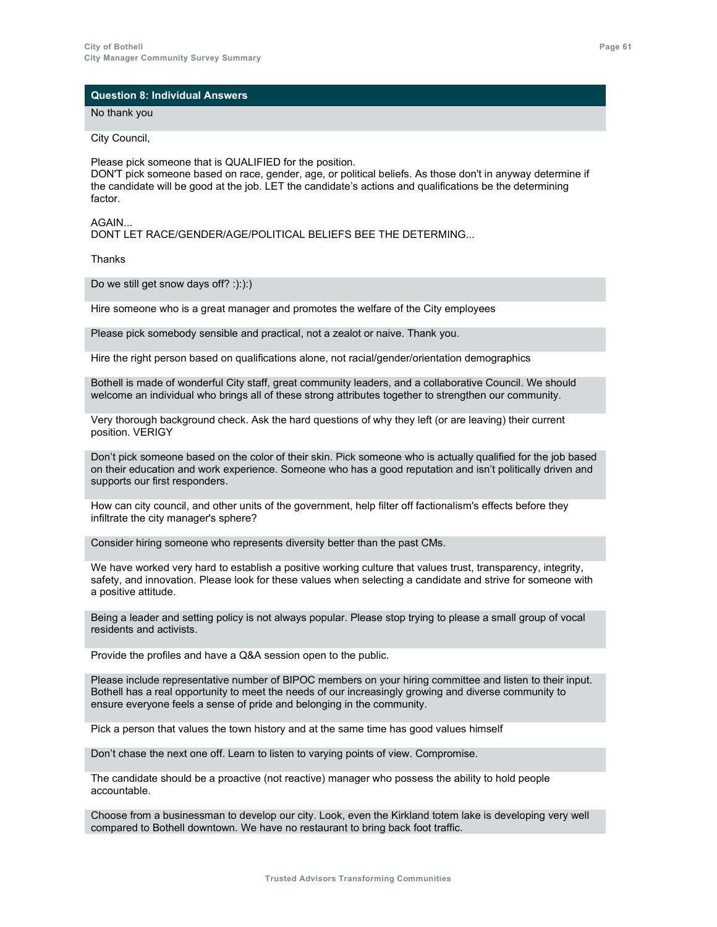No thank you

City Council,

Please pick someone that is QUALIFIED for the position. DON'T pick someone based on race, gender, age, or political beliefs. As those don't in anyway determine if the candidate will be good at the job. LET the candidate's actions and qualifications be the determining factor.

### AGAIN...

DONT LET RACE/GENDER/AGE/POLITICAL BELIEFS BEE THE DETERMING...

Thanks

Do we still get snow days off? :):):)

Hire someone who is a great manager and promotes the welfare of the City employees

Please pick somebody sensible and practical, not a zealot or naive. Thank you.

Hire the right person based on qualifications alone, not racial/gender/orientation demographics

Bothell is made of wonderful City staff, great community leaders, and a collaborative Council. We should welcome an individual who brings all of these strong attributes together to strengthen our community.

Very thorough background check. Ask the hard questions of why they left (or are leaving) their current position. VERIGY

Don't pick someone based on the color of their skin. Pick someone who is actually qualified for the job based on their education and work experience. Someone who has a good reputation and isn't politically driven and supports our first responders.

How can city council, and other units of the government, help filter off factionalism's effects before they infiltrate the city manager's sphere?

Consider hiring someone who represents diversity better than the past CMs.

We have worked very hard to establish a positive working culture that values trust, transparency, integrity, safety, and innovation. Please look for these values when selecting a candidate and strive for someone with a positive attitude.

Being a leader and setting policy is not always popular. Please stop trying to please a small group of vocal residents and activists.

Provide the profiles and have a Q&A session open to the public.

Please include representative number of BIPOC members on your hiring committee and listen to their input. Bothell has a real opportunity to meet the needs of our increasingly growing and diverse community to ensure everyone feels a sense of pride and belonging in the community.

Pick a person that values the town history and at the same time has good values himself

Don't chase the next one off. Learn to listen to varying points of view. Compromise.

The candidate should be a proactive (not reactive) manager who possess the ability to hold people accountable.

Choose from a businessman to develop our city. Look, even the Kirkland totem lake is developing very well compared to Bothell downtown. We have no restaurant to bring back foot traffic.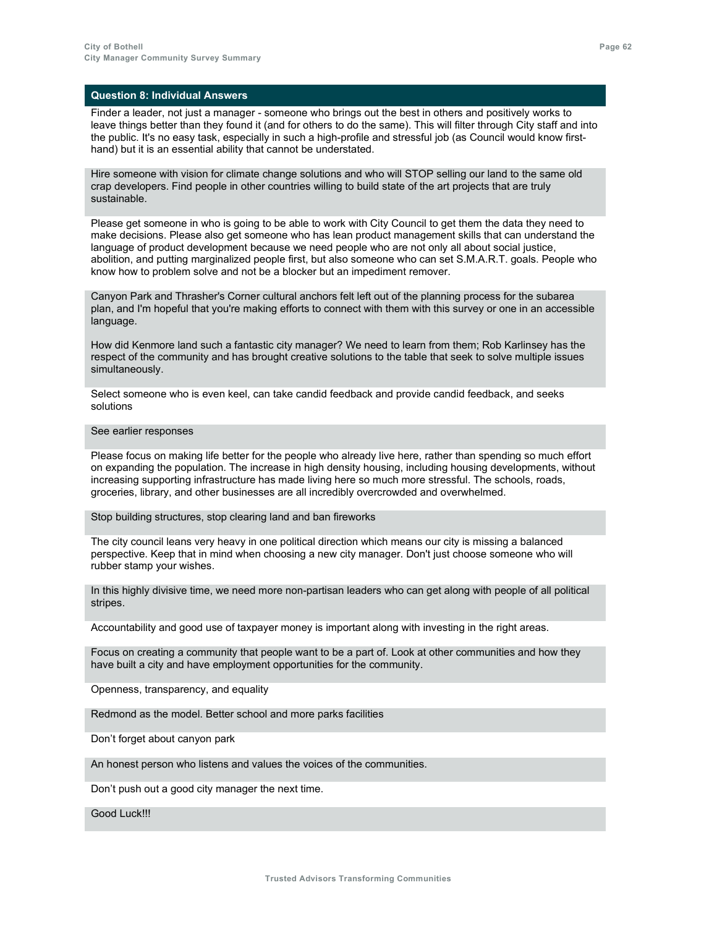Finder a leader, not just a manager - someone who brings out the best in others and positively works to leave things better than they found it (and for others to do the same). This will filter through City staff and into the public. It's no easy task, especially in such a high-profile and stressful job (as Council would know firsthand) but it is an essential ability that cannot be understated.

Hire someone with vision for climate change solutions and who will STOP selling our land to the same old crap developers. Find people in other countries willing to build state of the art projects that are truly sustainable.

Please get someone in who is going to be able to work with City Council to get them the data they need to make decisions. Please also get someone who has lean product management skills that can understand the language of product development because we need people who are not only all about social justice, abolition, and putting marginalized people first, but also someone who can set S.M.A.R.T. goals. People who know how to problem solve and not be a blocker but an impediment remover.

Canyon Park and Thrasher's Corner cultural anchors felt left out of the planning process for the subarea plan, and I'm hopeful that you're making efforts to connect with them with this survey or one in an accessible language.

How did Kenmore land such a fantastic city manager? We need to learn from them; Rob Karlinsey has the respect of the community and has brought creative solutions to the table that seek to solve multiple issues simultaneously.

Select someone who is even keel, can take candid feedback and provide candid feedback, and seeks solutions

### See earlier responses

Please focus on making life better for the people who already live here, rather than spending so much effort on expanding the population. The increase in high density housing, including housing developments, without increasing supporting infrastructure has made living here so much more stressful. The schools, roads, groceries, library, and other businesses are all incredibly overcrowded and overwhelmed.

Stop building structures, stop clearing land and ban fireworks

The city council leans very heavy in one political direction which means our city is missing a balanced perspective. Keep that in mind when choosing a new city manager. Don't just choose someone who will rubber stamp your wishes.

In this highly divisive time, we need more non-partisan leaders who can get along with people of all political stripes.

Accountability and good use of taxpayer money is important along with investing in the right areas.

Focus on creating a community that people want to be a part of. Look at other communities and how they have built a city and have employment opportunities for the community.

Openness, transparency, and equality

Redmond as the model. Better school and more parks facilities

Don't forget about canyon park

An honest person who listens and values the voices of the communities.

Don't push out a good city manager the next time.

Good Luck!!!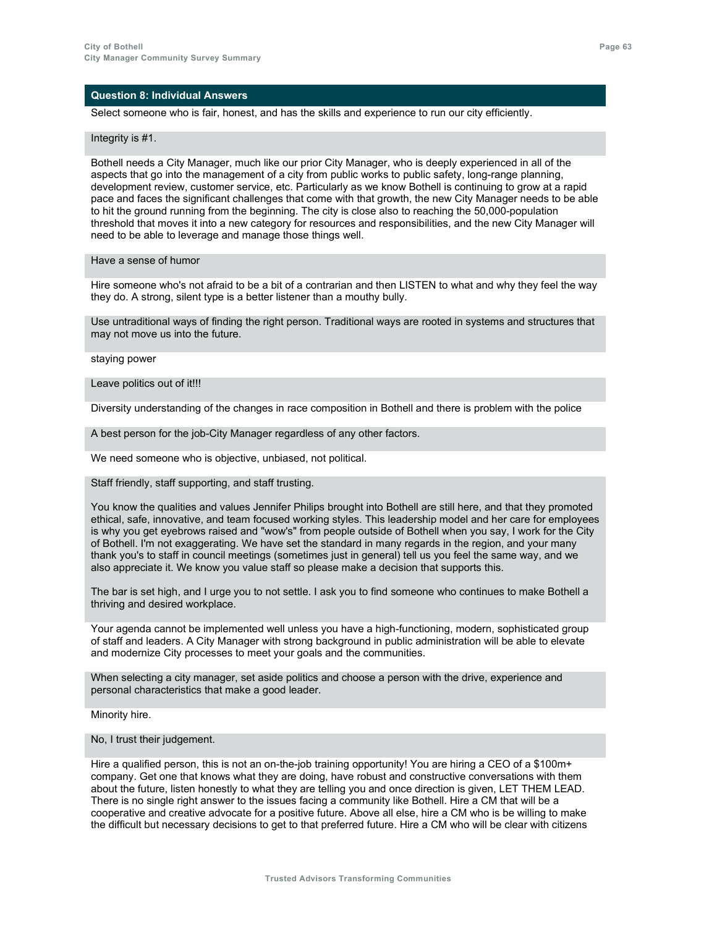Select someone who is fair, honest, and has the skills and experience to run our city efficiently.

#### Integrity is #1.

Bothell needs a City Manager, much like our prior City Manager, who is deeply experienced in all of the aspects that go into the management of a city from public works to public safety, long-range planning, development review, customer service, etc. Particularly as we know Bothell is continuing to grow at a rapid pace and faces the significant challenges that come with that growth, the new City Manager needs to be able to hit the ground running from the beginning. The city is close also to reaching the 50,000-population threshold that moves it into a new category for resources and responsibilities, and the new City Manager will need to be able to leverage and manage those things well.

### Have a sense of humor

Hire someone who's not afraid to be a bit of a contrarian and then LISTEN to what and why they feel the way they do. A strong, silent type is a better listener than a mouthy bully.

Use untraditional ways of finding the right person. Traditional ways are rooted in systems and structures that may not move us into the future.

staying power

#### Leave politics out of it!!!

Diversity understanding of the changes in race composition in Bothell and there is problem with the police

A best person for the job-City Manager regardless of any other factors.

We need someone who is objective, unbiased, not political.

### Staff friendly, staff supporting, and staff trusting.

You know the qualities and values Jennifer Philips brought into Bothell are still here, and that they promoted ethical, safe, innovative, and team focused working styles. This leadership model and her care for employees is why you get eyebrows raised and "wow's" from people outside of Bothell when you say, I work for the City of Bothell. I'm not exaggerating. We have set the standard in many regards in the region, and your many thank you's to staff in council meetings (sometimes just in general) tell us you feel the same way, and we also appreciate it. We know you value staff so please make a decision that supports this.

The bar is set high, and I urge you to not settle. I ask you to find someone who continues to make Bothell a thriving and desired workplace.

Your agenda cannot be implemented well unless you have a high-functioning, modern, sophisticated group of staff and leaders. A City Manager with strong background in public administration will be able to elevate and modernize City processes to meet your goals and the communities.

When selecting a city manager, set aside politics and choose a person with the drive, experience and personal characteristics that make a good leader.

Minority hire.

No, I trust their judgement.

Hire a qualified person, this is not an on-the-job training opportunity! You are hiring a CEO of a \$100m+ company. Get one that knows what they are doing, have robust and constructive conversations with them about the future, listen honestly to what they are telling you and once direction is given, LET THEM LEAD. There is no single right answer to the issues facing a community like Bothell. Hire a CM that will be a cooperative and creative advocate for a positive future. Above all else, hire a CM who is be willing to make the difficult but necessary decisions to get to that preferred future. Hire a CM who will be clear with citizens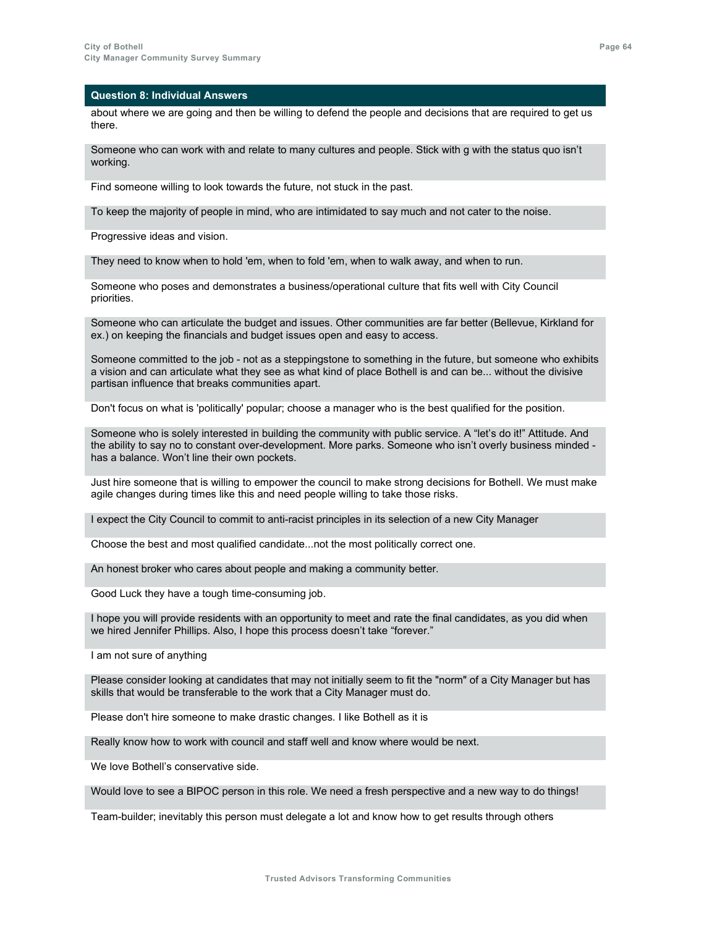about where we are going and then be willing to defend the people and decisions that are required to get us there.

Someone who can work with and relate to many cultures and people. Stick with g with the status quo isn't working.

Find someone willing to look towards the future, not stuck in the past.

To keep the majority of people in mind, who are intimidated to say much and not cater to the noise.

Progressive ideas and vision.

They need to know when to hold 'em, when to fold 'em, when to walk away, and when to run.

Someone who poses and demonstrates a business/operational culture that fits well with City Council priorities.

Someone who can articulate the budget and issues. Other communities are far better (Bellevue, Kirkland for ex.) on keeping the financials and budget issues open and easy to access.

Someone committed to the job - not as a steppingstone to something in the future, but someone who exhibits a vision and can articulate what they see as what kind of place Bothell is and can be... without the divisive partisan influence that breaks communities apart.

Don't focus on what is 'politically' popular; choose a manager who is the best qualified for the position.

Someone who is solely interested in building the community with public service. A "let's do it!" Attitude. And the ability to say no to constant over-development. More parks. Someone who isn't overly business minded has a balance. Won't line their own pockets.

Just hire someone that is willing to empower the council to make strong decisions for Bothell. We must make agile changes during times like this and need people willing to take those risks.

I expect the City Council to commit to anti-racist principles in its selection of a new City Manager

Choose the best and most qualified candidate...not the most politically correct one.

An honest broker who cares about people and making a community better.

Good Luck they have a tough time-consuming job.

I hope you will provide residents with an opportunity to meet and rate the final candidates, as you did when we hired Jennifer Phillips. Also, I hope this process doesn't take "forever."

I am not sure of anything

Please consider looking at candidates that may not initially seem to fit the "norm" of a City Manager but has skills that would be transferable to the work that a City Manager must do.

Please don't hire someone to make drastic changes. I like Bothell as it is

Really know how to work with council and staff well and know where would be next.

We love Bothell's conservative side.

Would love to see a BIPOC person in this role. We need a fresh perspective and a new way to do things!

Team-builder; inevitably this person must delegate a lot and know how to get results through others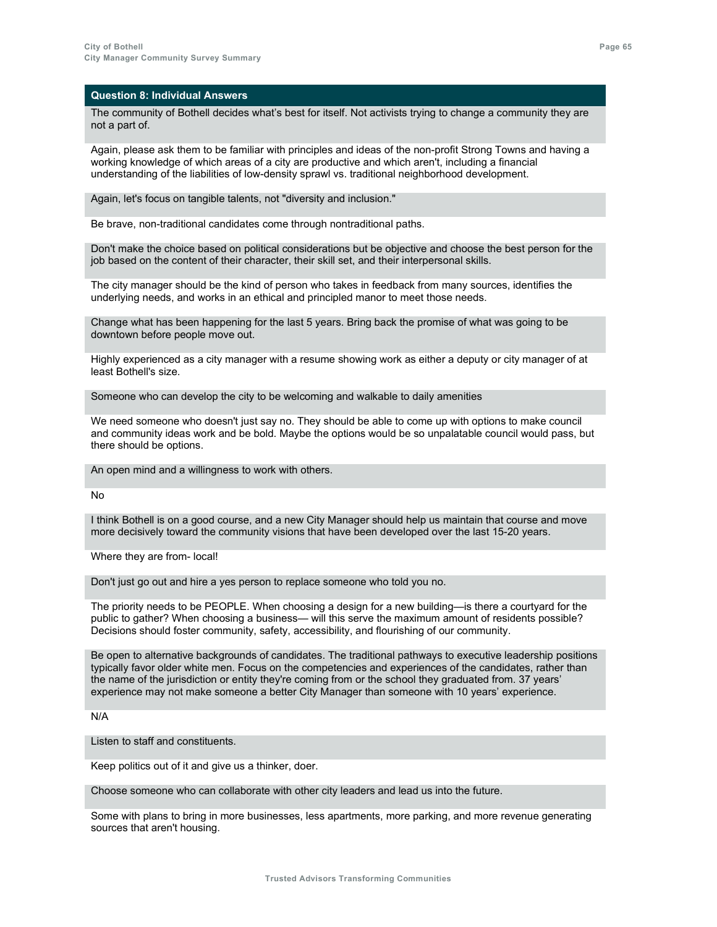The community of Bothell decides what's best for itself. Not activists trying to change a community they are not a part of.

Again, please ask them to be familiar with principles and ideas of the non-profit Strong Towns and having a working knowledge of which areas of a city are productive and which aren't, including a financial understanding of the liabilities of low-density sprawl vs. traditional neighborhood development.

Again, let's focus on tangible talents, not "diversity and inclusion."

Be brave, non-traditional candidates come through nontraditional paths.

Don't make the choice based on political considerations but be objective and choose the best person for the job based on the content of their character, their skill set, and their interpersonal skills.

The city manager should be the kind of person who takes in feedback from many sources, identifies the underlying needs, and works in an ethical and principled manor to meet those needs.

Change what has been happening for the last 5 years. Bring back the promise of what was going to be downtown before people move out.

Highly experienced as a city manager with a resume showing work as either a deputy or city manager of at least Bothell's size.

Someone who can develop the city to be welcoming and walkable to daily amenities

We need someone who doesn't just say no. They should be able to come up with options to make council and community ideas work and be bold. Maybe the options would be so unpalatable council would pass, but there should be options.

An open mind and a willingness to work with others.

No

I think Bothell is on a good course, and a new City Manager should help us maintain that course and move more decisively toward the community visions that have been developed over the last 15-20 years.

Where they are from- local!

Don't just go out and hire a yes person to replace someone who told you no.

The priority needs to be PEOPLE. When choosing a design for a new building—is there a courtyard for the public to gather? When choosing a business— will this serve the maximum amount of residents possible? Decisions should foster community, safety, accessibility, and flourishing of our community.

Be open to alternative backgrounds of candidates. The traditional pathways to executive leadership positions typically favor older white men. Focus on the competencies and experiences of the candidates, rather than the name of the jurisdiction or entity they're coming from or the school they graduated from. 37 years' experience may not make someone a better City Manager than someone with 10 years' experience.

N/A

Listen to staff and constituents.

Keep politics out of it and give us a thinker, doer.

Choose someone who can collaborate with other city leaders and lead us into the future.

Some with plans to bring in more businesses, less apartments, more parking, and more revenue generating sources that aren't housing.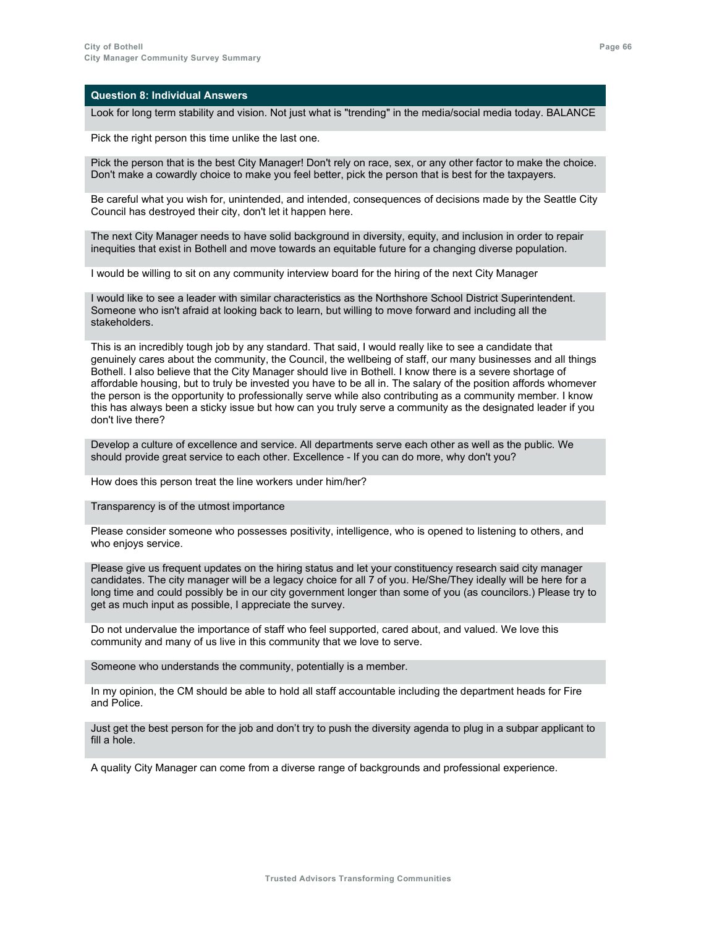Look for long term stability and vision. Not just what is "trending" in the media/social media today. BALANCE

Pick the right person this time unlike the last one.

Pick the person that is the best City Manager! Don't rely on race, sex, or any other factor to make the choice. Don't make a cowardly choice to make you feel better, pick the person that is best for the taxpayers.

Be careful what you wish for, unintended, and intended, consequences of decisions made by the Seattle City Council has destroyed their city, don't let it happen here.

The next City Manager needs to have solid background in diversity, equity, and inclusion in order to repair inequities that exist in Bothell and move towards an equitable future for a changing diverse population.

I would be willing to sit on any community interview board for the hiring of the next City Manager

I would like to see a leader with similar characteristics as the Northshore School District Superintendent. Someone who isn't afraid at looking back to learn, but willing to move forward and including all the stakeholders.

This is an incredibly tough job by any standard. That said, I would really like to see a candidate that genuinely cares about the community, the Council, the wellbeing of staff, our many businesses and all things Bothell. I also believe that the City Manager should live in Bothell. I know there is a severe shortage of affordable housing, but to truly be invested you have to be all in. The salary of the position affords whomever the person is the opportunity to professionally serve while also contributing as a community member. I know this has always been a sticky issue but how can you truly serve a community as the designated leader if you don't live there?

Develop a culture of excellence and service. All departments serve each other as well as the public. We should provide great service to each other. Excellence - If you can do more, why don't you?

How does this person treat the line workers under him/her?

Transparency is of the utmost importance

Please consider someone who possesses positivity, intelligence, who is opened to listening to others, and who enjoys service.

Please give us frequent updates on the hiring status and let your constituency research said city manager candidates. The city manager will be a legacy choice for all 7 of you. He/She/They ideally will be here for a long time and could possibly be in our city government longer than some of you (as councilors.) Please try to get as much input as possible, I appreciate the survey.

Do not undervalue the importance of staff who feel supported, cared about, and valued. We love this community and many of us live in this community that we love to serve.

Someone who understands the community, potentially is a member.

In my opinion, the CM should be able to hold all staff accountable including the department heads for Fire and Police.

Just get the best person for the job and don't try to push the diversity agenda to plug in a subpar applicant to fill a hole.

A quality City Manager can come from a diverse range of backgrounds and professional experience.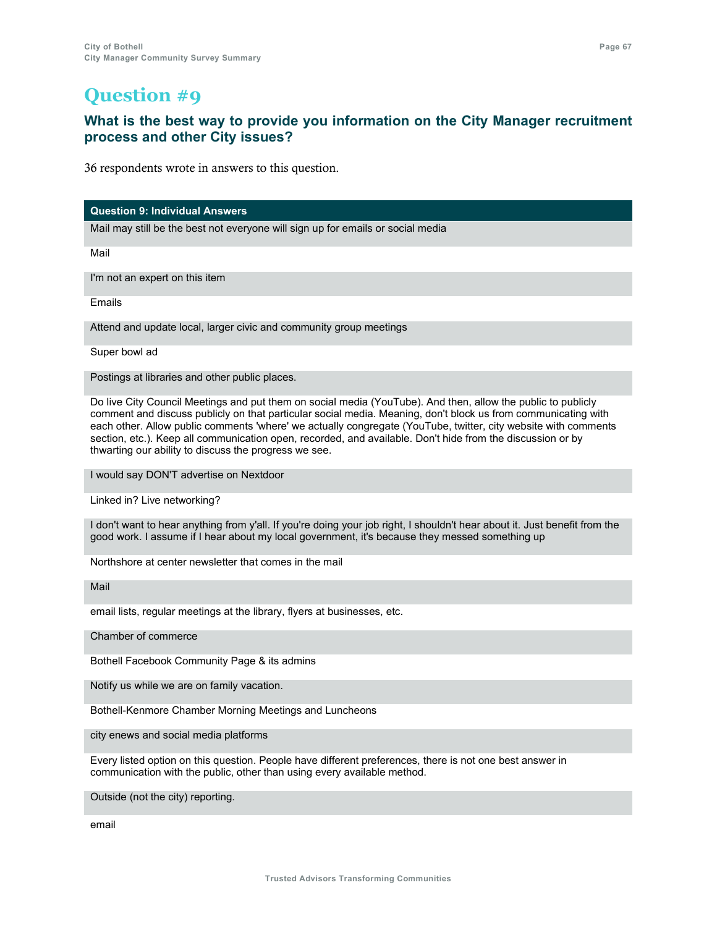### **What is the best way to provide you information on the City Manager recruitment process and other City issues?**

36 respondents wrote in answers to this question.

**Question 9: Individual Answers**

Mail may still be the best not everyone will sign up for emails or social media

Mail

I'm not an expert on this item

Emails

Attend and update local, larger civic and community group meetings

Super bowl ad

Postings at libraries and other public places.

Do live City Council Meetings and put them on social media (YouTube). And then, allow the public to publicly comment and discuss publicly on that particular social media. Meaning, don't block us from communicating with each other. Allow public comments 'where' we actually congregate (YouTube, twitter, city website with comments section, etc.). Keep all communication open, recorded, and available. Don't hide from the discussion or by thwarting our ability to discuss the progress we see.

I would say DON'T advertise on Nextdoor

Linked in? Live networking?

I don't want to hear anything from y'all. If you're doing your job right, I shouldn't hear about it. Just benefit from the good work. I assume if I hear about my local government, it's because they messed something up

Northshore at center newsletter that comes in the mail

Mail

email lists, regular meetings at the library, flyers at businesses, etc.

Chamber of commerce

Bothell Facebook Community Page & its admins

Notify us while we are on family vacation.

Bothell-Kenmore Chamber Morning Meetings and Luncheons

city enews and social media platforms

Every listed option on this question. People have different preferences, there is not one best answer in communication with the public, other than using every available method.

Outside (not the city) reporting.

email